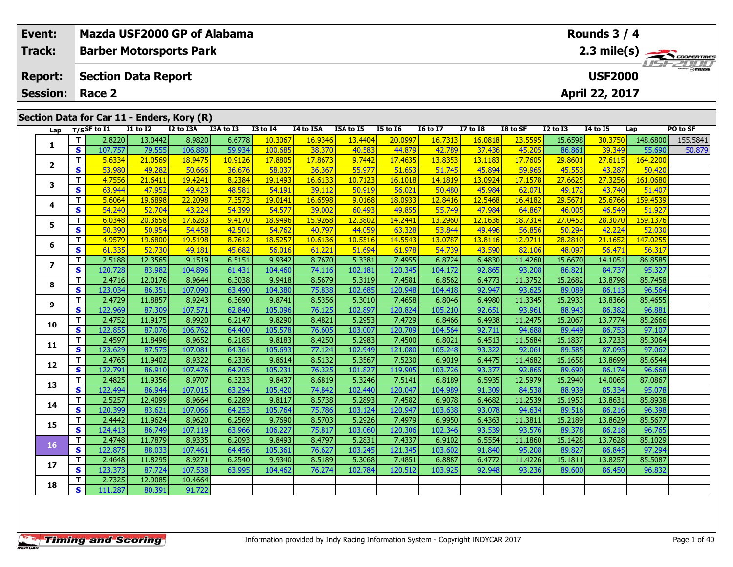| <b>Event:</b>   |                   | Mazda USF2000 GP of Alabama                |                   |                   |                  |                   |                              |                   |                   |                   |                  |                   |                   | Rounds $3/4$      |                   |             |
|-----------------|-------------------|--------------------------------------------|-------------------|-------------------|------------------|-------------------|------------------------------|-------------------|-------------------|-------------------|------------------|-------------------|-------------------|-------------------|-------------------|-------------|
| <b>Track:</b>   |                   | <b>Barber Motorsports Park</b>             |                   |                   |                  |                   |                              |                   |                   |                   |                  |                   |                   |                   |                   | 2.3 mile(s) |
| <b>Report:</b>  |                   | <b>Section Data Report</b>                 |                   |                   |                  |                   | $T = 1/17$<br><b>USF2000</b> |                   |                   |                   |                  |                   |                   |                   |                   |             |
| <b>Session:</b> |                   | Race 2                                     |                   |                   |                  |                   |                              |                   |                   |                   |                  |                   |                   | April 22, 2017    |                   |             |
|                 |                   |                                            |                   |                   |                  |                   |                              |                   |                   |                   |                  |                   |                   |                   |                   |             |
|                 |                   | Section Data for Car 11 - Enders, Kory (R) |                   |                   |                  |                   |                              |                   |                   |                   |                  |                   |                   |                   |                   |             |
| Lap             |                   | $T/S$ SF to $I1$                           | $I1$ to $I2$      | <b>I2 to I3A</b>  | I3A to I3        | <b>I3 to 14</b>   | I4 to I5A                    | I5A to I5         | <b>I5 to 16</b>   | <b>16 to 17</b>   | <b>I7 to I8</b>  | I8 to SF          | $I2$ to $I3$      | <b>14 to 15</b>   | Lap               | PO to SF    |
| 1               | T                 | 2.8220                                     | 13.0442           | 8.9820            | 6.6778           | 10.3067           | 16.9346                      | 13.4404           | 20.0997           | 16.7313           | 16.0818          | 23.5595           | 15.6598           | 30.3750           | 148.6800          | 155.5841    |
|                 | $\mathbf{s}$      | 107.757                                    | 79.555            | 106.880           | 59.934           | 100.685           | 38.370                       | 40.583            | 44.879            | 42.789            | 37.436           | 45.205            | 86.861            | 39.349            | 55.690            | 50.879      |
| $\overline{2}$  | T.                | 5.6334                                     | 21.0569           | 18.9475           | 10.9126          | 17.8805           | 17.8673                      | 9.7442            | 17.4635           | 13.8353           | 13.1183          | 17.7605           | 29.8601           | 27.6115           | 164.2200          |             |
|                 | $\mathbf{s}$      | 53.980                                     | 49.282            | 50.666            | 36.676           | 58.037            | 36.367                       | 55.977            | 51.653            | 51.745            | 45.894           | 59.965            | 45.553            | 43.287            | 50.420            |             |
| 3               | T                 | 4.7556                                     | 21.6411           | 19.4241           | 8.2384           | 19.1493           | 16.6133                      | 10.7123           | 16.1018           | 14.1819           | 13.0924          | 17.1578           | 27.6625           | 27.3256           | 161.0680          |             |
|                 | $\mathbf{s}$      | 63.944                                     | 47.952            | 49.423            | 48.581           | 54.191            | 39.112                       | 50.919            | 56.021            | 50.480            | 45.984           | 62.071            | 49.172            | 43.740            | 51.407            |             |
| 4               | T                 | 5.6064                                     | 19.6898           | 22.2098           | 7.3573           | 19.0141           | 16.6598                      | 9.0168            | 18.0933           | 12.8416           | 12.5468          | 16.4182           | 29.5671           | 25.6766           | 159.4539          |             |
|                 | $\mathbf{s}$      | 54.240                                     | 52.704            | 43.224            | 54.399           | 54.57             | 39.002                       | 60.493            | 49.855            | 55.749            | 47.984           | 64.867            | 46.005            | 46.549            | 51.92             |             |
| 5               | T.                | 6.0348                                     | 20.3658           | 17.6283           | 9.4170           | 18.9496           | 15.9268                      | 12.3802           | 14.2441           | 13.2960           | 12.1636          | 18.7314           | 27.0453           | 28.3070           | 159.1376          |             |
|                 | S                 | 50.390                                     | 50.954            | 54.458            | 42.501           | 54.762            | 40.797                       | 44.059            | 63.328            | 53.844            | 49.496           | 56.856            | 50.294            | 42.224            | 52.03             |             |
| 6               | T                 | 4.9579                                     | 19.6800           | 19.5198           | 8.7612           | 18.5257           | 10.6136                      | 10.5516           | 14.5543           | 13.0787           | 13.8116          | 12.9711           | 28.2810           | 21.1652           | 147.025           |             |
|                 | $\mathbf{s}$      | 61.335<br>2.5188                           | 52.730<br>12.3565 | 49.181<br>9.1519  | 45.682<br>6.5151 | 56.016<br>9.9342  | 61.221<br>8.7670             | 51.694<br>5.3381  | 61.978<br>7.4955  | 54.739<br>6.8724  | 43.590           | 82.106            | 48.097<br>15.6670 | 56.471            | 56.317<br>86.8585 |             |
| $\overline{ }$  | T<br>$\mathbf{s}$ | 120.728                                    | 83.982            | 104.896           |                  | 104.460           |                              | 102.181           | 120.345           | 104.172           | 6.4830<br>92.865 | 11.4260<br>93.208 | 86.821            | 14.1051<br>84.737 | 95.327            |             |
|                 |                   |                                            |                   |                   | 61.431           |                   | 74.116<br>8.5679             |                   |                   |                   |                  |                   | 15.2682           | 13.8798           |                   |             |
| 8               | T                 | 2.4716<br>123.034                          | 12.0176<br>86.351 | 8.9644<br>107.090 | 6.3038<br>63.490 | 9.9418<br>104.380 | 75.838                       | 5.3119<br>102.685 | 7.4581<br>120.948 | 6.8562<br>104.418 | 6.4773<br>92.947 | 11.3752<br>93.625 | 89.089            | 86.113            | 85.7458<br>96.564 |             |
|                 | $\mathbf{s}$<br>T | 2.4729                                     | 11.8857           | 8.9243            | 6.3690           | 9.8741            | 8.5356                       | 5.3010            | 7.4658            | 6.8046            | 6.4980           | 11.3345           | 15.2933           | 13.8366           | 85.4655           |             |
| 9               | $\mathbf{s}$      | 122.969                                    | 87.309            | 107.571           | 62.840           | 105.096           | 76.125                       | 102.897           | 120.824           | 105.210           | 92.651           | 93.961            | 88.943            | 86.382            | 96.881            |             |
|                 | T                 | 2.4752                                     | 11.9175           | 8.9920            | 6.2147           | 9.8290            | 8.4821                       | 5.2953            | 7.4729            | 6.8466            | 6.4938           | 11.2475           | 15.2067           | 13.7774           | 85.2666           |             |
| 10              | $\mathbf{s}$      | 122.855                                    | 87.076            | 106.762           | 64.400           | 105.578           | 76.605                       | 103.007           | 120.709           | 104.564           | 92.711           | 94.688            | 89.449            | 86.753            | 97.107            |             |
|                 | $\mathbf T$       | 2.4597                                     | 11.8496           | 8.9652            | 6.2185           | 9.8183            | 8.4250                       | 5.2983            | 7.4500            | 6.8021            | 6.4513           | 11.5684           | 15.1837           | 13.7233           | 85.3064           |             |
| 11              | $\mathbf{s}$      | 123.629                                    | 87.575            | 107.081           | 64.361           | 105.693           | 77.124                       | 102.949           | 121.080           | 105.248           | 93.322           | 92.061            | 89.585            | 87.095            | 97.062            |             |
|                 | T                 | 2.4765                                     | 11.9402           | 8.9322            | 6.2336           | 9.8614            | 8.5132                       | 5.3567            | 7.5230            | 6.9019            | 6.4475           | 11.4682           | 15.1658           | 13.8699           | 85.6544           |             |
| 12              | $\mathbf{s}$      | 122.791                                    | 86.910            | 107.476           | 64.205           | 105.231           | 76.325                       | 101.827           | 119.905           | 103.726           | 93.377           | 92.865            | 89.690            | 86.174            | 96.668            |             |
|                 | T                 | 2.4825                                     | 11.9356           | 8.9707            | 6.3233           | 9.8437            | 8.6819                       | 5.3246            | 7.5141            | 6.8189            | 6.5935           | 12.5979           | 15.2940           | 14.0065           | 87.0867           |             |
| 13              | $\mathbf{s}$      | 122.494                                    | 86.944            | 107.015           | 63.294           | 105.420           | 74.842                       | 102.440           | 120.047           | 104.989           | 91.309           | 84.538            | 88.939            | 85.334            | 95.078            |             |
|                 | T.                | 2.5257                                     | 12.4099           | 8.9664            | 6.2289           | 9.8117            | 8.5738                       | 5.2893            | 7.4582            | 6.9078            | 6.4682           | 11.2539           | 15.1953           | 13.8631           | 85.8938           |             |
| 14              | $\mathbf{s}$      | 120.399                                    | 83.621            | 107.066           | 64.253           | 105.764           | 75.786                       | 103.124           | 120.947           | 103.638           | 93.078           | 94.634            | 89.516            | 86.216            | 96.398            |             |
|                 | T                 | 2.4442                                     | 11.9624           | 8.9620            | 6.2569           | 9.7690            | 8.5703                       | 5.2926            | 7.4979            | 6.9950            | 6.4363           | 11.3811           | 15.2189           | 13.8629           | 85.5677           |             |
| 15              | $\mathbf{s}$      | 124.413                                    | 86.749            | 107.119           | 63.966           | 106.227           | 75.817                       | 103.060           | 120.306           | 102.346           | 93.539           | 93.576            | 89.378            | 86.218            | 96.765            |             |
|                 | T                 | 2.4748                                     | 11.7879           | 8.9335            | 6.2093           | 9.8493            | 8.4797                       | 5.2831            | 7.4337            | 6.9102            | 6.5554           | 11.1860           | 15.1428           | 13.7628           | 85.1029           |             |
| 16              | <b>S</b>          | 122.875                                    | 88.033            | 107.461           | 64.456           | 105.361           | 76.627                       | 103.245           | 121.345           | 103.602           | 91.840           | 95.208            | 89.827            | 86.845            | 97.294            |             |
|                 | T.                | 2.4648                                     | 11.8295           | 8.9271            | 6.2540           | 9.9340            | 8.5189                       | 5.3068            | 7.4851            | 6.8887            | 6.4772           | 11.4226           | 15.1811           | 13.8257           | 85.5087           |             |
| 17              | s.                | 123.373                                    | 87.724            | 107.538           | 63.995           | 104.462           | 76.274                       | 102.784           | 120.512           | 103.925           | 92.948           | 93.236            | 89,600            | 86.450            | 96.832            |             |

**<sup>T</sup>** 2.7325 12.9085 10.4664 **<sup>S</sup>** 111.287 80.391 91.722

91.722

**18**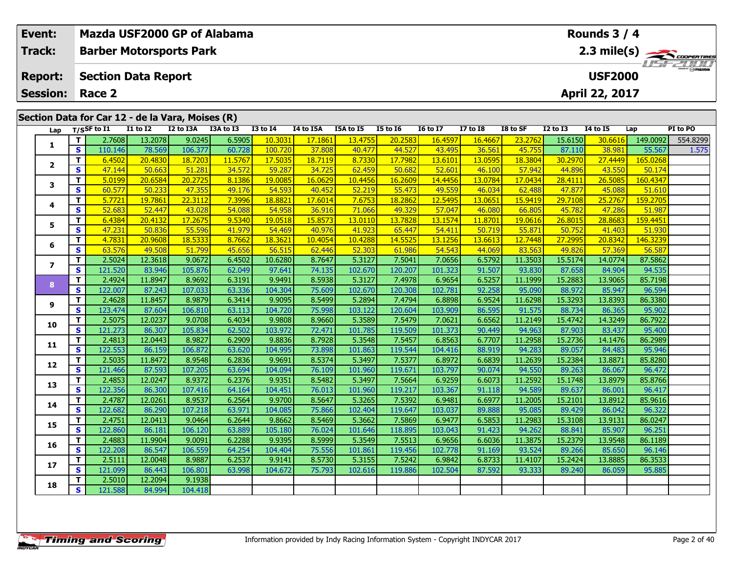| <b>Track:</b><br><b>Barber Motorsports Park</b>                                                                                                                                                                                  | $2.3 \text{ mile(s)}$                                                             |  |  |  |  |  |  |  |  |  |  |  |
|----------------------------------------------------------------------------------------------------------------------------------------------------------------------------------------------------------------------------------|-----------------------------------------------------------------------------------|--|--|--|--|--|--|--|--|--|--|--|
| <b>Section Data Report</b><br><b>Report:</b><br><b>Session:</b><br>Race 2                                                                                                                                                        | <b>USF2000</b><br>April 22, 2017                                                  |  |  |  |  |  |  |  |  |  |  |  |
| Section Data for Car 12 - de la Vara, Moises (R)                                                                                                                                                                                 |                                                                                   |  |  |  |  |  |  |  |  |  |  |  |
| I3A to I3<br>$I1$ to $I2$<br>I2 to I3A<br><b>I3 to I4</b><br>T/SSF to I1<br>I4 to I5A<br>I5A to I5<br><b>I5 to 16</b><br><b>16 to 17</b><br><b>I7 to 18</b><br>Lap                                                               | I8 to SF<br><b>I2 to I3</b><br><b>14 to 15</b><br>Lap<br>PI to PO                 |  |  |  |  |  |  |  |  |  |  |  |
| T<br>2.7608<br>13.2078<br>9.0245<br>6.5905<br>10.303<br>17.1861<br>13.4755<br>20.2583<br>16.4597<br>16.4667                                                                                                                      | 15.6150<br>149.0092<br>554.8299<br>23.2762<br>30.6616                             |  |  |  |  |  |  |  |  |  |  |  |
| 1<br>S<br>106.377<br>60.728<br>44.527<br>110.146<br>78.569<br>100.720<br>37.808<br>40.477<br>43.495<br>36.561                                                                                                                    | 45.755<br>87.110<br>38.981<br>55.567<br>1.575                                     |  |  |  |  |  |  |  |  |  |  |  |
| 17.7982<br>$\mathbf{T}$<br>6.4502<br>20.4830<br>18.7203<br>11.5767<br>17.5035<br>18.7119<br>8.7330<br>13,6101<br>13.0595<br>$\overline{2}$                                                                                       | 18.3804<br>30.2970<br>27.4449<br>165.0268                                         |  |  |  |  |  |  |  |  |  |  |  |
| $\mathbf{s}$<br>51.281<br>34.572<br>62.459<br>47.144<br>50.663<br>59.287<br>34.725<br>50.682<br>52.601<br>46.100                                                                                                                 | 44.896<br>57.942<br>43.550<br>50.174                                              |  |  |  |  |  |  |  |  |  |  |  |
| 5.0199<br>20.6584<br>20.2725<br>8.1386<br>19.008<br>16.0629<br>10.4456<br>16.2609<br>14.4456<br>13.0784<br>$\mathbf{T}$<br>3                                                                                                     | 28.4111<br>26.5085<br>160.4347<br>17.0434                                         |  |  |  |  |  |  |  |  |  |  |  |
| <b>S</b><br>47.355<br>55.473<br>49.559<br>60.577<br>50.233<br>49.176<br>54.593<br>40.452<br>52.219<br>46.034                                                                                                                     | 62.488<br>47.877<br>45.088<br>51.610                                              |  |  |  |  |  |  |  |  |  |  |  |
| $\mathbf{T}$<br>17.6014<br>7.6753<br>18.2862<br>5.7721<br>19.7861<br>22.3112<br>7.3996<br>18.8821<br>12.5495<br>13.0651<br>4                                                                                                     | 29.7108<br>159,2705<br>15.9419<br>25,2767                                         |  |  |  |  |  |  |  |  |  |  |  |
| 54.088<br>$\mathbf{s}$<br>52.447<br>43.028<br>54.958<br>49.329<br>57.047<br>52.683<br>36.916<br>71.066<br>46.080<br>9.5340<br>13.7828<br>$\mathbf{T}$<br>19.0518                                                                 | 66.805<br>45.782<br>47.286<br>51.987                                              |  |  |  |  |  |  |  |  |  |  |  |
| 6.4384<br>20.4132<br>17.2675<br>15.8573<br>13.0110<br>13.1574<br>11.8701<br>5<br>$\mathbf{s}$<br>47.231<br>55.596<br>41.923<br>65.447<br>50.836<br>41.979<br>54.469<br>40.976<br>54,411<br>50.719                                | 19.0616<br>26.8015<br>28.8683<br>159.4451<br>55.871<br>50.752<br>41.403<br>51.930 |  |  |  |  |  |  |  |  |  |  |  |
| 14.5525<br>13.1256<br>T<br>4.7831<br>20.9608<br>18.5333<br>8.7662<br>18.3621<br>10.4054<br>10.4288<br>13.6613                                                                                                                    | 20.8342<br>146.3239<br>12.7448<br>27.2995                                         |  |  |  |  |  |  |  |  |  |  |  |
| 6<br>S<br>49.508<br>51.799<br>45.656<br>56.515<br>52.303<br>61.986<br>54.543<br>44.069<br>63.576<br>62.446                                                                                                                       | 83.563<br>49.826<br>57.369<br>56.587                                              |  |  |  |  |  |  |  |  |  |  |  |
| $\mathbf{T}$<br>9.0672<br>2.5024<br>12.3618<br>10.6280<br>8.7647<br>5.3127<br>7.5041<br>6.5792<br>6.4502<br>7.0656                                                                                                               | 15.5174<br>14.0774<br>87.5862<br>11.3503                                          |  |  |  |  |  |  |  |  |  |  |  |
| $\overline{\phantom{a}}$<br>$\mathbf{s}$<br>83.946<br>105.876<br>62.049<br>120.207<br>101.323<br>121.520<br>74.135<br>102.670<br>91.507<br>97.641                                                                                | 93.830<br>94.535<br>87.658<br>84.904                                              |  |  |  |  |  |  |  |  |  |  |  |
| 8.9692<br>6.3191<br>8.5938<br>7.4978<br>T<br>2.4924<br>11.8947<br>9.9491<br>5.3127<br>6.9654<br>6.5257                                                                                                                           | 11.1999<br>15.2883<br>13.9065<br>85.7198                                          |  |  |  |  |  |  |  |  |  |  |  |
| 8<br>122.007<br>87.243<br>107.033<br>63.336<br>104.304<br>75.609<br>102.670<br>120.308<br>102.781<br>92.258<br><b>S</b>                                                                                                          | 95.090<br>88.972<br>85.947<br>96.594                                              |  |  |  |  |  |  |  |  |  |  |  |
| 11.8457<br>8.9879<br>9.9095<br>8.5499<br>5.2894<br>7.4794<br>6.9524<br>T<br>2.4628<br>6.3414<br>6.8898                                                                                                                           | 11.6298<br>15.3293<br>13.8393<br>86.3380                                          |  |  |  |  |  |  |  |  |  |  |  |
| 9<br>$\mathbf{s}$<br>106.810<br>123.474<br>87.604<br>63.113<br>104.720<br>75.998<br>103.122<br>120.604<br>103.909<br>86.595                                                                                                      | 91.575<br>88.734<br>86.365<br>95.902                                              |  |  |  |  |  |  |  |  |  |  |  |
| 5.3589<br>7.5479<br>$\mathbf{T}$<br>2.5075<br>12.0237<br>9.0708<br>9.9808<br>8.9660<br>7.0621<br>6.6562<br>6.4034<br>10                                                                                                          | 11.2149<br>15.4742<br>14.3249<br>86.7922                                          |  |  |  |  |  |  |  |  |  |  |  |
| $\mathbf{s}$<br>121.273<br>105.834<br>62.502<br>119.509<br>101.373<br>86.307<br>103.972<br>72.471<br>101.785<br>90.449                                                                                                           | 94.963<br>87.903<br>83.437<br>95.400                                              |  |  |  |  |  |  |  |  |  |  |  |
| 8.9827<br>6.2909<br>9.8836<br>8.7928<br>5.3548<br>7.5457<br>6.7707<br>$\mathbf{T}$<br>2.4813<br>12.0443<br>6.8563<br>11                                                                                                          | 11.2958<br>15.2736<br>86.2989<br>14.1476                                          |  |  |  |  |  |  |  |  |  |  |  |
| <b>S</b><br>122.553<br>86.159<br>106.872<br>63.620<br>104.995<br>73.898<br>101.863<br>119.544<br>104.416<br>88.919                                                                                                               | 94.283<br>89.057<br>84.483<br>95.946                                              |  |  |  |  |  |  |  |  |  |  |  |
| 5.3497<br>7.5377<br>2.5035<br>11.8472<br>8.9548<br>6.2836<br>9.9691<br>8.5374<br>6.8972<br>T.<br>6.6839<br>12                                                                                                                    | 15.2384<br>11.2639<br>13.8871<br>85.8280                                          |  |  |  |  |  |  |  |  |  |  |  |
| S<br>121.466<br>87.593<br>107.205<br>104.094<br>101.960<br>119.671<br>103.797<br>63.694<br>76.109<br>90.074                                                                                                                      | 94.550<br>89.263<br>96.472<br>86.067                                              |  |  |  |  |  |  |  |  |  |  |  |
| 8.9372<br>9.9351<br>5.3497<br>7.5664<br>6.9259<br>$\mathbf{T}$<br>2.4853<br>12.0247<br>6.2376<br>8.5482<br>6.6073<br>13                                                                                                          | 11.2592<br>15.1748<br>13.8979<br>85.8766                                          |  |  |  |  |  |  |  |  |  |  |  |
| $\mathbf{s}$<br>122.356<br>107.416<br>119.217<br>86.300<br>64.164<br>104.451<br>76.013<br>101.960<br>103.367<br>91.118<br>8.9537<br>6.2564<br>5.3265<br>7.5392<br>T<br>2.4787<br>12.0261<br>9.9700<br>8.5647<br>6.9481<br>6.6977 | 94.589<br>89.637<br>86.001<br>96.417<br>11.2005<br>15.2101<br>13.8912<br>85.9616  |  |  |  |  |  |  |  |  |  |  |  |
| 14<br>63.971<br><b>S</b><br>122.682<br>86.290<br>107.218<br>75.866<br>102.404<br>119.647<br>103.037<br>89.888<br>104.085                                                                                                         | 95.085<br>89.429<br>86.042<br>96.322                                              |  |  |  |  |  |  |  |  |  |  |  |
| 9.0464<br>6.2644<br>5.3662<br>7.5869<br>6.9477<br>2.4751<br>12.0413<br>9.8662<br>8.5469<br>6.5853<br>$\mathbf T$                                                                                                                 | 15.3108<br>86.0247<br>11.2983<br>13.9131                                          |  |  |  |  |  |  |  |  |  |  |  |
| 15<br>$\mathbf{s}$<br>122.860<br>86.181<br>106.120<br>63.889<br>105.180<br>101.646<br>118.895<br>103.043<br>91.423<br>76.024                                                                                                     | 94.262<br>88.841<br>85.907<br>96.251                                              |  |  |  |  |  |  |  |  |  |  |  |

**<sup>T</sup>** 2.5010 12.2094 9.1938 **<sup>S</sup>** 121.588 84.994 104.418

104.418

**16**

**17**

**18**

**<sup>T</sup>** 2.4883 11.9904 9.0091 6.2288 9.9395 8.5999 5.3549 7.5513 6.9656 6.6036 11.3875 15.2379 13.9548 86.1189 **<sup>S</sup>** 122.208 86.547 106.559 64.254 104.404 75.556 101.861 119.456 102.778 91.169 93.524 89.266 85.650 96.146

**<sup>T</sup>** 2.5111 12.0048 8.9887 6.2537 9.9141 8.5730 5.3155 7.5242 6.9842 6.8733 11.4107 15.2424 13.8885 86.3533 **<sup>S</sup>** 121.099 86.443 106.801 63.998 104.672 75.793 102.616 119.886 102.504 87.592 93.333 89.240 86.059 95.885

96.146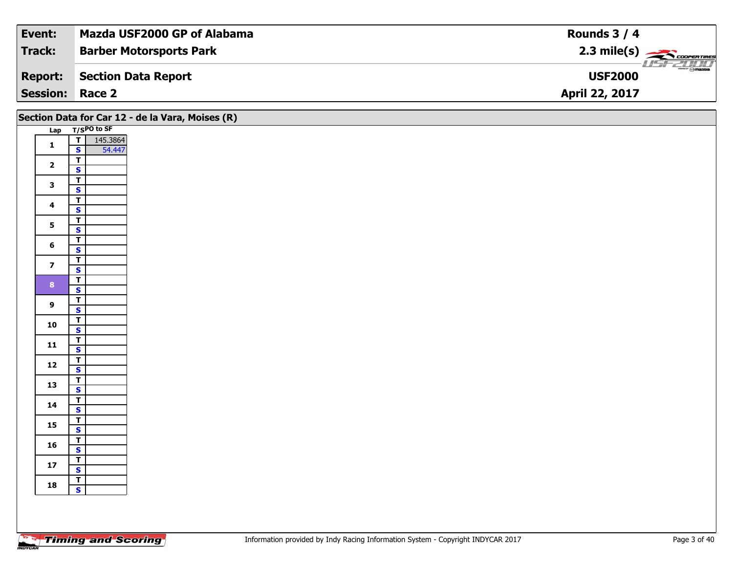| Event:                 | Mazda USF2000 GP of Alabama    | Rounds $3/4$                                               |
|------------------------|--------------------------------|------------------------------------------------------------|
| Track:                 | <b>Barber Motorsports Park</b> | $2.3$ mile(s) $\overbrace{\hspace{2.5cm}}^{3}$ coorentines |
| <b>Report:</b>         | Section Data Report            | $\tau = H_0 H_2$<br><b>USF2000</b>                         |
| <b>Session: Race 2</b> |                                | April 22, 2017                                             |

| Section Data for Car 12 - de la Vara, Moises (R) |                                                      |  |  |  |  |  |  |  |  |  |
|--------------------------------------------------|------------------------------------------------------|--|--|--|--|--|--|--|--|--|
|                                                  | Lap T/SPO to SF                                      |  |  |  |  |  |  |  |  |  |
| $\mathbf{1}$                                     | $\overline{r}$<br>145.3864<br>54.447<br>$\mathsf{s}$ |  |  |  |  |  |  |  |  |  |
| $\overline{\mathbf{2}}$                          | $\overline{\mathsf{r}}$<br>$\mathbf{s}$              |  |  |  |  |  |  |  |  |  |
| $\mathbf{3}$                                     | $\overline{\mathbf{r}}$<br>$\overline{\mathbf{s}}$   |  |  |  |  |  |  |  |  |  |
| $\overline{\mathbf{4}}$                          | $\overline{1}$<br>$\overline{\mathbf{s}}$            |  |  |  |  |  |  |  |  |  |
| $5\phantom{a}$                                   | $\overline{\mathbf{r}}$                              |  |  |  |  |  |  |  |  |  |
| $\bf 6$                                          | $\overline{\mathbf{s}}$<br>$\overline{\mathbf{T}}$   |  |  |  |  |  |  |  |  |  |
| $\overline{\mathbf{z}}$                          | $\overline{\mathbf{s}}$<br>$\overline{\mathbf{T}}$   |  |  |  |  |  |  |  |  |  |
|                                                  | $\overline{\mathbf{s}}$<br>$\overline{\mathbf{r}}$   |  |  |  |  |  |  |  |  |  |
| 8 <sup>1</sup>                                   | $\overline{\mathbf{s}}$<br>$\overline{\mathsf{r}}$   |  |  |  |  |  |  |  |  |  |
| $\boldsymbol{9}$                                 | $\mathbf{s}$<br>$\overline{\mathbf{r}}$              |  |  |  |  |  |  |  |  |  |
| 10                                               | $\overline{\mathbf{s}}$<br>$\overline{I}$            |  |  |  |  |  |  |  |  |  |
| $11$                                             | $\mathsf{s}$                                         |  |  |  |  |  |  |  |  |  |
| 12                                               | $\overline{\mathbf{r}}$<br>$\mathbf{s}$              |  |  |  |  |  |  |  |  |  |
| 13                                               | $rac{1}{s}$                                          |  |  |  |  |  |  |  |  |  |
| 14                                               | $\overline{\mathbf{r}}$<br>$\mathsf{s}$              |  |  |  |  |  |  |  |  |  |
| 15                                               | $\mathbf{T}$<br>$\overline{\mathbf{s}}$              |  |  |  |  |  |  |  |  |  |
| 16                                               | $\overline{I}$<br>$\mathsf{s}$                       |  |  |  |  |  |  |  |  |  |
| $17$                                             | $\overline{\mathsf{r}}$<br>$\mathbf{s}$              |  |  |  |  |  |  |  |  |  |
| 18                                               | $\frac{T}{S}$                                        |  |  |  |  |  |  |  |  |  |
|                                                  |                                                      |  |  |  |  |  |  |  |  |  |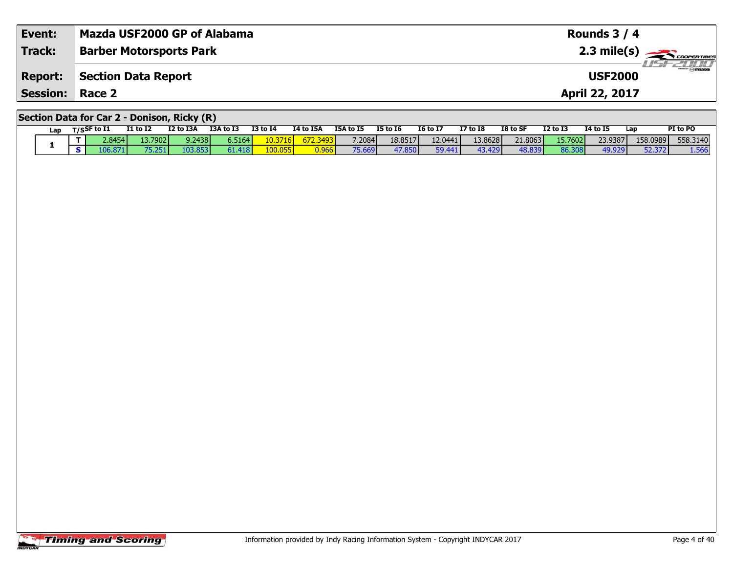| Event:                                      | Mazda USF2000 GP of Alabama    | Rounds $3/4$                      |  |  |  |  |  |  |  |
|---------------------------------------------|--------------------------------|-----------------------------------|--|--|--|--|--|--|--|
| <b>Track:</b>                               | <b>Barber Motorsports Park</b> | $2.3 \text{ mile(s)}$             |  |  |  |  |  |  |  |
| <b>Report:</b>                              | Section Data Report            | <b>USF 2000</b><br><b>USF2000</b> |  |  |  |  |  |  |  |
| <b>Session: Race 2</b>                      |                                | <b>April 22, 2017</b>             |  |  |  |  |  |  |  |
| Section Data for Car 2 - Donison, Ricky (R) |                                |                                   |  |  |  |  |  |  |  |

| Lap | $T/S$ SF to I1 | <b>I1 to I2</b> | I2 to I3A | I3A to I3 | <b>I3 to I4</b> | I4 to I5A | I5A to I5 | <b>I5 to 16</b> | <b>16 to 17</b> | $I7$ to $I8$ | I8 to SF | <b>I2 to I3</b> | <b>14 to 15</b> | Lap      | PI to PO |
|-----|----------------|-----------------|-----------|-----------|-----------------|-----------|-----------|-----------------|-----------------|--------------|----------|-----------------|-----------------|----------|----------|
|     | 2.8454         | 13.7902         | 9.2438    | 6.5164    | 10.3716         | 672.3493  | 7.2084    | 18.8517         | 12.0441         | 13.8628      | 21.8063  | 15.7602         | 23.9387         | 158.0989 | 558,3140 |
|     |                | 75.251          | 103.853   | 61.418    | 100.055         | J.966 I   | 75.669    | 47.850          | 59.441          | 43.429       | 48.839   | 86.308          | 49.929          | 52.372   | 1.566    |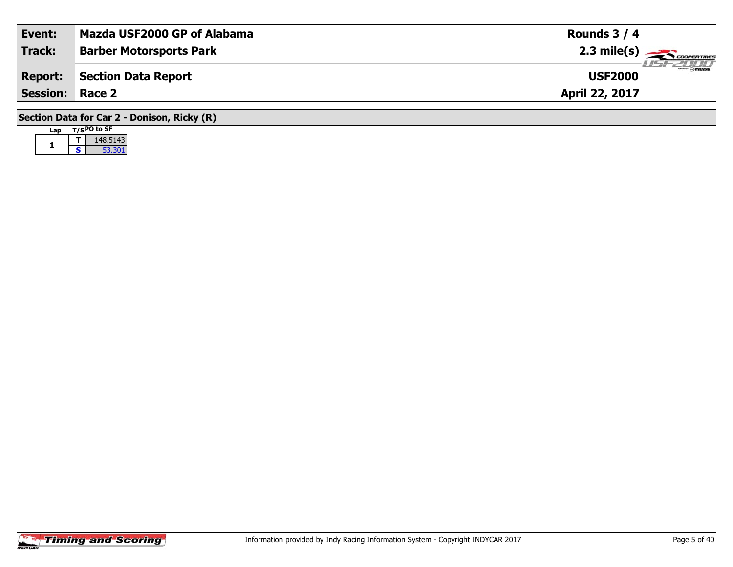| Event:                                      | Mazda USF2000 GP of Alabama    | Rounds $3/4$                      |  |  |  |  |  |  |  |  |
|---------------------------------------------|--------------------------------|-----------------------------------|--|--|--|--|--|--|--|--|
| <b>Track:</b>                               | <b>Barber Motorsports Park</b> | $\overbrace{1.3 \text{ mile(s)}}$ |  |  |  |  |  |  |  |  |
| <b>Report:</b>                              | <b>Section Data Report</b>     | <b>USF2000</b>                    |  |  |  |  |  |  |  |  |
| <b>Session:</b>                             | Race 2                         | April 22, 2017                    |  |  |  |  |  |  |  |  |
| Section Data for Car 2 - Donison, Ricky (R) |                                |                                   |  |  |  |  |  |  |  |  |

## **Lap T/SPO to SF 1 <sup>T</sup>** 148.5143 **<sup>S</sup>** 53.30153.301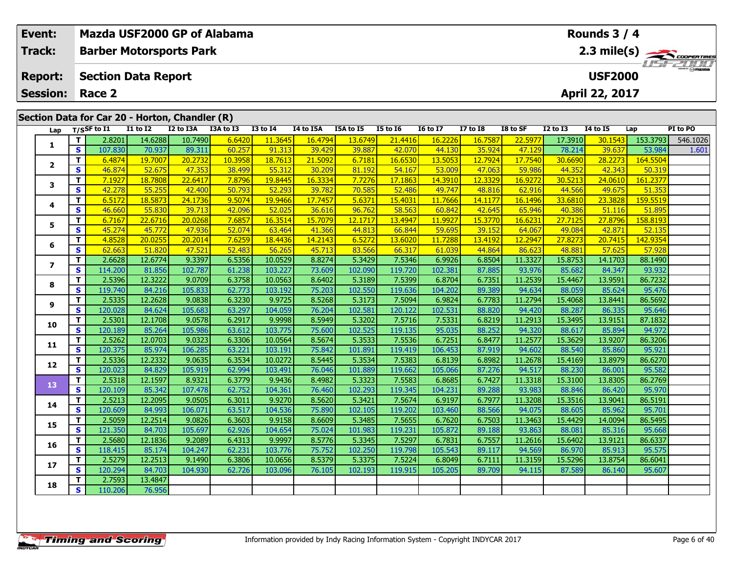| Event:                  |                                                | Mazda USF2000 GP of Alabama    |                   |                   |                  |                                         |                   |                   |                   |                   |                   |                   |                   | Rounds 3 / 4      |                    |             |
|-------------------------|------------------------------------------------|--------------------------------|-------------------|-------------------|------------------|-----------------------------------------|-------------------|-------------------|-------------------|-------------------|-------------------|-------------------|-------------------|-------------------|--------------------|-------------|
| <b>Track:</b>           |                                                | <b>Barber Motorsports Park</b> |                   |                   |                  |                                         |                   |                   |                   |                   |                   |                   |                   |                   |                    | 2.3 mile(s) |
| <b>Report:</b>          |                                                | <b>Section Data Report</b>     |                   |                   |                  | <i><b>ISFZONI</b></i><br><b>USF2000</b> |                   |                   |                   |                   |                   |                   |                   |                   |                    |             |
| <b>Session:</b>         |                                                | Race 2                         |                   |                   |                  |                                         |                   |                   |                   |                   |                   |                   |                   | April 22, 2017    |                    |             |
|                         | Section Data for Car 20 - Horton, Chandler (R) |                                |                   |                   |                  |                                         |                   |                   |                   |                   |                   |                   |                   |                   |                    |             |
| Lap                     |                                                | $T/S$ SF to $I1$               | <b>I1 to I2</b>   | I2 to I3A         | $I3A$ to $I3$    | <b>I3 to 14</b>                         | I4 to I5A         | I5A to I5         | <b>I5 to 16</b>   | <b>16 to 17</b>   | <b>I7 to I8</b>   | I8 to SF          | <b>I2 to I3</b>   | 14 to 15          | Lap                | PI to PO    |
|                         | T                                              | 2.8201                         | 14.6288           | 10.7490           | 6.6420           | 11.3645                                 | 16.4794           | 13.6749           | 21.4416           | 16.2226           | 16.7587           | 22.5977           | 17.3910           | 30.1543           | 153.3793           | 546.1026    |
| 1                       | $\mathbf{s}$                                   | 107.830                        | 70.937            | 89.311            | 60.257           | 91.313                                  | 39.429            | 39.887            | 42.070            | 44.130            | 35.924            | 47.129            | 78.214            | 39.637            | 53.984             | 1.601       |
| $\overline{\mathbf{2}}$ | T.                                             | 6.4874                         | 19.7007           | 20.2732           | 10.3958          | 18.7613                                 | 21.5092           | 6.7181            | 16.6530           | 13.5053           | 12.7924           | 17.7540           | 30.6690           | 28.2273           | 164.5504           |             |
|                         | $\mathbf{s}$                                   | 46.874                         | 52.675            | 47.353            | 38.499           | 55.312                                  | 30.209            | 81.192            | 54.167            | 53.009            | 47.063            | 59.986            | 44.352            | 42.343            | 50.319             |             |
| 3                       | $\overline{\mathbf{T}}$                        | 7.1927                         | 18.7808           | 22.6417<br>42.400 | 7.8796<br>50.793 | 19.8445<br>52.293                       | 16.3334           | 7.7276<br>70.585  | 17.1863<br>52.486 | 14.3910<br>49.747 | 12.3329<br>48.816 | 16.9272           | 30.5213<br>44.566 | 24.0610<br>49.675 | 161.2377<br>51.353 |             |
|                         | S<br>T.                                        | 42.278<br>6.5172               | 55.255<br>18.5873 | 24.1736           | 9.5074           | 19.946                                  | 39.782<br>17.7457 | 5.6371            | 15.4031           | 11.7666           | 14.1177           | 62.916<br>16.1496 | 33.6810           | 23.3828           | 159.5519           |             |
| 4                       | S                                              | 46.660                         | 55.830            | 39.713            | 42.096           | 52.025                                  | 36.616            | 96.762            | 58.563            | 60.842            | 42.645            | 65.946            | 40.386            | 51.116            | 51.895             |             |
|                         | T                                              | 6.7167                         | 22.6716           | 20.0268           | 7.6857           | 16.3514                                 | 15.7079           | 12.1717           | 13.4947           | 11.9927           | 15.3770           | 16.6231           | 27.7125           | 27.8796           | 158.8193           |             |
| 5                       | <b>S</b>                                       | 45.274                         | 45.772            | 47.936            | 52.074           | 63.464                                  | 41.366            | 44.813            | 66.844            | 59.695            | 39.152            | 64.067            | 49.084            | 42.871            | 52.135             |             |
|                         | T.                                             | 4.8528                         | 20.0255           | 20.2014           | 7.6259           | 18.4436                                 | 14.2143           | 6.5272            | 13.6020           | 11.7288           | 13.4192           | 12.2947           | 27.8273           | 20.7415           | 142.9354           |             |
| 6                       | $\mathbf{s}$                                   | 62.663                         | 51.820            | 47.521            | 52.483           | 56.265                                  | 45.713            | 83.566            | 66.317            | 61.039            | 44.864            | 86.623            | 48.881            | 57.625            | 57.928             |             |
| $\overline{\mathbf{z}}$ | $\mathbf{T}$                                   | 2.6628                         | 12.6774           | 9.3397            | 6.5356           | 10.0529                                 | 8.8274            | 5.3429            | 7.5346            | 6.9926            | 6.8504            | 11.3327           | 15.8753           | 14.1703           | 88.1490            |             |
|                         | S                                              | 114.200                        | 81.856            | 102.787           | 61.238           | 103.227                                 | 73.609            | 102.090           | 119.720           | 102.381           | 87.885            | 93.976            | 85.682            | 84.347            | 93.932             |             |
| 8                       | T.                                             | 2.5396                         | 12.3222           | 9.0709            | 6.3758           | 10.0563                                 | 8.6402            | 5.3189            | 7.5399            | 6.8704            | 6.7351            | 11.2539           | 15.4467           | 13.9591           | 86.7232            |             |
|                         | $\mathbf{s}$<br>T.                             | 119.740<br>2.5335              | 84.216<br>12.2628 | 105.833<br>9.0838 | 62.773<br>6.3230 | 103.192<br>9.9725                       | 75.203<br>8.5268  | 102.550<br>5.3173 | 119.636<br>7.5094 | 104.202<br>6.9824 | 89.389            | 94.634<br>11.2794 | 88.059<br>15.4068 | 85.624            | 95.476<br>86.5692  |             |
| 9                       | $\mathbf{s}$                                   | 120.028                        | 84.624            | 105.683           | 63.297           | 104.059                                 | 76.204            | 102.581           | 120.122           | 102.531           | 6.7783<br>88.820  | 94.420            | 88.287            | 13.8441<br>86.335 | 95.646             |             |
|                         | T                                              | 2.5301                         | 12.1708           | 9.0578            | 6.2917           | 9.9998                                  | 8.5949            | 5.3202            | 7.5716            | 7.5331            | 6.8219            | 11.2913           | 15.3495           | 13.9151           | 87.1832            |             |
| 10                      | $\mathbf{s}$                                   | 120.189                        | 85.264            | 105.986           | 63.612           | 103.775                                 | 75.600            | 102.525           | 119.135           | 95.035            | 88.252            | 94.320            | 88.617            | 85.894            | 94.972             |             |
|                         | T.                                             | 2.5262                         | 12.0703           | 9.0323            | 6.3306           | 10.0564                                 | 8.5674            | 5.3533            | 7.5536            | 6.7251            | 6.8477            | 11.2577           | 15.3629           | 13.9207           | 86.3206            |             |
| 11                      | $\overline{\mathbf{s}}$                        | 120.375                        | 85.974            | 106.285           | 63.221           | 103.191                                 | 75.842            | 101.891           | 119.419           | 106.453           | 87.919            | 94.602            | 88.540            | 85.860            | 95.921             |             |
| 12                      | T                                              | 2.5336                         | 12.2332           | 9.0635            | 6.3534           | 10.0272                                 | 8.5445            | 5.3534            | 7.5383            | 6.8139            | 6.8982            | 11.2678           | 15.4169           | 13.8979           | 86.6270            |             |
|                         | <b>S</b>                                       | 120.023                        | 84.829            | 105.919           | 62.994           | 103.491                                 | 76.046            | 101.889           | 119.662           | 105.066           | 87.276            | 94.517            | 88.230            | 86.001            | 95.582             |             |
| 13                      | T                                              | 2.5318                         | 12.1597           | 8.9321            | 6.3779           | 9.9436                                  | 8.4982            | 5.3323            | 7.5583            | 6.8685            | 6.7427            | 11.3318           | 15.3100           | 13.8305           | 86.2769            |             |
|                         | <b>S</b>                                       | 120.109                        | 85.342            | 107.478           | 62.752           | 104.361                                 | 76.460            | 102.293           | 119.345           | 104.231           | 89.288            | 93.983            | 88.846            | 86.420            | 95.970             |             |
| 14                      | T.                                             | 2.5213                         | 12.2095           | 9.0505            | 6.3011           | 9.9270                                  | 8.5620            | 5.3421            | 7.5674            | 6.9197            | 6.7977            | 11.3208           | 15.3516           | 13.9041           | 86.5191            |             |
|                         | S                                              | 120.609<br>2.5059              | 84.993<br>12.2514 | 106.071<br>9.0826 | 63.517<br>6.3603 | 104.536<br>9.9158                       | 75.890<br>8.6609  | 102.105<br>5.3485 | 119.202<br>7.5655 | 103.460<br>6.7620 | 88.566<br>6.7503  | 94.075            | 88.605<br>15.4429 | 85.962<br>14.0094 | 95.701             |             |
| 15                      | $\mathbf T$<br>$\mathbf{s}$                    | 121.350                        | 84.703            | 105.697           | 62.926           | 104.654                                 | 75.024            | 101.983           | 119.231           | 105.872           | 89.188            | 11.3463<br>93.863 | 88.081            | 85.316            | 86.5495<br>95.668  |             |
|                         | T.                                             | 2.5680                         | 12.1836           | 9.2089            | 6.4313           | 9.9997                                  | 8.5776            | 5.3345            | 7.5297            | 6.7831            | 6.7557            | 11.2616           | 15.6402           | 13.9121           | 86.6337            |             |
| 16                      | $\mathbf{s}$                                   | 118.415                        | 85.174            | 104.247           | 62.231           | 103.776                                 | 75.752            | 102.250           | 119.798           | 105.543           | 89.117            | 94.569            | 86.970            | 85.913            | 95.575             |             |
|                         | T                                              | 2.5279                         | 12.2513           | 9.1490            | 6.3806           | 10.0656                                 | 8.5379            | 5.3375            | 7.5224            | 6.8049            | 6.7111            | 11.3159           | 15.5296           | 13.8754           | 86.6041            |             |
| 17                      | <b>S</b>                                       | 120.294                        | 84.703            | 104.930           | 62.726           | 103.096                                 | 76.105            | 102.193           | 119.915           | 105.205           | 89.709            | 94.115            | 87.589            | 86.140            | 95.607             |             |
| 18                      | T.                                             | 2.7593                         | 13.4847           |                   |                  |                                         |                   |                   |                   |                   |                   |                   |                   |                   |                    |             |
|                         | S.                                             | 110.206                        | 76.956            |                   |                  |                                         |                   |                   |                   |                   |                   |                   |                   |                   |                    |             |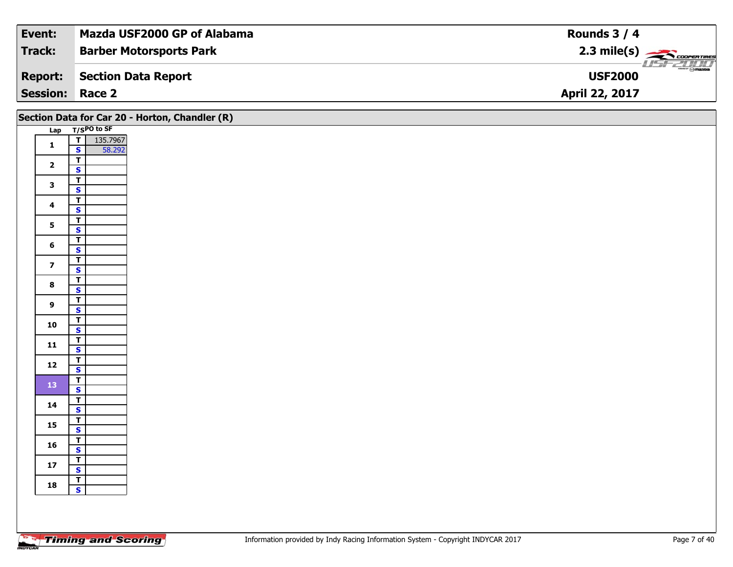| Event:                 | Mazda USF2000 GP of Alabama    | Rounds $3/4$                                |
|------------------------|--------------------------------|---------------------------------------------|
| Track:                 | <b>Barber Motorsports Park</b> | $2.3 \text{ mile(s)}$                       |
| <b>Report:</b>         | Section Data Report            | $\overline{\gamma}$ mazoa<br><b>USF2000</b> |
| <b>Session: Race 2</b> |                                | April 22, 2017                              |

|                         |                                           | Section Data for Car 20 - Horton, Chandler (R) |
|-------------------------|-------------------------------------------|------------------------------------------------|
|                         | Lap T/SPO to SF                           |                                                |
| $\mathbf 1$             | 135.7967<br>58.292<br>$\frac{1}{s}$       |                                                |
|                         |                                           |                                                |
| $\overline{2}$          | $\overline{\mathbf{r}}$                   |                                                |
|                         | $\overline{\mathbf{s}}$                   |                                                |
| $\mathbf{3}$            | $\frac{1}{s}$                             |                                                |
|                         |                                           |                                                |
| $\overline{\mathbf{4}}$ | $\overline{\mathbf{r}}$<br>$\mathbf{s}$   |                                                |
|                         | $\overline{I}$                            |                                                |
| $5\phantom{a}$          | $\overline{\mathbf{s}}$                   |                                                |
|                         | $\overline{\mathsf{r}}$                   |                                                |
| 6                       | $\mathbf{s}$                              |                                                |
|                         | $\overline{1}$                            |                                                |
| $\overline{\mathbf{z}}$ | $\overline{\mathbf{s}}$                   |                                                |
| $\bf{8}$                | $\overline{\mathsf{r}}$                   |                                                |
|                         | $\overline{\mathbf{s}}$                   |                                                |
| $\mathbf{9}$            | $\overline{\mathbf{T}}$                   |                                                |
|                         | $\overline{\mathbf{s}}$                   |                                                |
| 10                      | $\overline{1}$<br>$\overline{\mathbf{s}}$ |                                                |
|                         |                                           |                                                |
| $11$                    | $\frac{1}{s}$                             |                                                |
|                         |                                           |                                                |
| 12                      | $rac{1}{s}$                               |                                                |
| 13                      | $\overline{1}$                            |                                                |
|                         | $\mathbf{s}$                              |                                                |
| 14                      | $\overline{t}$<br>$\mathbf{s}$            |                                                |
|                         | $\mathbf{T}$                              |                                                |
| 15                      | $\overline{\mathbf{s}}$                   |                                                |
|                         |                                           |                                                |
| 16                      | $rac{1}{s}$                               |                                                |
| $17\,$                  | $\mathbf{T}$                              |                                                |
|                         | $\mathbf{s}$                              |                                                |
| 18                      | $\overline{\mathbf{r}}$                   |                                                |
|                         | $\overline{\mathbf{s}}$                   |                                                |
|                         |                                           |                                                |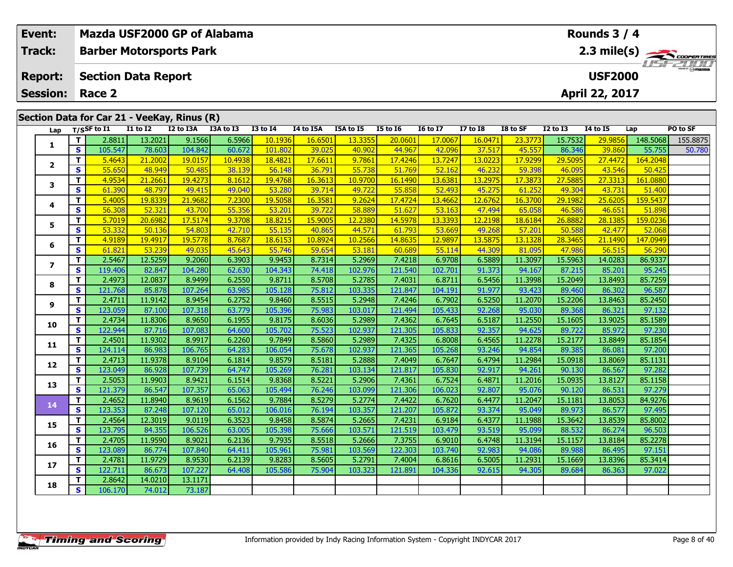| Event:                                       |                          | Mazda USF2000 GP of Alabama                 |                                    |                   |                  |                   |                  |                   |                   |                   |                  |                               |                   | Rounds $3/4$      |                   |          |  |
|----------------------------------------------|--------------------------|---------------------------------------------|------------------------------------|-------------------|------------------|-------------------|------------------|-------------------|-------------------|-------------------|------------------|-------------------------------|-------------------|-------------------|-------------------|----------|--|
| <b>Track:</b>                                |                          | <b>Barber Motorsports Park</b>              |                                    |                   |                  |                   |                  |                   |                   |                   |                  |                               |                   |                   |                   |          |  |
| <b>Section Data Report</b><br><b>Report:</b> |                          |                                             |                                    |                   |                  |                   |                  |                   |                   |                   |                  | 2.3 mile(s)<br><b>USF2000</b> |                   |                   |                   |          |  |
|                                              |                          |                                             |                                    |                   |                  |                   |                  |                   |                   |                   |                  |                               |                   |                   |                   |          |  |
| <b>Session:</b>                              | April 22, 2017<br>Race 2 |                                             |                                    |                   |                  |                   |                  |                   |                   |                   |                  |                               |                   |                   |                   |          |  |
|                                              |                          | Section Data for Car 21 - VeeKay, Rinus (R) |                                    |                   |                  |                   |                  |                   |                   |                   |                  |                               |                   |                   |                   |          |  |
| Lap                                          |                          | $T/S$ SF to I1                              | $\overline{11}$ to $\overline{12}$ | I2 to I3A         | I3A to I3        | <b>I3 to I4</b>   | I4 to I5A        | I5A to I5         | <b>I5 to 16</b>   | <b>I6 to I7</b>   | $I7$ to $I8$     | I8 to SF                      | <b>I2 to I3</b>   | <b>14 to 15</b>   | Lap               | PO to SF |  |
|                                              | Т                        | 2.8811                                      | 13.2021                            | 9.1566            | 6.5966           | 10.1936           | 16.6501          | 13.3355           | 20.0601           | 17.0067           | 16.0471          | 23.3773                       | 15.7532           | 29.9856           | 148.5068          | 155.8875 |  |
| 1                                            | $\mathbf{s}$             | 105.547                                     | 78.603                             | 104.842           | 60.672           | 101.802           | 39.025           | 40.902            | 44.967            | 42.096            | 37.517           | 45.557                        | 86.346            | 39.860            | 55.755            | 50.780   |  |
|                                              | T                        | 5.4643                                      | 21.2002                            | 19.0157           | 10.4938          | 18.4821           | 17.6611          | 9.7861            | 17.4246           | 13.7247           | 13.0223          | 17.9299                       | 29.5095           | 27.4472           | 164.2048          |          |  |
| $\overline{2}$                               | S                        | 55.650                                      | 48.949                             | 50.485            | 38.139           | 56.148            | 36.791           | 55.738            | 51.769            | 52.162            | 46.232           | 59.398                        | 46.095            | 43.546            | 50.425            |          |  |
| 3                                            | T.                       | 4.9534                                      | 21,2661                            | 19.4273           | 8.1612           | 19,4768           | 16.3613          | 10.9700           | 16.1490           | 13.6381           | 13.2975          | 17.3873                       | 27.5885           | 27.3313           | 161.0880          |          |  |
|                                              | S                        | 61.390                                      | 48.797                             | 49.415            | 49.040           | 53,280            | 39.714           | 49.722            | 55.858            | 52.493            | 45.275           | 61.252                        | 49.304            | 43.731            | 51.400            |          |  |
| 4                                            | T                        | 5.4005                                      | 19.8339                            | 21,9682           | 7.2300           | 19.5058           | 16.3581          | 9.2624            | 17.4724           | 13.4662           | 12.6762          | 16.3700                       | 29.1982           | 25.6205           | 159.5437          |          |  |
|                                              | $\mathbf{s}$             | 56.308                                      | 52.321                             | 43.700            | 55.356           | 53.201            | 39.722           | 58.889            | 51.627            | 53.163            | 47.494           | 65.058                        | 46.586            | 46.651            | 51.898            |          |  |
| 5                                            | T                        | 5.7019                                      | 20.6982                            | 17.5174           | 9.3708           | 18.8215           | 15.9005          | 12.2380           | 14.5978           | 13.3393           | 12.2198          | 18.6184                       | 26.8882           | 28.1385           | 159.0236          |          |  |
|                                              | $\mathbf{s}$             | 53.332                                      | 50.136                             | 54.803            | 42.710           | 55.135            | 40.865           | 44.571            | 61.793            | 53.669            | 49.268           | 57.201                        | 50.588            | 42.477            | 52.068            |          |  |
| 6                                            | T.                       | 4.9189                                      | 19.4917                            | 19.5778           | 8.7687           | 18.6153           | 10.8924          | 10.2566           | 14.8635           | 12,9897           | 13.5875          | 13.1328                       | 28.3465           | 21.1490           | 147.0949          |          |  |
|                                              | <b>S</b>                 | 61.821                                      | 53.239                             | 49.035            | 45.643           | 55.746            | 59.654           | 53.181            | 60.689            | 55.114            | 44.309           | 81.095                        | 47.986            | 56.515            | 56.290            |          |  |
| $\overline{ }$                               | T.                       | 2.5467                                      | 12.5259                            | 9.2060            | 6.3903           | 9.9453            | 8.7314           | 5.2969            | 7.4218            | 6.9708            | 6.5889           | 11.3097                       | 15.5963           | 14.0283           | 86.9337           |          |  |
|                                              | S                        | 119.406                                     | 82.847                             | 104.280           | 62.630           | 104.343           | 74.418           | 102.976           | 121.540           | 102.701           | 91.373           | 94.167                        | 87.215            | 85.201            | 95.245            |          |  |
| 8                                            | T<br>$\mathbf{s}$        | 2.4973<br>121.768                           | 12.0837                            | 8.9499            | 6.2550           | 9.8711            | 8.5708           | 5.2785            | 7.4031            | 6.8711            | 6.5456           | 11.3998                       | 15.2049           | 13.8493           | 85.7259           |          |  |
|                                              | T                        | 2.4711                                      | 85.878<br>11.9142                  | 107.264<br>8.9454 | 63.985<br>6.2752 | 105.128<br>9.8460 | 75.812<br>8.5515 | 103.335<br>5.2948 | 121.847<br>7.4246 | 104.191<br>6.7902 | 91.977<br>6.5250 | 93.423<br>11.2070             | 89.460<br>15.2206 | 86.302<br>13.8463 | 96.587<br>85.2450 |          |  |
| 9                                            | S                        | 123.059                                     | 87.100                             | 107.318           | 63.779           | 105.396           | 75.983           | 103.017           | 121.494           | 105.433           | 92.268           | 95.030                        | 89.368            | 86.321            | 97.132            |          |  |
|                                              | T.                       | 2.4734                                      | 11.8306                            | 8.9650            | 6.1955           | 9.8175            | 8.6036           | 5.2989            | 7.4362            | 6.7645            | 6.5187           | 11.2550                       | 15.1605           | 13.9025           | 85.1589           |          |  |
| 10                                           | <b>S</b>                 | 122.944                                     | 87.716                             | 107.083           | 64.600           | 105.702           | 75.523           | 102.937           | 121.305           | 105.833           | 92.357           | 94.625                        | 89.722            | 85.972            | 97.230            |          |  |
|                                              | T                        | 2.4501                                      | 11.9302                            | 8.9917            | 6.2260           | 9.7849            | 8.5860           | 5.2989            | 7.4325            | 6.8008            | 6.4565           | 11.2278                       | 15.2177           | 13.8849           | 85.1854           |          |  |
| 11                                           | $\mathbf{s}$             | 124.114                                     | 86.983                             | 106.765           | 64.283           | 106.054           | 75.678           | 102.937           | 121.365           | 105.268           | 93.246           | 94.854                        | 89.385            | 86.081            | 97.200            |          |  |
|                                              | T.                       | 2.4713                                      | 11.9378                            | 8.9104            | 6.1814           | 9.8579            | 8.5181           | 5.2888            | 7.4049            | 6.7647            | 6.4794           | 11.2984                       | 15.0918           | 13.8069           | 85.1131           |          |  |
| 12                                           | $\mathbf{s}$             | 123.049                                     | 86.928                             | 107.739           | 64.747           | 105.269           | 76.281           | 103.134           | 121.817           | 105.830           | 92.917           | 94.261                        | 90.130            | 86.567            | 97.282            |          |  |
| 13                                           | T.                       | 2.5053                                      | 11.9903                            | 8.9421            | 6.1514           | 9.8368            | 8.5221           | 5.2906            | 7.4361            | 6.7524            | 6.4871           | 11.2016                       | 15.0935           | 13.8127           | 85.1158           |          |  |
|                                              | <b>S</b>                 | 121.379                                     | 86.547                             | 107.357           | 65.063           | 105.494           | 76.246           | 103.099           | 121.306           | 106.023           | 92.807           | 95.076                        | 90.120            | 86.531            | 97.279            |          |  |
| 14                                           | Т                        | 2.4652                                      | 11.8940                            | 8.9619            | 6.1562           | 9.7884            | 8.5279           | 5.2774            | 7.4422            | 6.7620            | 6.4477           | 11.2047                       | 15.1181           | 13.8053           | 84.9276           |          |  |
|                                              | S                        | 123.353                                     | 87.248                             | 107.120           | 65.012           | 106.016           | 76.194           | 103.357           | 121.207           | 105.872           | 93.374           | 95.049                        | 89.973            | 86.577            | 97.495            |          |  |

**8 T** 2.8642 14.0210 13.1171<br>**S** 106.170 74.012 73.187

73.187

**15**

**16**

**17**

**18**

**<sup>T</sup>** 2.4564 12.3019 9.0119 6.3523 9.8458 8.5874 5.2665 7.4231 6.9184 6.4377 11.1988 15.3642 13.8539 85.8002 **<sup>S</sup>** 123.795 84.355 106.526 63.005 105.398 75.666 103.571 121.519 103.479 93.519 95.099 88.532 86.274 96.503

**<sup>T</sup>** 2.4705 11.9590 8.9021 6.2136 9.7935 8.5518 5.2666 7.3755 6.9010 6.4748 11.3194 15.1157 13.8184 85.2278 **<sup>S</sup>** 123.089 86.774 107.840 64.411 105.961 75.981 103.569 122.303 103.740 92.983 94.086 89.988 86.495 97.151

**<sup>T</sup>** 2.4781 11.9729 8.9530 6.2139 9.8283 8.5605 5.2791 7.4004 6.8616 6.5005 11.2931 15.1669 13.8396 85.3414 **<sup>S</sup>** 122.711 86.673 107.227 64.408 105.586 75.904 103.323 121.891 104.336 92.615 94.305 89.684 86.363 97.022

97.151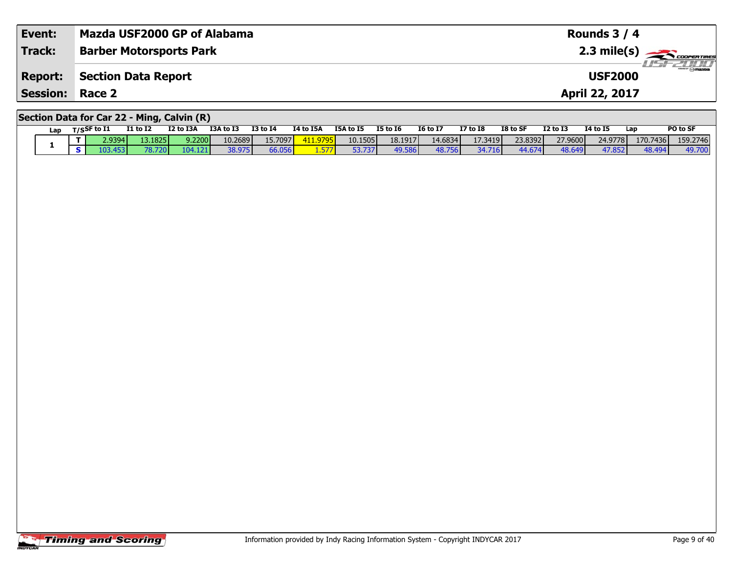| Event:                                     | Mazda USF2000 GP of Alabama    | Rounds $3/4$                               |  |  |  |  |  |  |  |
|--------------------------------------------|--------------------------------|--------------------------------------------|--|--|--|--|--|--|--|
| <b>Track:</b>                              | <b>Barber Motorsports Park</b> | $2.3$ mile(s) $\rightarrow$ COOPER TIRES   |  |  |  |  |  |  |  |
| <b>Report:</b>                             | Section Data Report            | $\overline{\odot}$ mazpa<br><b>USF2000</b> |  |  |  |  |  |  |  |
| <b>Session:</b>                            | Race 2                         | April 22, 2017                             |  |  |  |  |  |  |  |
| Section Data for Car 22 - Ming, Calvin (R) |                                |                                            |  |  |  |  |  |  |  |

|  | Lap | T/SSF to I1 |                 | <b>I1 to I2</b> | I2 to I3A | <b>I3A to I3</b> | <b>I3 to I4</b> | <b>I4 to I5A</b>    | <b>I5A to I5</b> | <b>I5 to 16</b> | <b>16 to 17</b> | <b>I7 to I8</b> | I8 to SF | <b>12 to 13</b> | <b>14 to 15</b> | Lap      | PO to SF |
|--|-----|-------------|-----------------|-----------------|-----------|------------------|-----------------|---------------------|------------------|-----------------|-----------------|-----------------|----------|-----------------|-----------------|----------|----------|
|  |     |             | 2.9394 <b>l</b> | 13.1825         | 9.2200    | 10.2689          | 15.7097         | $-411.979r$<br>כצונ | 10.15051         | 18.1917         | 14.6834         | 17.3419         | 23.8392  | 27.9600         | 24.9778         | 170.7436 | 159.2746 |
|  |     |             | 103.4531        | 78.72c          |           | 38.975           | 66.056          |                     | 53.737           | 49.586          | 48.756          | 34.716          | 44.674   | 48.649          | 47.852          | 48.494   | 49.700   |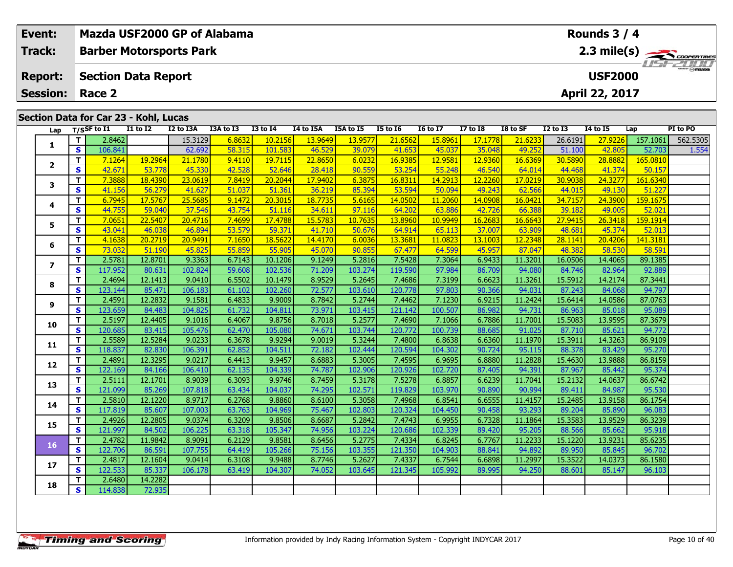| Event:<br>Track: |          | Mazda USF2000 GP of Alabama<br><b>Barber Motorsports Park</b> |                   |                   |                  |                   |                   |                   |                   |                   |                   |                                                               |                   | Rounds $3/4$      |                    |          |  |
|------------------|----------|---------------------------------------------------------------|-------------------|-------------------|------------------|-------------------|-------------------|-------------------|-------------------|-------------------|-------------------|---------------------------------------------------------------|-------------------|-------------------|--------------------|----------|--|
|                  |          |                                                               |                   |                   |                  |                   |                   |                   |                   |                   |                   |                                                               |                   |                   |                    |          |  |
| <b>Report:</b>   |          | <b>Section Data Report</b>                                    |                   |                   |                  |                   |                   |                   |                   |                   |                   | $\frac{2.3 \text{ mile(s)}}{1157 - 211117}$<br><b>USF2000</b> |                   |                   |                    |          |  |
| <b>Session:</b>  |          | Race 2                                                        |                   |                   |                  |                   |                   |                   |                   |                   |                   |                                                               |                   | April 22, 2017    |                    |          |  |
|                  |          |                                                               |                   |                   |                  |                   |                   |                   |                   |                   |                   |                                                               |                   |                   |                    |          |  |
|                  |          | Section Data for Car 23 - Kohl, Lucas                         |                   |                   |                  |                   |                   |                   |                   |                   |                   |                                                               |                   |                   |                    |          |  |
| Lap              |          | $T/S$ SF to I1                                                | $I1$ to $I2$      | I2 to I3A         | I3A to I3        | <b>I3 to 14</b>   | I4 to I5A         | I5A to I5         | <b>I5 to 16</b>   | <b>I6 to I7</b>   | <b>I7 to I8</b>   | I8 to SF                                                      | <b>I2 to I3</b>   | <b>I4 to I5</b>   | Lap                | PI to PO |  |
| 1                | T.       | 2.8462                                                        |                   | 15.3129           | 6.8632           | 10.2156           | 13.9649           | 13.9577           | 21.6562           | 15.8961           | 17.1778           | 21.6233                                                       | 26.6191           | 27.9226           | 157.1061           | 562.5305 |  |
|                  | S        | 106.841                                                       | 19.2964           | 62.692            | 58.315<br>9.4110 | 101.583           | 46.529            | 39.079<br>6.0232  | 41.653<br>16.9385 | 45.037            | 35.048<br>12.9360 | 49.252                                                        | 51.100<br>30.5890 | 42.805<br>28.8882 | 52.703<br>165.0810 | 1.554    |  |
| $\mathbf{2}$     | T.<br>S. | 7.1264<br>42.671                                              | 53.778            | 21.1780<br>45.330 | 42.528           | 19.7115<br>52.646 | 22.8650<br>28.418 | 90.559            | 53.254            | 12.9581<br>55.248 | 46.540            | 16.6369<br>64.014                                             | 44.468            | 41.374            | 50.157             |          |  |
|                  | T.       | 7.3888                                                        | 18.4390           | 23.0619           | 7.8419           | 20.2044           | 17.9402           | 6.3875            | 16.8311           | 14.2913           | 12.2260           | 17.0219                                                       | 30.9038           | 24.3277           | 161.6340           |          |  |
| 3                | S        | 41.156                                                        | 56.279            | 41.627            | 51.037           | 51.361            | 36.219            | 85.394            | 53.594            | 50.094            | 49.243            | 62.566                                                        | 44.015            | 49.130            | 51.227             |          |  |
|                  | T.       | 6.7945                                                        | 17.5767           | 25.5685           | 9.1472           | 20.3015           | 18.7735           | 5.6165            | 14.0502           | 11.2060           | 14.0908           | 16.0421                                                       | 34.7157           | 24.3900           | 159.1675           |          |  |
| 4                | S.       | 44.755                                                        | 59.040            | 37.546            | 43.754           | 51.116            | 34.611            | 97.116            | 64.202            | 63.886            | 42.726            | 66.388                                                        | 39.182            | 49.005            | 52.021             |          |  |
|                  | T.       | 7.0651                                                        | 22.5407           | 20.4716           | 7.4699           | 17.4788           | 15.5783           | 10.7635           | 13.8960           | 10.9949           | 16.2683           | 16.6643                                                       | 27.9415           | 26.3418           | 159.1914           |          |  |
| 5                | S        | 43.041                                                        | 46.038            | 46.894            | 53.579           | 59.371            | 41.710            | 50.676            | 64.914            | 65.113            | 37.007            | 63.909                                                        | 48.681            | 45.374            | 52.013             |          |  |
|                  | T.       | 4.1638                                                        | 20.2719           | 20.9491           | 7.1650           | 18.5622           | 14.4170           | 6.0036            | 13.3681           | 11.0823           | 13.1003           | 12.2348                                                       | 28.1141           | 20,4206           | 141.3181           |          |  |
| 6                | S        | 73.032                                                        | 51.190            | 45.825            | 55.859           | 55.905            | 45.070            | 90.855            | 67.477            | 64.599            | 45.957            | 87.047                                                        | 48.382            | 58.530            | 58.591             |          |  |
|                  | T.       | 2.5781                                                        | 12.8701           | 9.3363            | 6.7143           | 10.1206           | 9.1249            | 5.2816            | 7.5428            | 7.3064            | 6.9433            | 11.3201                                                       | 16.0506           | 14.4065           | 89.1385            |          |  |
| $\overline{ }$   | S.       | 117.952                                                       | 80.631            | 102.824           | 59.608           | 102.536           | 71.209            | 103.274           | 119.590           | 97.984            | 86.709            | 94.080                                                        | 84.746            | 82.964            | 92.889             |          |  |
| 8                | T.       | 2.4694                                                        | 12.1413           | 9.0410            | 6.5502           | 10.1479           | 8.9529            | 5.2645            | 7.4686            | 7.3199            | 6.6623            | 11.3261                                                       | 15.5912           | 14.2174           | 87.3441            |          |  |
|                  | S        | 123.144                                                       | 85.471            | 106.183           | 61.102           | 102.260           | 72.577            | 103.610           | 120.778           | 97.803            | 90.366            | 94.031                                                        | 87.243            | 84.068            | 94.797             |          |  |
| 9                | Τ.       | 2.4591                                                        | 12.2832           | 9.1581            | 6.4833           | 9.9009            | 8.7842            | 5.2744            | 7.4462            | 7.1230            | 6.9215            | 11.2424                                                       | 15.6414           | 14.0586           | 87.0763            |          |  |
|                  | S        | 123.659                                                       | 84.483            | 104.825           | 61.732           | 104.811           | 73.971            | 103.415           | 121.142           | 100.507           | 86.982            | 94.731                                                        | 86.963            | 85.018            | 95.089             |          |  |
| 10               | T.       | 2.5197                                                        | 12.4405           | 9.1016            | 6.4067           | 9.8756            | 8.7018            | 5.2577            | 7.4690            | 7.1066            | 6.7886            | 11.7001                                                       | 15.5083           | 13.9595           | 87.3679            |          |  |
|                  | S.       | 120.685                                                       | 83.415            | 105.476           | 62.470           | 105.080           | 74.671            | 103.744           | 120.772           | 100.739           | 88.685            | 91.025                                                        | 87.710            | 85.621            | 94.772             |          |  |
| 11               | T.<br>S. | 2.5589                                                        | 12.5284           | 9.0233            | 6.3678           | 9.9294            | 9.0019            | 5.3244            | 7.4800            | 6.8638            | 6.6360            | 11.1970                                                       | 15.3911           | 14.3263           | 86.9109            |          |  |
|                  | T.       | 118.837<br>2.4891                                             | 82.830            | 106.391<br>9.0217 | 62.852<br>6.4413 | 104.511<br>9.9457 | 72.182<br>8.6883  | 102.444           | 120.594<br>7.4595 | 104.302<br>6.9695 | 90.724<br>6.8880  | 95.115                                                        | 88.378<br>15.4630 | 83.429<br>13.9888 | 95.270<br>86.8159  |          |  |
| 12               | S.       | 122.169                                                       | 12.3295<br>84.166 | 106.410           | 62.135           | 104.339           | 74.787            | 5.3005<br>102.906 | 120.926           | 102.720           | 87.405            | 11.2828<br>94.391                                             | 87.967            | 85.442            | 95.374             |          |  |
|                  | T.       | 2.5111                                                        | 12.1701           | 8.9039            | 6.3093           | 9.9746            | 8.7459            | 5.3178            | 7.5278            | 6.8857            | 6.6239            | 11.7041                                                       | 15.2132           | 14.0637           | 86.6742            |          |  |
| 13               | S.       | 121.099                                                       | 85.269            | 107.818           | 63.434           | 104.037           | 74.295            | 102.571           | 119.829           | 103.970           | 90.890            | 90.994                                                        | 89.411            | 84.987            | 95.530             |          |  |

**<sup>T</sup>** 2.5810 12.1220 8.9717 6.2768 9.8860 8.6100 5.3058 7.4968 6.8541 6.6555 11.4157 15.2485 13.9158 86.1754 **<sup>S</sup>** 117.819 85.607 107.003 63.763 104.969 75.467 102.803 120.324 104.450 90.458 93.293 89.204 85.890 96.083

**T** 2.4926 12.2805 9.0374 6.3209 9.8506 8.6687 5.2842 7.4743 6.9955 6.7328 11.1864 15.3583 13.9529 86.3239<br>S S 121.997 84.502 106.225 63.318 105.347 74.956 103.224 120.686 102.339 89.420 95.205 88.566 85.662 95.918

**<sup>T</sup>** 2.4782 11.9842 8.9091 6.2129 9.8581 8.6456 5.2775 7.4334 6.8245 6.7767 11.2233 15.1220 13.9231 85.6235 **<sup>S</sup>** 122.706 86.591 107.755 64.419 105.266 75.156 103.355 121.350 104.903 88.841 94.892 89.950 85.845 96.702

**<sup>T</sup>** 2.4817 12.1604 9.0414 6.3108 9.9488 8.7746 5.2627 7.4337 6.7544 6.6898 11.2997 15.3522 14.0373 86.1580 **<sup>S</sup>** 122.533 85.337 106.178 63.419 104.307 74.052 103.645 121.345 105.992 89.995 94.250 88.601 85.147 96.103

**<sup>T</sup>** 2.6480 14.2282 **<sup>S</sup>** 114.838 72.935

72.935

**14**

**15**

**16**

**17**

**18**

96.083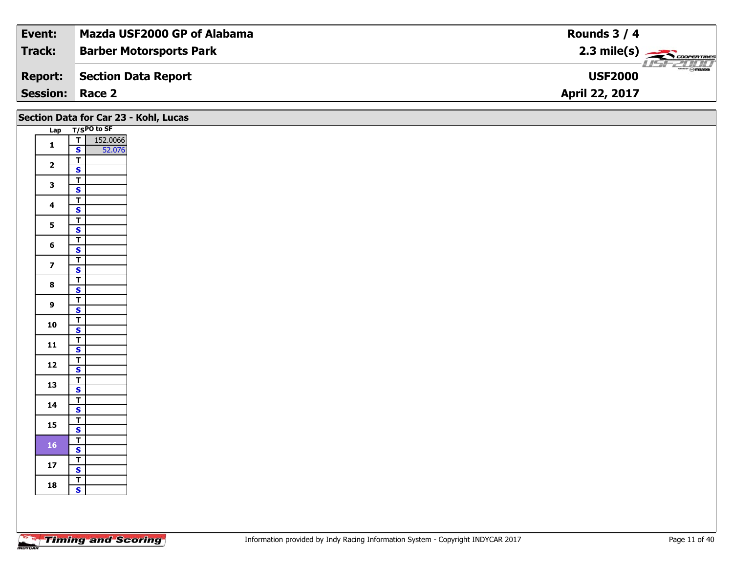| Event:                 | Mazda USF2000 GP of Alabama    | Rounds $3/4$                    |
|------------------------|--------------------------------|---------------------------------|
| Track:                 | <b>Barber Motorsports Park</b> | $2.3 \text{ mile(s)}$           |
| <b>Report:</b>         | Section Data Report            | $\odot$ mazpa<br><b>USF2000</b> |
| <b>Session: Race 2</b> |                                | <b>April 22, 2017</b>           |

|                         |                                                    | Section Data for Car 23 - Kohl, Lucas |
|-------------------------|----------------------------------------------------|---------------------------------------|
|                         | Lap T/SPO to SF                                    |                                       |
| $\mathbf 1$             | 152.0066<br>T<br>$\mathbf{s}$<br>52.076            |                                       |
| $\overline{2}$          | $\overline{L}$<br>$\mathbf{s}$                     |                                       |
| $\mathbf{3}$            | $\overline{\mathbf{r}}$<br>$\mathbf{s}$            |                                       |
| $\overline{\mathbf{4}}$ | $\overline{\mathbf{r}}$                            |                                       |
| 5 <sub>5</sub>          | $\mathbf{s}$<br>$\mathbf{T}$                       |                                       |
|                         | $\overline{\mathbf{s}}$<br>$\overline{\mathsf{T}}$ |                                       |
| $6\overline{6}$         | $\mathbf{s}$<br>$\overline{I}$                     |                                       |
| $\overline{7}$          | $\overline{\mathbf{s}}$                            |                                       |
| $\bf8$                  | $\overline{\mathsf{r}}$<br>$\overline{\mathbf{s}}$ |                                       |
| $\overline{9}$          | $\overline{\mathsf{T}}$<br>$\mathbf{s}$            |                                       |
| 10                      | $\mathbf{T}$<br>$\overline{\mathbf{s}}$            |                                       |
| $11$                    | $\overline{\mathbf{T}}$<br>$\mathbf{s}$            |                                       |
| $12$                    | $\overline{I}$<br>$\overline{\mathbf{s}}$          |                                       |
| 13                      | $\overline{\mathsf{r}}$                            |                                       |
| $14$                    | $\mathbf{s}$<br>$\overline{\mathsf{T}}$            |                                       |
|                         | $\mathbf{s}$<br>$\overline{\mathbf{r}}$            |                                       |
| 15                      | $\overline{\mathbf{s}}$<br>$\overline{1}$          |                                       |
| <b>16</b>               | $\mathbf{s}$                                       |                                       |
| $17$                    | $rac{T}{s}$                                        |                                       |
| 18                      | $\overline{1}$<br>$\overline{\mathbf{s}}$          |                                       |
|                         |                                                    |                                       |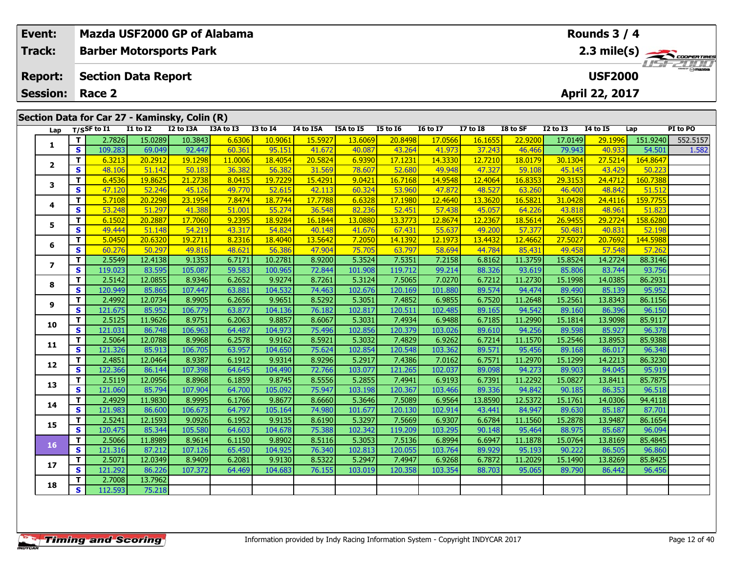| 2.3 mile(s)<br>Track:<br><b>Barber Motorsports Park</b><br><b>USF2000</b><br><b>Section Data Report</b><br><b>Report:</b><br>April 22, 2017<br><b>Session:</b><br>Race 2<br>Section Data for Car 27 - Kaminsky, Colin (R)<br>$\overline{11}$ to $\overline{12}$<br>I2 to I3A<br>I3A to I3<br>$T/S$ SF to $I1$<br><b>I3 to 14</b><br>I5A to I5<br><b>I5 to 16</b><br><b>I6 to I7</b><br><b>I7 to I8</b><br>I8 to SF<br><b>I2 to I3</b><br><b>I4 to I5</b><br>I4 to I5A<br>Lap<br>Lap<br>10.3843<br>17.0149<br>151.9240<br>т<br>2.7826<br>15.0289<br>6.6306<br>15.5927<br>20.8498<br>17.0566<br>16.1655<br>22.9200<br>29.1996<br>10.9061<br>13.6069<br>1 | USF2000  |
|--------------------------------------------------------------------------------------------------------------------------------------------------------------------------------------------------------------------------------------------------------------------------------------------------------------------------------------------------------------------------------------------------------------------------------------------------------------------------------------------------------------------------------------------------------------------------------------------------------------------------------------------------------|----------|
|                                                                                                                                                                                                                                                                                                                                                                                                                                                                                                                                                                                                                                                        |          |
|                                                                                                                                                                                                                                                                                                                                                                                                                                                                                                                                                                                                                                                        |          |
|                                                                                                                                                                                                                                                                                                                                                                                                                                                                                                                                                                                                                                                        |          |
|                                                                                                                                                                                                                                                                                                                                                                                                                                                                                                                                                                                                                                                        |          |
|                                                                                                                                                                                                                                                                                                                                                                                                                                                                                                                                                                                                                                                        |          |
|                                                                                                                                                                                                                                                                                                                                                                                                                                                                                                                                                                                                                                                        | PI to PO |
|                                                                                                                                                                                                                                                                                                                                                                                                                                                                                                                                                                                                                                                        | 552.5157 |
| $\mathbf s$<br>109.283<br>69.049<br>92.447<br>60.361<br>95.151<br>40.087<br>43.264<br>37.243<br>79.943<br>40.933<br>41.672<br>41.973<br>46.466<br>54.501                                                                                                                                                                                                                                                                                                                                                                                                                                                                                               | 1.582    |
| т<br>19.1298<br>11.0006<br>18.4054<br>20.5824<br>6.9390<br>17.1231<br>14.3330<br>12.7210<br>18.0179<br>30.1304<br>27.5214<br>6.3213<br>20.2912<br>164.8647<br>$\mathbf{2}$                                                                                                                                                                                                                                                                                                                                                                                                                                                                             |          |
| $\mathbf{s}$<br>36.382<br>52.680<br>43.429<br>50.223<br>48.106<br>51.142<br>50.183<br>56.382<br>31.569<br>78.607<br>49.948<br>47.327<br>59.108<br>45.145                                                                                                                                                                                                                                                                                                                                                                                                                                                                                               |          |
| 29.3153<br>T.<br>6.4536<br>19.8625<br>21.2738<br>8.0415<br>19.7229<br>15.4291<br>9.0421<br>16.7168<br>14.9548<br>12.4064<br>16.8353<br>24.4712<br>160.7388<br>3                                                                                                                                                                                                                                                                                                                                                                                                                                                                                        |          |
| $\mathbf{s}$<br>47.120<br>52.246<br>45.126<br>49.770<br>52.615<br>42.113<br>60.324<br>53.960<br>47.872<br>48.527<br>63.260<br>46.400<br>48.842<br>51.512                                                                                                                                                                                                                                                                                                                                                                                                                                                                                               |          |
| T.<br>23.1954<br>7.8474<br>6.6328<br>17.1980<br>12.4640<br>31.0428<br>24.4116<br>159.7755<br>5.7108<br>20.2298<br>18.7744<br>17.7788<br>13.3620<br>16.5821<br>4                                                                                                                                                                                                                                                                                                                                                                                                                                                                                        |          |
| S<br>53.248<br>51.297<br>41.388<br>51.001<br>55.274<br>36.548<br>82.236<br>52.451<br>57.438<br>45.057<br>43.818<br>48.961<br>51.823<br>64.226                                                                                                                                                                                                                                                                                                                                                                                                                                                                                                          |          |
| 17.7060<br>9.2395<br>18.928<br>13.088<br>13.3773<br>12.2367<br>18.5614<br>26.9455<br>158.6280<br>T.<br>6.1502<br>20.2887<br>16.1844<br>12.8674<br>29,2724<br>5<br>S<br>49.444<br>54.219<br>43.317<br>54.824<br>40.148<br>67.431<br>49.200<br>50.481<br>40.831<br>51.148<br>41.676<br>55.637<br>57.377<br>52.198                                                                                                                                                                                                                                                                                                                                        |          |
| T.<br>5.0450<br>20.6320<br>19.2711<br>8.2316<br>18.4040<br>13.5642<br>7.2050<br>14.1392<br>12.1973<br>13.4432<br>12.4662<br>27.5027<br>20.7692<br>144.5988                                                                                                                                                                                                                                                                                                                                                                                                                                                                                             |          |
| 6<br>$\mathbf s$<br>60.276<br>50.297<br>49.816<br>48.621<br>56.386<br>47.904<br>75.705<br>63.797<br>58.694<br>44.784<br>85.431<br>49.458<br>57.548<br>57.262                                                                                                                                                                                                                                                                                                                                                                                                                                                                                           |          |
| 2.5549<br>9.1353<br>6.7171<br>10.2781<br>8.9200<br>5.3524<br>7.5351<br>7.2158<br>11.3759<br>15.8524<br>T.<br>12.4138<br>6.8162<br>14.2724<br>88.3146                                                                                                                                                                                                                                                                                                                                                                                                                                                                                                   |          |
| $\overline{ }$<br>$\mathbf{s}$<br>119.023<br>83.595<br>105.087<br>59.583<br>119.712<br>99.214<br>88.326<br>93.619<br>85.806<br>83.744<br>93.756<br>100.965<br>72.844<br>101.908                                                                                                                                                                                                                                                                                                                                                                                                                                                                        |          |
| 8.9346<br>6.2652<br>5.3124<br>7.5065<br>7.0270<br>15.1998<br>86.2931<br>T<br>2.5142<br>12.0855<br>9.9274<br>8.7261<br>6.7212<br>11.2730<br>14.0385                                                                                                                                                                                                                                                                                                                                                                                                                                                                                                     |          |
| 8<br>$\mathbf s$<br>104.532<br>120.169<br>94.474<br>95.952<br>120.949<br>85.865<br>107.447<br>63.881<br>74.463<br>102.676<br>101.880<br>89.574<br>89.490<br>85.139                                                                                                                                                                                                                                                                                                                                                                                                                                                                                     |          |
| T<br>2.4992<br>12.0734<br>8.9905<br>6.2656<br>9.9651<br>8.5292<br>5.3051<br>7.4852<br>6.9855<br>6.7520<br>11.2648<br>15.2561<br>13.8343<br>86.1156                                                                                                                                                                                                                                                                                                                                                                                                                                                                                                     |          |
| 9<br>$\overline{\mathbf{s}}$<br>106.779<br>63.877<br>102.817<br>120.511<br>94.542<br>121.675<br>85.952<br>104.136<br>76.182<br>102.485<br>89.165<br>89.160<br>86.396<br>96.150                                                                                                                                                                                                                                                                                                                                                                                                                                                                         |          |
| 8.9751<br>5.3031<br>7.4934<br>6.9488<br>11.2990<br>15.1814<br>85.9117<br>2.5125<br>11.9626<br>6.2063<br>9.8857<br>8.6067<br>6.7185<br>13.9098<br>T.<br>10                                                                                                                                                                                                                                                                                                                                                                                                                                                                                              |          |
| $\overline{\mathbf{s}}$<br>121.031<br>106.963<br>64.487<br>102.856<br>120.379<br>94.256<br>89.598<br>85.927<br>96.378<br>86.748<br>104.973<br>75.496<br>103.026<br>89.610                                                                                                                                                                                                                                                                                                                                                                                                                                                                              |          |
| 7.4829<br>2.5064<br>12.0788<br>8.9968<br>6.2578<br>9.9162<br>8.5921<br>5.3032<br>6.9262<br>6.7214<br>11.1570<br>15.2546<br>85.9388<br>13.8953<br>Т<br>11                                                                                                                                                                                                                                                                                                                                                                                                                                                                                               |          |
| 120.548<br>95.456<br>S<br>121.326<br>85.913<br>106.705<br>63.957<br>104.650<br>75.624<br>102.854<br>103.362<br>89.571<br>89.168<br>86.017<br>96.348                                                                                                                                                                                                                                                                                                                                                                                                                                                                                                    |          |
| T<br>12.0464<br>8.9387<br>6.1912<br>9.9314<br>8.9296<br>5.2917<br>7.0162<br>6.7571<br>11.2970<br>15.1299<br>86.3230<br>2.4851<br>7.4386<br>14.2213<br>12                                                                                                                                                                                                                                                                                                                                                                                                                                                                                               |          |
| $\mathbf{s}$<br>122.366<br>107.398<br>64.645<br>104.490<br>103.077<br>121.265<br>102.037<br>89.098<br>94.273<br>86.144<br>72.766<br>89.903<br>84.045<br>95.919                                                                                                                                                                                                                                                                                                                                                                                                                                                                                         |          |
| T<br>2.5119<br>12.0956<br>8.8968<br>6.1859<br>9.8745<br>8.5556<br>5.2855<br>7.4941<br>6.9193<br>6.7391<br>11.2292<br>15.0827<br>13.8411<br>85.7875<br>13                                                                                                                                                                                                                                                                                                                                                                                                                                                                                               |          |
| 103.198<br>120.367<br>$\mathbf s$<br>121.060<br>107.904<br>64.700<br>105.092<br>75.947<br>103.466<br>89.336<br>94.842<br>90.185<br>86.353<br>96.518<br>85.794<br>2.4929<br>8.9995<br>8.6660<br>5.3646<br>7.5089<br>6.9564<br>13.8590<br>12.5372<br>15.1761<br>94.4118<br>т<br>11.9830<br>6.1766<br>9.8677<br>14.0306                                                                                                                                                                                                                                                                                                                                   |          |
| 14<br>$\mathbf{s}$<br>121.983<br>106.673<br>101.677<br>120.130<br>84.947<br>89.630<br>85.187<br>87.701<br>86.600<br>64.797<br>105.164<br>74.980<br>102.914<br>43.441                                                                                                                                                                                                                                                                                                                                                                                                                                                                                   |          |
| т<br>12.1593<br>9.0926<br>6.1952<br>5.3297<br>7.5669<br>11.1560<br>15.2878<br>86.1654<br>2.5241<br>9.9135<br>8.6190<br>6.9307<br>6.6784<br>13.9487                                                                                                                                                                                                                                                                                                                                                                                                                                                                                                     |          |
| 15<br>S<br>85.344<br>105.580<br>64.603<br>75.388<br>102.342<br>119.209<br>103.295<br>90.148<br>95.464<br>88.975<br>85.687<br>120.475<br>104.678<br>96.094                                                                                                                                                                                                                                                                                                                                                                                                                                                                                              |          |
| 2.5066<br>8.9614<br>5.3053<br>7.5136<br>11.1878<br>15.0764<br>85.4845<br>T<br>11.8989<br>6.1150<br>9.8902<br>8.5116<br>6.8994<br>6.6947<br>13.8169                                                                                                                                                                                                                                                                                                                                                                                                                                                                                                     |          |
| 16<br>$\mathbf s$<br>107.126<br>102.813<br>120.055<br>95.193<br>90.222<br>121.316<br>87.212<br>65.450<br>104.925<br>76.340<br>103.764<br>89.929<br>86.505<br>96.860                                                                                                                                                                                                                                                                                                                                                                                                                                                                                    |          |
| 8.9409<br>7.4947<br>2.5071<br>12.0349<br>6.2081<br>9.9130<br>8.5322<br>5.2947<br>6.9268<br>6.7872<br>11.2029<br>15.1490<br>13.8269<br>85.8425<br>Т                                                                                                                                                                                                                                                                                                                                                                                                                                                                                                     |          |
| 17<br>$\overline{\mathbf{s}}$<br>103.019<br>120.358<br>121.292<br>86.226<br>107.372<br>64.469<br>104.683<br>76.155<br>103.354<br>88.703<br>95.065<br>89.790<br>86.442<br>96.456                                                                                                                                                                                                                                                                                                                                                                                                                                                                        |          |

**<sup>T</sup>** 2.7008 13.7962 **<sup>S</sup>** 112.593 75.218

**18**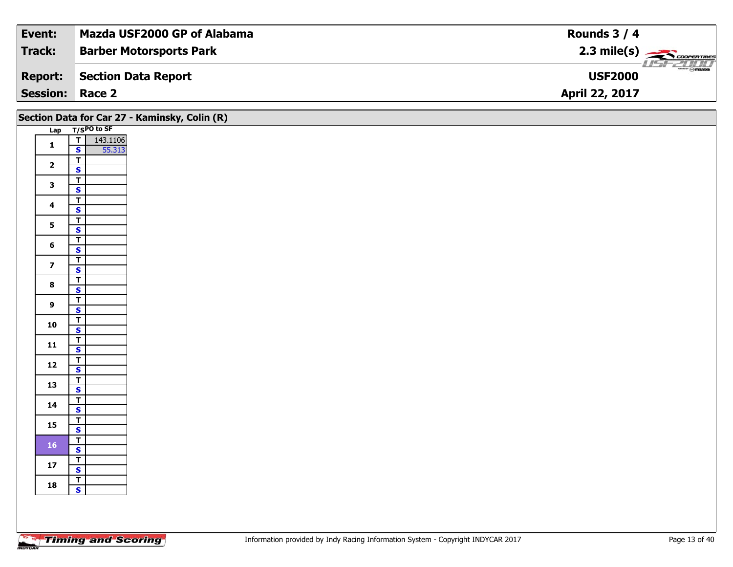| Event:                 | Mazda USF2000 GP of Alabama    | Rounds $3/4$                                               |
|------------------------|--------------------------------|------------------------------------------------------------|
| Track:                 | <b>Barber Motorsports Park</b> | $2.3 \text{ mile(s)}$                                      |
| <b>Report:</b>         | Section Data Report            | $\overline{\phantom{a}}$ $\otimes$ mazoa<br><b>USF2000</b> |
| <b>Session: Race 2</b> |                                | April 22, 2017                                             |

|                         |                                                               | Section Data for Car 27 - Kaminsky, Colin (R) |
|-------------------------|---------------------------------------------------------------|-----------------------------------------------|
|                         | Lap T/SPO to SF                                               |                                               |
| $\mathbf{1}$            | 143.1106<br>55.313<br>$\overline{\mathbf{r}}$<br>$\mathbf{s}$ |                                               |
| $\overline{\mathbf{2}}$ | $\overline{\mathsf{T}}$                                       |                                               |
|                         | $\mathbf{s}$<br>$\overline{\mathbf{r}}$                       |                                               |
| $\mathbf{3}$            | $\overline{\mathbf{s}}$                                       |                                               |
| $\overline{\mathbf{4}}$ | $\overline{\mathsf{T}}$<br>$\mathbf{s}$                       |                                               |
|                         | $\overline{1}$                                                |                                               |
| $5\overline{)}$         | $\overline{\mathbf{s}}$                                       |                                               |
| $6\phantom{1}$          | $\overline{\mathbf{r}}$<br>$\mathsf{s}$                       |                                               |
| $\overline{\mathbf{z}}$ | $\overline{1}$                                                |                                               |
|                         | $\overline{\mathbf{s}}$<br>$\overline{\mathsf{r}}$            |                                               |
| $\bf8$                  | $\overline{\mathbf{s}}$                                       |                                               |
| $\overline{9}$          | $\overline{\mathsf{T}}$<br>$\overline{\mathbf{s}}$            |                                               |
| 10                      | $\overline{1}$<br>$\overline{\mathbf{s}}$                     |                                               |
|                         | $rac{1}{s}$                                                   |                                               |
| 11                      | $\overline{\mathbf{r}}$                                       |                                               |
| 12                      | $\overline{\mathbf{s}}$                                       |                                               |
| 13                      | $\overline{1}$<br>$\mathbf{s}$                                |                                               |
| 14                      | $\overline{\mathsf{T}}$                                       |                                               |
|                         | $\mathsf{s}$<br>$\overline{\mathsf{r}}$                       |                                               |
| 15                      | $\overline{\mathbf{s}}$                                       |                                               |
| <b>16</b>               | $\overline{I}$<br>$\mathsf{s}$                                |                                               |
| ${\bf 17}$              | $\overline{\mathsf{r}}$                                       |                                               |
|                         | $\mathbf{s}$                                                  |                                               |
| 18                      | $rac{T}{s}$                                                   |                                               |
|                         |                                                               |                                               |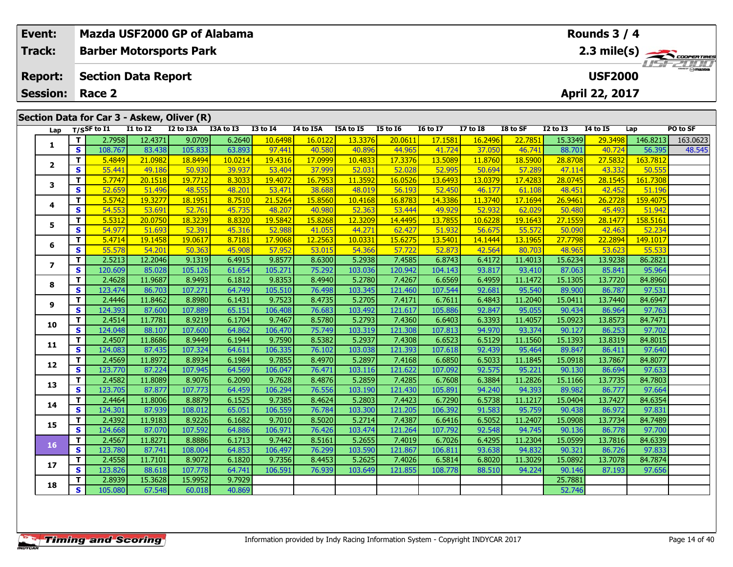|                                                                                                                                                                                                                                                  | Event:          |                              | Mazda USF2000 GP of Alabama    |                   |                   |                  |                   |                   |                   |                   |                   |                   |                   |                   | Rounds $3/4$      |                    |                       |
|--------------------------------------------------------------------------------------------------------------------------------------------------------------------------------------------------------------------------------------------------|-----------------|------------------------------|--------------------------------|-------------------|-------------------|------------------|-------------------|-------------------|-------------------|-------------------|-------------------|-------------------|-------------------|-------------------|-------------------|--------------------|-----------------------|
|                                                                                                                                                                                                                                                  | Track:          |                              | <b>Barber Motorsports Park</b> |                   |                   |                  |                   |                   |                   |                   |                   |                   |                   |                   |                   |                    | $2.3 \text{ mile(s)}$ |
|                                                                                                                                                                                                                                                  | <b>Report:</b>  |                              | <b>Section Data Report</b>     |                   |                   |                  |                   |                   |                   |                   |                   |                   |                   |                   | <b>USF2000</b>    |                    |                       |
|                                                                                                                                                                                                                                                  | <b>Session:</b> |                              | Race 2                         |                   |                   |                  |                   |                   |                   |                   |                   |                   |                   |                   | April 22, 2017    |                    |                       |
|                                                                                                                                                                                                                                                  |                 |                              |                                |                   |                   |                  |                   |                   |                   |                   |                   |                   |                   |                   |                   |                    |                       |
| Section Data for Car 3 - Askew, Oliver (R)<br>$T/S$ SF to $I1$<br><b>I1 to I2</b><br>I2 to I3A<br>I3A to I3<br><b>I3 to 14</b><br>I4 to I5A<br>I5A to I5<br><b>I5 to 16</b><br><b>16 to 17</b><br><b>I7 to I8</b><br>I8 to SF<br><b>I2 to I3</b> |                 |                              |                                |                   |                   |                  |                   |                   |                   |                   |                   |                   | 14 to 15          |                   | PO to SF          |                    |                       |
|                                                                                                                                                                                                                                                  | Lap             |                              |                                |                   |                   |                  |                   |                   |                   |                   |                   |                   |                   |                   |                   | Lap                |                       |
|                                                                                                                                                                                                                                                  | 1               | $\mathbf{T}$<br>$\mathbf{s}$ | 2.7958<br>108.767              | 12.4371<br>83.438 | 9.0709<br>105.833 | 6.2640<br>63.893 | 10.6498<br>97.441 | 16.0122<br>40.580 | 13.3376<br>40.896 | 20.0611<br>44.965 | 17.1581<br>41.724 | 16.2496<br>37.050 | 22.7851<br>46.741 | 15.3349<br>88.701 | 29.3498<br>40.724 | 146.8213<br>56.395 | 163.0623<br>48.545    |
|                                                                                                                                                                                                                                                  |                 | T                            | 5.4849                         | 21.0982           | 18.8494           | 10.0214          | 19.4316           | 17.0999           | 10.4833           | 17.3376           | 13.5089           | 11.8760           | 18.5900           | 28.8708           | 27.5832           | 163.7812           |                       |
|                                                                                                                                                                                                                                                  | $\mathbf{2}$    | $\mathbf{s}$                 | 55.441                         | 49.186            | 50.930            | 39.937           | 53,404            | 37.999            | 52.031            | 52.028            | 52.995            | 50.694            | 57.289            | 47.114            | 43.332            | 50.555             |                       |
|                                                                                                                                                                                                                                                  |                 | $\mathbf{T}$                 | 5.7747                         | 20.1518           | 19.7712           | 8.3033           | 19.4072           | 16.7953           | 11.3592           | 16.0526           | 13.6493           | 13.0379           | 17.4283           | 28.0745           | 28.1545           | 161.7308           |                       |
|                                                                                                                                                                                                                                                  | 3               | $\overline{\mathbf{s}}$      | 52.659                         | 51.496            | 48.555            | 48.201           | 53,471            | 38.688            | 48.019            | 56.193            | 52,450            | 46.177            | 61.108            | 48.451            | 42.452            | 51.196             |                       |
|                                                                                                                                                                                                                                                  |                 | T.                           | 5.5742                         | 19.3277           | 18.1951           | 8.7510           | 21.5264           | 15.8560           | 10.4168           | 16.8783           | 14.3386           | 11.3740           | 17.1694           | 26.9461           | 26.2728           | 159.4075           |                       |
|                                                                                                                                                                                                                                                  | 4               | $\mathbf{s}$                 | 54.553                         | 53.691            | 52.761            | 45.735           | 48.207            | 40.980            | 52.363            | 53.444            | 49.929            | 52.932            | 62.029            | 50.480            | 45.493            | 51.942             |                       |
|                                                                                                                                                                                                                                                  | 5               | $\mathbf{T}$                 | 5.5312                         | 20.0750           | 18.3239           | 8.8320           | 19.5842           | 15.8268           | 12.3209           | 14.4495           | 13.7855           | 10.6228           | 19.1643           | 27.1559           | 28.1477           | 158.5161           |                       |
|                                                                                                                                                                                                                                                  |                 | $\overline{\mathbf{s}}$      | 54.977                         | 51.693            | 52.391            | 45.316           | 52.988            | 41.055            | 44.271            | 62.427            | 51.932            | 56.675            | 55.572            | 50.090            | 42.463            | 52.234             |                       |
|                                                                                                                                                                                                                                                  | 6               | $\mathbf T$                  | 5.4714                         | 19.1458           | 19.0617           | 8.7181           | 17.9068           | 12.2563           | 10.0331           | 15.6275           | 13.5401           | 14.1444           | 13.1965           | 27.7798           | 22.2894           | 149.1017           |                       |
|                                                                                                                                                                                                                                                  |                 | $\mathbf{s}$                 | 55.578                         | 54.201            | 50.363            | 45.908           | 57.952            | 53.015            | 54.366            | 57.722            | 52.873            | 42.564            | 80.703            | 48.965            | 53.623            | 55.533             |                       |
|                                                                                                                                                                                                                                                  | $\overline{ }$  | $\mathbf T$                  | 2.5213                         | 12.2046           | 9.1319            | 6.4915           | 9.8577            | 8.6300            | 5.2938            | 7.4585            | 6.8743            | 6.4172            | 11.4013           | 15.6234           | 13.9238           | 86.2821            |                       |
|                                                                                                                                                                                                                                                  |                 | $\overline{\mathbf{s}}$      | 120.609                        | 85.028            | 105.126           | 61.654           | 105.271           | 75.292            | 103.036           | 120.942           | 104.143           | 93.817            | 93.410            | 87.063            | 85.841            | 95.964             |                       |
|                                                                                                                                                                                                                                                  | 8               | $\overline{\mathbf{T}}$      | 2.4628                         | 11.9687           | 8.9493            | 6.1812           | 9.8353            | 8.4940            | 5.2780            | 7.4267            | 6.6569            | 6.4959            | 11.1472           | 15.1305           | 13.7720           | 84.8960            |                       |
|                                                                                                                                                                                                                                                  |                 | $\mathbf{s}$                 | 123.474                        | 86.703            | 107.271<br>8.8980 | 64.749           | 105.510           | 76.498            | 103.345<br>5.2705 | 121.460           | 107.544           | 92.681            | 95.540            | 89.900            | 86.787            | 97.531<br>84.6947  |                       |
|                                                                                                                                                                                                                                                  | 9               | $\mathbf{T}$<br>$\mathbf{s}$ | 2.4446<br>124.393              | 11.8462<br>87.600 | 107.889           | 6.1431<br>65.151 | 9.7523<br>106.408 | 8.4735<br>76.683  | 103.492           | 7.4171<br>121.617 | 6.7611<br>105.886 | 6.4843<br>92.847  | 11.2040<br>95.055 | 15.0411<br>90.434 | 13.7440<br>86.964 | 97.763             |                       |
|                                                                                                                                                                                                                                                  |                 | $\mathbf T$                  | 2.4514                         | 11.7781           | 8.9219            | 6.1704           | 9.7467            | 8.5780            | 5.2793            | 7.4360            | 6.6403            | 6.3393            | 11.4057           | 15.0923           | 13.8573           | 84.7471            |                       |
|                                                                                                                                                                                                                                                  | 10              | $\mathbf{s}$                 | 124.048                        | 88.107            | 107.600           | 64.862           | 106.470           | 75.749            | 103.319           | 121.308           | 107.813           | 94.970            | 93.374            | 90.127            | 86.253            | 97.702             |                       |
|                                                                                                                                                                                                                                                  |                 | T                            | 2.4507                         | 11.8686           | 8.9449            | 6.1944           | 9.7590            | 8.5382            | 5.2937            | 7.4308            | 6.6523            | 6.5129            | 11.1560           | 15.1393           | 13.8319           | 84.8015            |                       |
|                                                                                                                                                                                                                                                  | 11              | $\mathbf{s}$                 | 124.083                        | 87.435            | 107.324           | 64.611           | 106.335           | 76.102            | 103.038           | 121.393           | 107.618           | 92.439            | 95.464            | 89.847            | 86.411            | 97.640             |                       |
|                                                                                                                                                                                                                                                  |                 | $\mathbf T$                  | 2.4569                         | 11.8972           | 8.8934            | 6.1984           | 9.7855            | 8.4970            | 5.2897            | 7.4168            | 6.6850            | 6.5033            | 11.1845           | 15.0918           | 13.7867           | 84.8077            |                       |
|                                                                                                                                                                                                                                                  | 12              | $\mathbf{s}$                 | 123.770                        | 87.224            | 107.945           | 64.569           | 106.047           | 76.471            | 103.116           | 121.622           | 107.092           | 92.575            | 95.221            | 90.130            | 86.694            | 97.633             |                       |
|                                                                                                                                                                                                                                                  |                 | T                            | 2.4582                         | 11.8089           | 8.9076            | 6.2090           | 9.7628            | 8.4876            | 5.2859            | 7.4285            | 6.7608            | 6.3884            | 11.2826           | 15.1166           | 13.7735           | 84.7803            |                       |
|                                                                                                                                                                                                                                                  | 13              | $\overline{\mathbf{s}}$      | 123.705                        | 87.877            | 107.773           | 64.459           | 106.294           | 76.556            | 103.190           | 121.430           | 105.891           | 94.240            | 94.393            | 89.982            | 86.777            | 97.664             |                       |
|                                                                                                                                                                                                                                                  | 14              | $\mathbf T$                  | 2.4464                         | 11.8006           | 8.8879            | 6.1525           | 9.7385            | 8.4624            | 5.2803            | 7.4423            | 6.7290            | 6.5738            | 11.1217           | 15.0404           | 13.7427           | 84.6354            |                       |
|                                                                                                                                                                                                                                                  |                 | $\overline{\mathbf{s}}$      | 124.301                        | 87.939            | 108.012           | 65.051           | 106.559           | 76.784            | 103.300           | 121.205           | 106.392           | 91.583            | 95.759            | 90.438            | 86.972            | 97.831             |                       |
|                                                                                                                                                                                                                                                  | 15              | $\mathbf T$                  | 2.4392                         | 11.9183           | 8.9226            | 6.1682           | 9.7010            | 8.5020            | 5.2714            | 7.4387            | 6.6416            | 6.5052            | 11.2407           | 15.0908           | 13.7734           | 84.7489            |                       |
|                                                                                                                                                                                                                                                  |                 | $\overline{\mathbf{s}}$      | 124.668                        | 87.070            | 107.592           | 64.886           | 106.97            | 76.426            | 103.474           | 121.264           | 107.792           | 92.548            | 94.745            | 90.136            | 86.778            | 97.700             |                       |
|                                                                                                                                                                                                                                                  | 16              | $\mathbf{T}$                 | 2.4567                         | 11.8271           | 8.8886            | 6.1713           | 9.7442            | 8.5161            | 5.2655            | 7.4019            | 6.7026            | 6.4295            | 11.2304           | 15.0599           | 13.7816           | 84.6339            |                       |
|                                                                                                                                                                                                                                                  |                 | $\overline{\mathbf{s}}$      | 123.780                        | 87.741            | 108.004           | 64.853           | 106.497           | 76.299            | 103.590           | 121.867           | 106.811           | 93.638            | 94.832            | 90.321            | 86.726            | 97.833             |                       |
|                                                                                                                                                                                                                                                  | 17              | $\mathbf T$<br>$\mathbf{s}$  | 2.4558<br>123.826              | 11.7101<br>88.618 | 8.9072<br>107.778 | 6.1820<br>64.741 | 9.7356<br>106.591 | 8.4453<br>76.939  | 5.2625<br>103.649 | 7.4026<br>121.855 | 6.5814<br>108.778 | 6.8020<br>88.510  | 11.3029<br>94.224 | 15.0892<br>90.146 | 13.7078<br>87.193 | 84.7874<br>97.656  |                       |
|                                                                                                                                                                                                                                                  |                 | $\mathbf{T}$                 | 2.8939                         | 15.3628           | 15.9952           | 9.7929           |                   |                   |                   |                   |                   |                   |                   | 25.7881           |                   |                    |                       |
|                                                                                                                                                                                                                                                  | 18              | $\overline{\mathbf{s}}$      | 105.080                        | 67.548            | 60.018            | 40.869           |                   |                   |                   |                   |                   |                   |                   | 52.746            |                   |                    |                       |
|                                                                                                                                                                                                                                                  |                 |                              |                                |                   |                   |                  |                   |                   |                   |                   |                   |                   |                   |                   |                   |                    |                       |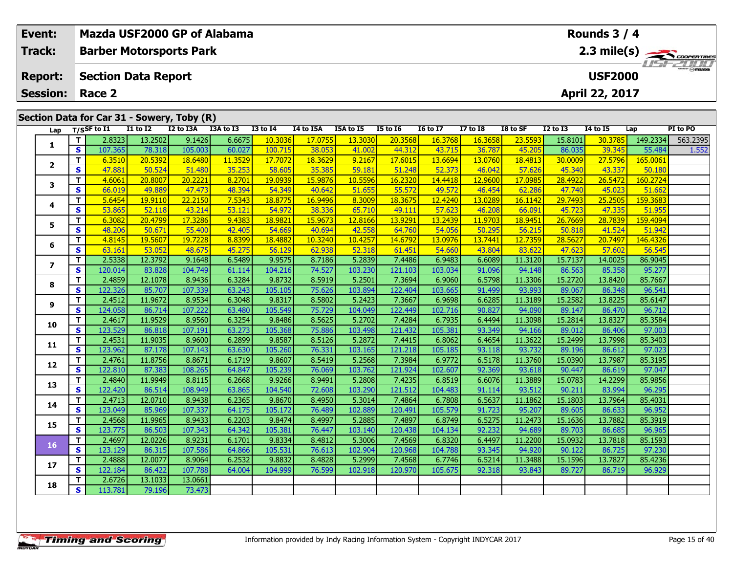|                                                                                                                                                                                                                                                                                             | Event:<br><b>Track:</b>           |                   | <b>Barber Motorsports Park</b>       |                   |                   | Mazda USF2000 GP of Alabama |                   |                  |                   |                   |                   |                  |                   |                   | Rounds $3/4$      |                   | 2.3 mile(s) $\frac{1}{\sqrt{1-\frac{1}{2}}}\frac{1}{\sqrt{1-\frac{1}{2}}}\frac{1}{\sqrt{1-\frac{1}{2}}}\frac{1}{\sqrt{1-\frac{1}{2}}}\frac{1}{\sqrt{1-\frac{1}{2}}}\frac{1}{\sqrt{1-\frac{1}{2}}}\frac{1}{\sqrt{1-\frac{1}{2}}}\frac{1}{\sqrt{1-\frac{1}{2}}}\frac{1}{\sqrt{1-\frac{1}{2}}}\frac{1}{\sqrt{1-\frac{1}{2}}}\frac{1}{\sqrt{1-\frac{1}{2}}}\frac{1}{\sqrt{1-\frac{1}{2}}}\frac{1}{\sqrt{1-\frac{1}{2}}$ |
|---------------------------------------------------------------------------------------------------------------------------------------------------------------------------------------------------------------------------------------------------------------------------------------------|-----------------------------------|-------------------|--------------------------------------|-------------------|-------------------|-----------------------------|-------------------|------------------|-------------------|-------------------|-------------------|------------------|-------------------|-------------------|-------------------|-------------------|---------------------------------------------------------------------------------------------------------------------------------------------------------------------------------------------------------------------------------------------------------------------------------------------------------------------------------------------------------------------------------------------------------------------|
|                                                                                                                                                                                                                                                                                             | <b>Report:</b><br><b>Session:</b> |                   | <b>Section Data Report</b><br>Race 2 |                   |                   |                             |                   |                  |                   |                   |                   |                  |                   | April 22, 2017    | <b>USF2000</b>    |                   |                                                                                                                                                                                                                                                                                                                                                                                                                     |
| Section Data for Car 31 - Sowery, Toby (R)<br>$\overline{11}$ to $\overline{12}$<br>I2 to I3A<br>$T/S$ SF to I1<br>I3A to I3<br><b>I3 to I4</b><br>I4 to I5A<br>I5A to I5<br><b>I5 to 16</b><br><b>16 to 17</b><br><b>I7 to I8</b><br>I8 to SF<br><b>I2 to I3</b><br><b>I4 to I5</b><br>Lap |                                   |                   |                                      |                   |                   |                             |                   |                  |                   |                   |                   |                  |                   | PI to PO          |                   |                   |                                                                                                                                                                                                                                                                                                                                                                                                                     |
|                                                                                                                                                                                                                                                                                             | Lap                               | T                 | 2.8323                               | 13.2502           | 9.1426            | 6.6675                      | 10.3036           | 17.0755          | 13.3030           | 20.3568           | 16.3768           | 16.3658          | 23.5593           | 15.8101           | 30.3785           | 149.2334          | 563.2395                                                                                                                                                                                                                                                                                                                                                                                                            |
|                                                                                                                                                                                                                                                                                             | 1                                 | $\mathbf{s}$      | 107.365                              | 78.318            | 105.003           | 60.027                      | 100.715           | 38.053           | 41.002            | 44.312            | 43.715            | 36.787           | 45.205            | 86.035            | 39.345            | 55.484            | 1.552                                                                                                                                                                                                                                                                                                                                                                                                               |
|                                                                                                                                                                                                                                                                                             |                                   | T                 | 6.3510                               | 20.5392           | 18.6480           | 11,3529                     | 17.7072           | 18.3629          | 9.2167            | 17.6015           | 13.6694           | 13.0760          | 18.4813           | 30.0009           | 27.5796           | 165,0061          |                                                                                                                                                                                                                                                                                                                                                                                                                     |
|                                                                                                                                                                                                                                                                                             | $\mathbf{2}$                      | $\mathbf{s}$      | 47.881                               | 50.524            | 51.480            | 35.253                      | 58.605            | 35.385           | 59.181            | 51.248            | 52.373            | 46.042           | 57.626            | 45.340            | 43.337            | 50.180            |                                                                                                                                                                                                                                                                                                                                                                                                                     |
|                                                                                                                                                                                                                                                                                             |                                   | T.                | 4.6061                               | 20.8007           | 20.2221           | 8.2701                      | 19.0939           | 15.9876          | 10.5596           | 16.2320           | 14.4418           | 12.9600          | 17.0985           | 28.4922           | 26.5472           | 160.2724          |                                                                                                                                                                                                                                                                                                                                                                                                                     |
|                                                                                                                                                                                                                                                                                             | 3                                 | $\mathbf{s}$      | 66.019                               | 49.889            | 47.473            | 48.394                      | 54.349            | 40.642           | 51.655            | 55.572            | 49.572            | 46.454           | 62.286            | 47.740            | 45.023            | 51.662            |                                                                                                                                                                                                                                                                                                                                                                                                                     |
|                                                                                                                                                                                                                                                                                             |                                   | T                 | 5.6454                               | 19.9110           | 22.2150           | 7.5343                      | 18.8775           | 16.9496          | 8.3009            | 18.3675           | 12.4240           | 13.0289          | 16.1142           | 29.7493           | 25,2505           | 159.3683          |                                                                                                                                                                                                                                                                                                                                                                                                                     |
|                                                                                                                                                                                                                                                                                             | 4                                 | $\mathbf{s}$      | 53.865                               | 52.118            | 43.214            | 53.121                      | 54.972            | 38.336           | 65.710            | 49.111            | 57.623            | 46.208           | 66.091            | 45.723            | 47.335            | 51.955            |                                                                                                                                                                                                                                                                                                                                                                                                                     |
|                                                                                                                                                                                                                                                                                             | 5                                 | T                 | 6.3082                               | 20.4799           | 17.3286           | 9.4383                      | 18.9821           | 15.9673          | 12.8166           | 13.9291           | 13.2439           | 11.9703          | 18.9451           | 26.7669           | 28.7839           | 159.4094          |                                                                                                                                                                                                                                                                                                                                                                                                                     |
|                                                                                                                                                                                                                                                                                             |                                   | $\mathbf{s}$      | 48.206                               | 50.671            | 55.400            | 42.405                      | 54.669            | 40.694           | 42.558            | 64.760            | 54.056            | 50.295           | 56.215            | 50.818            | 41.524            | 51.942            |                                                                                                                                                                                                                                                                                                                                                                                                                     |
|                                                                                                                                                                                                                                                                                             | 6                                 | T                 | 4.8145                               | 19.5607           | 19.7228           | 8.8399                      | 18.4882           | 10.3240          | 10.4257           | 14.6792           | 13.0976           | 13.7441          | 12.7359           | 28.5627           | 20.7497           | 146.4326          |                                                                                                                                                                                                                                                                                                                                                                                                                     |
|                                                                                                                                                                                                                                                                                             |                                   | $\mathbf{s}$      | 63.161                               | 53.052            | 48.675            | 45.275                      | 56.129            | 62.938           | 52.318            | 61.451            | 54.660            | 43.804           | 83.622            | 47.623            | 57.602            | 56.545            |                                                                                                                                                                                                                                                                                                                                                                                                                     |
|                                                                                                                                                                                                                                                                                             | $\overline{ }$                    | T                 | 2.5338                               | 12.3792           | 9.1648            | 6.5489                      | 9.9575            | 8.7186           | 5.2839            | 7.4486            | 6.9483            | 6.6089           | 11.3120           | 15.7137           | 14.0025           | 86.9045           |                                                                                                                                                                                                                                                                                                                                                                                                                     |
|                                                                                                                                                                                                                                                                                             |                                   | $\mathbf{s}$      | 120.014                              | 83.828            | 104.749           | 61.114                      | 104.216           | 74.527           | 103.230           | 121.103           | 103.034           | 91.096           | 94.148            | 86.563            | 85.358            | 95.277            |                                                                                                                                                                                                                                                                                                                                                                                                                     |
|                                                                                                                                                                                                                                                                                             | 8                                 | T.                | 2.4859                               | 12.1078           | 8.9436            | 6.3284                      | 9.8732            | 8.5919           | 5.2501            | 7.3694            | 6.9060            | 6.5798           | 11.3306           | 15.2720           | 13.8420           | 85.7667           |                                                                                                                                                                                                                                                                                                                                                                                                                     |
|                                                                                                                                                                                                                                                                                             |                                   | S                 | 122.326                              | 85.707            | 107.339           | 63.243                      | 105.105           | 75.626           | 103.894           | 122.404           | 103.665           | 91.499           | 93.993            | 89.067            | 86.348            | 96.541            |                                                                                                                                                                                                                                                                                                                                                                                                                     |
|                                                                                                                                                                                                                                                                                             | 9                                 | T.                | 2.4512                               | 11.9672           | 8.9534            | 6.3048                      | 9.8317            | 8.5802           | 5.2423            | 7.3667            | 6.9698            | 6.6285           | 11.3189           | 15.2582           | 13.8225           | 85.6147           |                                                                                                                                                                                                                                                                                                                                                                                                                     |
|                                                                                                                                                                                                                                                                                             |                                   | $\mathbf{s}$      | 124.058                              | 86.714            | 107.222           | 63.480                      | 105.549           | 75.729           | 104.049           | 122.449           | 102.716           | 90.827           | 94.090            | 89.147            | 86.470            | 96.712            |                                                                                                                                                                                                                                                                                                                                                                                                                     |
|                                                                                                                                                                                                                                                                                             | 10                                | T                 | 2.4617                               | 11.9529           | 8.9560            | 6.3254                      | 9.8486            | 8.5625           | 5.2702            | 7.4284            | 6.7935            | 6.4494           | 11.3098           | 15.2814           | 13.8327           | 85.3584           |                                                                                                                                                                                                                                                                                                                                                                                                                     |
|                                                                                                                                                                                                                                                                                             |                                   | $\mathbf{s}$      | 123.529                              | 86.818            | 107.191           | 63.273                      | 105.368           | 75.886           | 103.498           | 121.432           | 105.381           | 93.349           | 94.166            | 89.012            | 86,406            | 97.003            |                                                                                                                                                                                                                                                                                                                                                                                                                     |
|                                                                                                                                                                                                                                                                                             | 11                                | T<br>$\mathbf{s}$ | 2.4531<br>123.962                    | 11.9035<br>87.178 | 8.9600<br>107.143 | 6.2899<br>63.630            | 9.8587<br>105.260 | 8.5126<br>76.331 | 5.2872<br>103.165 | 7.4415<br>121.218 | 6.8062<br>105.185 | 6.4654<br>93.118 | 11.3622<br>93.732 | 15.2499<br>89.196 | 13.7998<br>86.612 | 85.3403<br>97.023 |                                                                                                                                                                                                                                                                                                                                                                                                                     |
|                                                                                                                                                                                                                                                                                             |                                   | T                 | 2.4761                               | 11.8756           | 8.8671            | 6.1719                      | 9.8607            | 8.5419           | 5.2568            | 7.3984            | 6.9772            | 6.5178           | 11.3760           | 15.0390           | 13.7987           | 85.3195           |                                                                                                                                                                                                                                                                                                                                                                                                                     |
|                                                                                                                                                                                                                                                                                             | 12                                | S                 | 122.810                              | 87.383            | 108.265           | 64.847                      | 105.239           | 76.069           | 103.762           | 121.924           | 102.607           | 92.369           | 93.618            | 90.447            | 86.619            | 97.047            |                                                                                                                                                                                                                                                                                                                                                                                                                     |
|                                                                                                                                                                                                                                                                                             |                                   | T.                | 2.4840                               | 11.9949           | 8.8115            | 6.2668                      | 9.9266            | 8.9491           | 5.2808            | 7.4235            | 6.8519            | 6.6076           | 11.3889           | 15.0783           | 14.2299           | 85.9856           |                                                                                                                                                                                                                                                                                                                                                                                                                     |
|                                                                                                                                                                                                                                                                                             | 13                                | $\mathbf{s}$      | 122.420                              | 86.514            | 108.949           | 63.865                      | 104.540           | 72.608           | 103.290           | 121.512           | 104.483           | 91.114           | 93.512            | 90.211            | 83.994            | 96.295            |                                                                                                                                                                                                                                                                                                                                                                                                                     |
|                                                                                                                                                                                                                                                                                             |                                   | T                 | 2.4713                               | 12.0710           | 8.9438            | 6.2365                      | 9.8670            | 8.4950           | 5.3014            | 7.4864            | 6.7808            | 6.5637           | 11.1862           | 15.1803           | 13.7964           | 85.4031           |                                                                                                                                                                                                                                                                                                                                                                                                                     |
|                                                                                                                                                                                                                                                                                             | 14                                | $\mathbf{s}$      | 123.049                              | 85.969            | 107.337           | 64.175                      | 105.172           | 76.489           | 102.889           | 120.491           | 105.579           | 91.723           | 95.207            | 89.605            | 86.633            | 96.952            |                                                                                                                                                                                                                                                                                                                                                                                                                     |
|                                                                                                                                                                                                                                                                                             |                                   | T.                | 2.4568                               | 11.9965           | 8.9433            | 6.2203                      | 9.8474            | 8.4997           | 5.2885            | 7.4897            | 6.8749            | 6.5275           | 11.2473           | 15.1636           | 13.7882           | 85.3919           |                                                                                                                                                                                                                                                                                                                                                                                                                     |
|                                                                                                                                                                                                                                                                                             | 15                                | S.                | 123.775                              | 86.503            | 107.343           | 64.342                      | 105.381           | 76.447           | 103.140           | 120.438           | 104.134           | 92.232           | 94.689            | 89.703            | 86.685            | 96.965            |                                                                                                                                                                                                                                                                                                                                                                                                                     |

**<sup>T</sup>** 2.6726 13.1033 13.0661 **<sup>S</sup>** 113.781 79.196 73.473

73.473

**16**

**17**

**18**

**<sup>T</sup>** 2.4697 12.0226 8.9231 6.1701 9.8334 8.4812 5.3006 7.4569 6.8320 6.4497 11.2200 15.0932 13.7818 85.1593 **<sup>S</sup>** 123.129 86.315 107.586 64.866 105.531 76.613 102.904 120.968 104.788 93.345 94.920 90.122 86.725 97.230

**<sup>T</sup>** 2.4888 12.0077 8.9064 6.2532 9.8832 8.4828 5.2999 7.4568 6.7746 6.5214 11.3488 15.1596 13.7827 85.4236 **<sup>S</sup>** 122.184 86.422 107.788 64.004 104.999 76.599 102.918 120.970 105.675 92.318 93.843 89.727 86.719 96.929

85.1593

97.230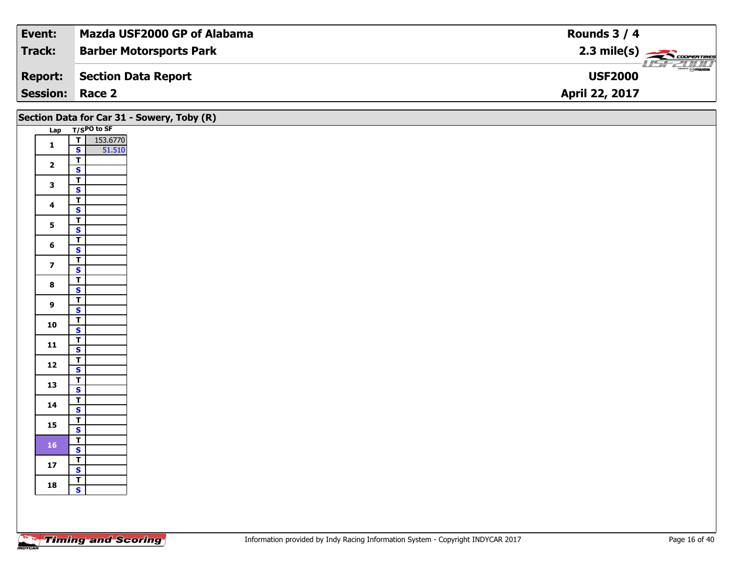| Event:          | Mazda USF2000 GP of Alabama    | Rounds $3/4$                              |
|-----------------|--------------------------------|-------------------------------------------|
| Track:          | <b>Barber Motorsports Park</b> |                                           |
| <b>Report:</b>  | Section Data Report            | $\frac{1}{\odot}$ mazoa<br><b>USF2000</b> |
| <b>Session:</b> | Race 2                         | <b>April 22, 2017</b>                     |

|                         |                                                | Section Data for Car 31 - Sowery, Toby (R) |
|-------------------------|------------------------------------------------|--------------------------------------------|
|                         | Lap T/SPO to SF                                |                                            |
| $\mathbf{1}$            | $\overline{\frac{1}{s}}$<br>153.6770<br>51.510 |                                            |
|                         |                                                |                                            |
| $\overline{\mathbf{2}}$ | $\overline{1}$                                 |                                            |
|                         | $\mathsf{s}$                                   |                                            |
| $\mathbf{3}$            | $\overline{1}$                                 |                                            |
|                         | $\overline{\mathbf{s}}$                        |                                            |
| $\overline{\mathbf{4}}$ | $\overline{\mathsf{T}}$                        |                                            |
|                         | $\mathbf{s}$<br>$\overline{\mathsf{T}}$        |                                            |
| 5 <sub>5</sub>          | $\overline{\mathbf{s}}$                        |                                            |
|                         | $\overline{\mathbf{T}}$                        |                                            |
| $6\phantom{a}$          | $\mathsf{s}$                                   |                                            |
|                         | $\overline{\mathbf{T}}$                        |                                            |
| $\overline{\mathbf{z}}$ | $\overline{\mathbf{s}}$                        |                                            |
| 8                       | $\overline{T}$                                 |                                            |
|                         | $\overline{\mathbf{s}}$                        |                                            |
| $9^{\circ}$             | $\overline{\mathsf{T}}$                        |                                            |
|                         | $\overline{\mathbf{s}}$                        |                                            |
| 10                      | $rac{1}{s}$                                    |                                            |
|                         |                                                |                                            |
| $11$                    | $\frac{T}{S}$                                  |                                            |
|                         |                                                |                                            |
| 12                      | $rac{T}{s}$                                    |                                            |
| 13                      | $rac{1}{s}$                                    |                                            |
|                         |                                                |                                            |
| 14                      | $\overline{1}$                                 |                                            |
|                         | $\mathbf{s}$                                   |                                            |
| 15                      | $\overline{1}$<br>$\overline{\mathbf{s}}$      |                                            |
|                         | $\overline{I}$                                 |                                            |
| 16 <sup>°</sup>         | $\mathbf{s}$                                   |                                            |
|                         | $\overline{I}$                                 |                                            |
| $17$                    | $\overline{\mathbf{s}}$                        |                                            |
|                         | $rac{1}{s}$                                    |                                            |
| 18                      |                                                |                                            |
|                         |                                                |                                            |
|                         |                                                |                                            |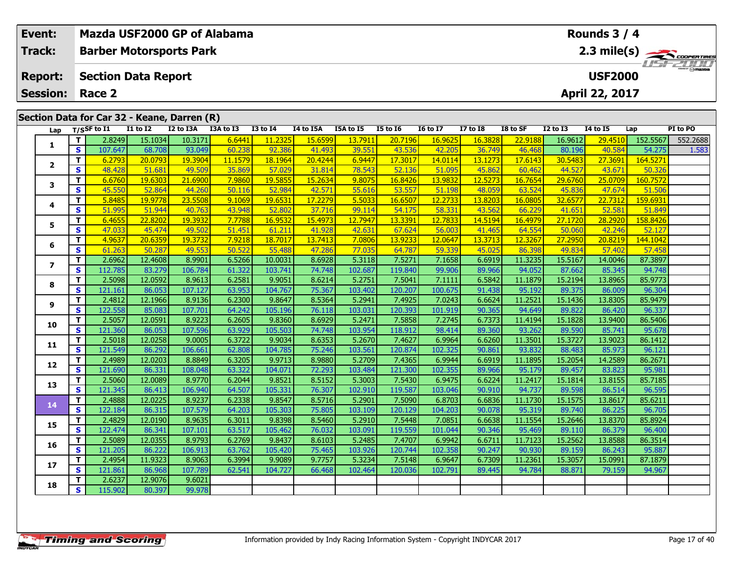| Event:<br><b>Track:</b> |                                                                                                                                                                                                                                        | <b>Barber Motorsports Park</b>              |                   |                   | Mazda USF2000 GP of Alabama |                   |                  |                   |                   |                  |                  |                   |                   | Rounds 3 / 4      |                   |                                             |
|-------------------------|----------------------------------------------------------------------------------------------------------------------------------------------------------------------------------------------------------------------------------------|---------------------------------------------|-------------------|-------------------|-----------------------------|-------------------|------------------|-------------------|-------------------|------------------|------------------|-------------------|-------------------|-------------------|-------------------|---------------------------------------------|
| <b>Report:</b>          |                                                                                                                                                                                                                                        | <b>Section Data Report</b>                  |                   |                   |                             |                   |                  |                   |                   |                  |                  |                   |                   | <b>USF2000</b>    |                   | 2.3 mile(s) $\frac{1}{\sqrt{157 - 217111}}$ |
|                         |                                                                                                                                                                                                                                        |                                             |                   |                   |                             |                   |                  |                   |                   |                  |                  |                   |                   |                   |                   |                                             |
| <b>Session:</b>         |                                                                                                                                                                                                                                        | Race 2                                      |                   |                   |                             |                   |                  |                   |                   |                  |                  |                   |                   | April 22, 2017    |                   |                                             |
|                         |                                                                                                                                                                                                                                        |                                             |                   |                   |                             |                   |                  |                   |                   |                  |                  |                   |                   |                   |                   |                                             |
|                         |                                                                                                                                                                                                                                        | Section Data for Car 32 - Keane, Darren (R) |                   |                   |                             |                   |                  |                   |                   |                  |                  |                   |                   |                   |                   |                                             |
| Lap                     | $\overline{11}$ to $\overline{12}$<br>I2 to I3A<br>$T/S$ SF to I1<br>I3A to I3<br><b>I3 to I4</b><br>I4 to I5A<br>I5A to I5<br><b>I5 to 16</b><br><b>16 to 17</b><br><b>I7 to I8</b><br>I8 to SF<br><b>I2 to I3</b><br><b>14 to 15</b> |                                             |                   |                   |                             |                   |                  |                   |                   |                  |                  | PI to PO<br>Lap   |                   |                   |                   |                                             |
|                         | T                                                                                                                                                                                                                                      | 2.8249                                      | 15.1034           | 10.3171           | 6.6441                      | 11.2325           | 15.6599          | 13.7911           | 20.7196           | 16.9625          | 16.3828          | 22.9188           | 16.9612           | 29.4510           | 152.5567          | 552.2688                                    |
| 1                       | $\mathbf{s}$                                                                                                                                                                                                                           | 107.647                                     | 68.708            | 93.049            | 60.238                      | 92.386            | 41.493           | 39.551            | 43.536            | 42.205           | 36.749           | 46.468            | 80.196            | 40.584            | 54.275            | 1.583                                       |
| $\overline{2}$          | T                                                                                                                                                                                                                                      | 6.2793                                      | 20.0793           | 19.3904           | 11.1579                     | 18.1964           | 20.4244          | 6.9447            | 17.3017           | 14.0114          | 13.1273          | 17.6143           | 30.5483           | 27.3691           | 164.5271          |                                             |
|                         | $\mathbf{s}$                                                                                                                                                                                                                           | 48.428                                      | 51.681            | 49.509            | 35.869                      | 57.029            | 31.814           | 78.543            | 52.136            | 51.095           | 45.862           | 60.462            | 44.527            | 43.671            | 50.326            |                                             |
| 3                       | T.                                                                                                                                                                                                                                     | 6.6760                                      | 19.6303           | 21.6900           | 7.9860                      | 19.5855           | 15.2634          | 9.8075            | 16.8426           | 13.9832          | 12.5273          | 16.7654           | 29.6760           | 25.0709           | 160.7572          |                                             |
|                         | S                                                                                                                                                                                                                                      | 45.550                                      | 52.864            | 44.260            | 50.116                      | 52.984            | 42.571           | 55.616            | 53.557            | 51.198           | 48.059           | 63.524            | 45.836            | 47.674            | 51.506            |                                             |
| 4                       | T.                                                                                                                                                                                                                                     | 5.8485                                      | 19.9778           | 23.5508           | 9.1069                      | 19.6531           | 17.2279          | 5.5033            | 16.6507           | 12.2733          | 13.8203          | 16.0805           | 32.6577           | 22.7312           | 159.6931          |                                             |
|                         | S                                                                                                                                                                                                                                      | 51.995                                      | 51.944            | 40.763            | 43.948                      | 52.802            | 37.716           | 99.114            | 54.175            | 58.331           | 43.562           | 66.229            | 41.651            | 52.581            | 51.849            |                                             |
| 5                       | T.                                                                                                                                                                                                                                     | 6.4655                                      | 22.8202           | 19.3932           | 7.7788                      | 16.9532           | 15.4973          | 12.7947           | 13.3391           | 12.7833          | 14.5194          | 16.4979           | 27.1720           | 28.2920           | 158.8426          |                                             |
|                         | $\mathbf{s}$                                                                                                                                                                                                                           | 47.033                                      | 45.474            | 49.502            | 51.451                      | 61.211            | 41.928           | 42.631            | 67.624            | 56.003           | 41.465           | 64.554            | 50.060            | 42.246            | 52.127            |                                             |
| 6                       | T.                                                                                                                                                                                                                                     | 4.9637                                      | 20.6359           | 19.3732           | 7.9218                      | 18.7017           | 13.7413          | 7.0806            | 13.9233           | 12.0647          | 13.3713          | 12.3267           | 27.2950           | 20.8219           | 144.1042          |                                             |
|                         | S                                                                                                                                                                                                                                      | 61.263                                      | 50.287            | 49.553            | 50.522                      | 55.488            | 47.286           | 77.035            | 64.787            | 59.339           | 45.025           | 86.398            | 49.834            | 57.402            | 57.458            |                                             |
| $\overline{ }$          | T.                                                                                                                                                                                                                                     | 2.6962                                      | 12.4608           | 8.9901            | 6.5266                      | 10.0031           | 8.6928           | 5.3118            | 7.5271            | 7.1658           | 6.6919           | 11.3235           | 15.5167           | 14.0046           | 87.3897           |                                             |
|                         | $\mathbf{s}$                                                                                                                                                                                                                           | 112.785                                     | 83.279            | 106.784           | 61.322                      | 103.741           | 74.748           | 102.687           | 119.840           | 99.906           | 89.966           | 94.052            | 87.662            | 85.345            | 94.748            |                                             |
| 8                       | T.                                                                                                                                                                                                                                     | 2.5098                                      | 12.0592           | 8.9613            | 6.2581                      | 9.9051            | 8.6214           | 5.2751            | 7.5041            | 7.1111           | 6.5842           | 11.1879           | 15.2194           | 13.8965           | 85.9773           |                                             |
|                         | $\mathbf{s}$                                                                                                                                                                                                                           | 121.161                                     | 86.053            | 107.127           | 63.953                      | 104.767           | 75.367           | 103.402           | 120.207           | 100.675          | 91.438           | 95.192            | 89.375            | 86.009            | 96.304            |                                             |
| 9                       | T.                                                                                                                                                                                                                                     | 2.4812                                      | 12.1966           | 8.9136            | 6.2300                      | 9.8647            | 8.5364           | 5.2941            | 7.4925            | 7.0243           | 6.6624           | 11.2521           | 15.1436           | 13.8305           | 85.9479           |                                             |
|                         | S                                                                                                                                                                                                                                      | 122.558                                     | 85.083            | 107.701           | 64.242                      | 105.196           | 76.118           | 103.031           | 120.393           | 101.919          | 90.365           | 94.649            | 89.822            | 86.420            | 96.337            |                                             |
| 10                      | T<br>$\mathbf{s}$                                                                                                                                                                                                                      | 2.5057                                      | 12.0591           | 8.9223            | 6.2605                      | 9.8360            | 8.6929           | 5.2471            | 7.5858            | 7.2745           | 6.7373           | 11.4194           | 15.1828           | 13.9400           | 86.5406           |                                             |
|                         |                                                                                                                                                                                                                                        | 121.360<br>2.5018                           | 86.053            | 107.596<br>9.0005 | 63.929<br>6.3722            | 105.503<br>9.9034 | 74.748           | 103.954           | 118.912<br>7.4627 | 98.414<br>6.9964 | 89.360           | 93.262<br>11.3501 | 89.590            | 85.741<br>13.9023 | 95.678<br>86.1412 |                                             |
| 11                      | T.<br>$\mathbf{s}$                                                                                                                                                                                                                     | 121.549                                     | 12.0258<br>86.292 | 106.661           | 62.808                      | 104.785           | 8.6353<br>75.246 | 5.2670<br>103.561 | 120.874           | 102.325          | 6.6260<br>90.861 | 93.832            | 15.3727<br>88.483 | 85.973            | 96.121            |                                             |
|                         | T.                                                                                                                                                                                                                                     | 2.4989                                      | 12.0203           | 8.8849            | 6.3205                      | 9.9713            | 8.9880           | 5.2709            | 7.4365            | 6.9944           | 6.6919           | 11.1895           | 15.2054           | 14.2589           | 86.2671           |                                             |
| 12                      | S                                                                                                                                                                                                                                      | 121.690                                     | 86.331            | 108.048           | 63.322                      | 104.071           | 72.293           | 103.484           | 121.300           | 102.355          | 89.966           | 95.179            | 89.457            | 83.823            | 95.981            |                                             |
|                         | T.                                                                                                                                                                                                                                     | 2.5060                                      | 12.0089           | 8.9770            | 6.2044                      | 9.8521            | 8.5152           | 5.3003            | 7.5430            | 6.9475           | 6.6224           | 11.2417           | 15.1814           | 13.8155           | 85.7185           |                                             |
| 13                      | $\mathbf{s}$                                                                                                                                                                                                                           | 121.345                                     | 86.413            | 106.940           | 64.507                      | 105.331           | 76.307           | 102.910           | 119.587           | 103.046          | 90.910           | 94.737            | 89.598            | 86.514            | 96.595            |                                             |
|                         | T.                                                                                                                                                                                                                                     | 2.4888                                      | 12.0225           | 8.9237            | 6.2338                      | 9.8547            | 8.5716           | 5.2901            | 7.5090            | 6.8703           | 6.6836           | 11.1730           | 15.1575           | 13.8617           | 85.6211           |                                             |
| 14                      | $\mathbf{s}$                                                                                                                                                                                                                           | 122.184                                     | 86.315            | 107.579           | 64.203                      | 105.303           | 75.805           | 103.109           | 120.129           | 104.203          | 90.078           | 95.319            | 89.740            | 86.225            | 96.705            |                                             |
|                         | T.                                                                                                                                                                                                                                     | 2.4829                                      | 12.0190           | 8.9635            | 6.3011                      | 9.8398            | 8.5460           | 5.2910            | 7.5448            | 7.0851           | 6.6638           | 11.1554           | 15.2646           | 13.8370           | 85.8924           |                                             |
| 15                      | s l                                                                                                                                                                                                                                    | 122.474                                     | 86.341            | 107.101           | 63.517                      | 105.462           | 76.032           | 103.091           | 119.559           | 101.044          | 90.346           | 95.469            | 89.110            | 86.379            | 96.400            |                                             |

**<sup>T</sup>** 2.6237 12.9076 9.6021 **<sup>S</sup>** 115.902 80.397 99.978

99.978

**16**

**17**

**18**

**<sup>T</sup>** 2.5089 12.0355 8.9793 6.2769 9.8437 8.6103 5.2485 7.4707 6.9942 6.6711 11.7123 15.2562 13.8588 86.3514 **<sup>S</sup>** 121.205 86.222 106.913 63.762 105.420 75.465 103.926 120.744 102.358 90.247 90.930 89.159 86.243 95.887

**<sup>T</sup>** 2.4954 11.9323 8.9063 6.3994 9.9089 9.7757 5.3234 7.5148 6.9647 6.7309 11.2361 15.3057 15.0991 87.1879 **<sup>S</sup>** 121.861 86.968 107.789 62.541 104.727 66.468 102.464 120.036 102.791 89.445 94.784 88.871 79.159 94.967

86.3514

95.887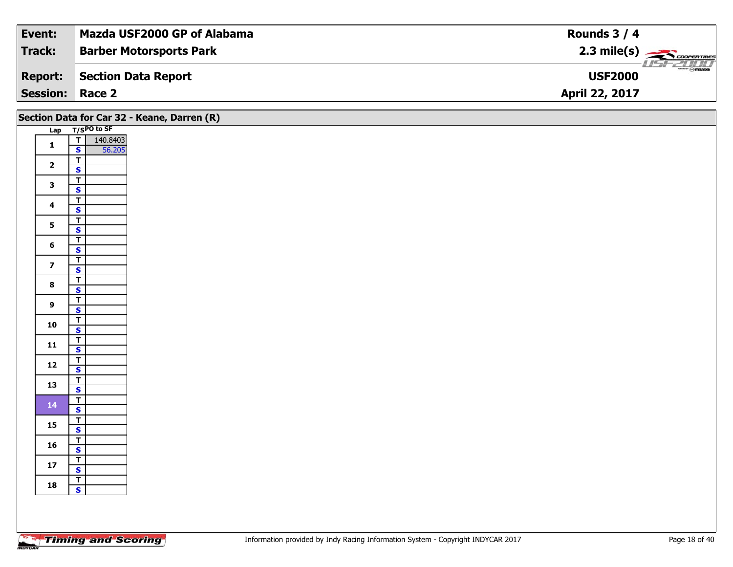| Event:                 | Mazda USF2000 GP of Alabama    | Rounds $3/4$                                               |
|------------------------|--------------------------------|------------------------------------------------------------|
| Track:                 | <b>Barber Motorsports Park</b> | $2.3 \text{ mile(s)}$                                      |
| <b>Report:</b>         | Section Data Report            | $\overline{\phantom{a}}$ $\otimes$ mazoa<br><b>USF2000</b> |
| <b>Session: Race 2</b> |                                | April 22, 2017                                             |

|                         |                                                            | Section Data for Car 32 - Keane, Darren (R) |
|-------------------------|------------------------------------------------------------|---------------------------------------------|
|                         | Lap T/SPO to SF                                            |                                             |
| $\mathbf 1$             | 140.8403<br>$\frac{1}{s}$<br>56.205                        |                                             |
| $\overline{2}$          | $\overline{\mathbf{T}}$                                    |                                             |
|                         | $\overline{\mathbf{s}}$<br>$\overline{1}$                  |                                             |
| $\mathbf{3}$            | $\overline{\mathbf{s}}$                                    |                                             |
| $\overline{\mathbf{4}}$ | $\overline{\mathsf{r}}$<br>$\mathbf{s}$                    |                                             |
| $5\phantom{a}$          | $\overline{\mathsf{T}}$                                    |                                             |
| $6\phantom{a}$          | $\overline{\mathbf{s}}$<br>$\overline{\mathbf{T}}$         |                                             |
|                         | $\mathbf{s}$<br>$\overline{\mathbf{r}}$                    |                                             |
| $\overline{7}$          | $\overline{\mathbf{s}}$                                    |                                             |
| $\bf{8}$                | $\overline{\mathsf{r}}$<br>$\overline{\mathbf{s}}$         |                                             |
| $\overline{9}$          | $\mathbf{T}$                                               |                                             |
|                         | $\mathsf{s}$<br>$\overline{r}$                             |                                             |
| 10                      | $S$ <sup><math>\overline{S}</math></sup><br>$\overline{I}$ |                                             |
| $11$                    | $\mathbf{s}$                                               |                                             |
| 12                      | $\mathbf{T}$<br>$\mathbf{s}$                               |                                             |
| 13                      | $\overline{\mathbf{r}}$                                    |                                             |
| 14 <sub>1</sub>         | $\overline{\mathbf{s}}$<br>$\overline{\mathsf{r}}$         |                                             |
|                         | $\mathbf{s}$<br>$\mathbf{T}$                               |                                             |
| 15                      | $\overline{\mathbf{s}}$                                    |                                             |
| 16                      | $\frac{T}{S}$                                              |                                             |
| 17                      | $\mathbf{T}$<br>$\overline{\mathbf{s}}$                    |                                             |
| 18                      | $\frac{1}{s}$                                              |                                             |
|                         |                                                            |                                             |
|                         |                                                            |                                             |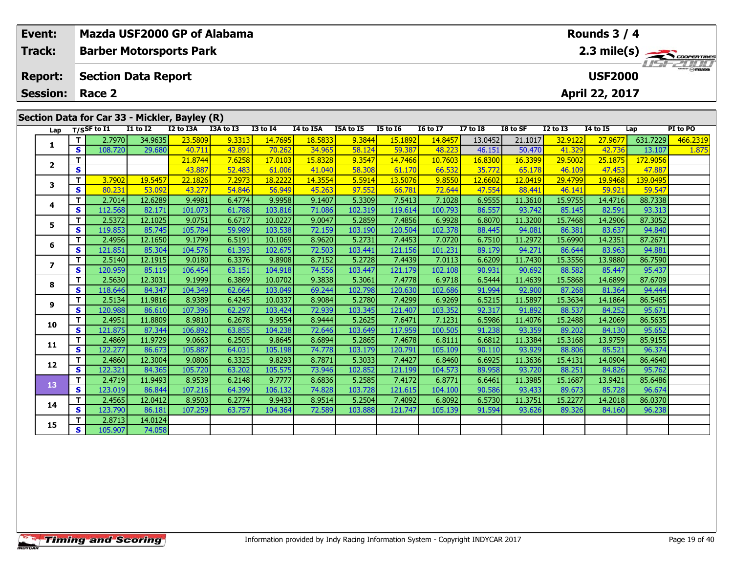|  | Event:<br>Track:                              |                    | Mazda USF2000 GP of Alabama<br>Rounds $3/4$<br>2.3 mile(s)<br><b>Barber Motorsports Park</b> |                                    |                   |                  |                   |                  |                   |                   |                   |                  |                   |                   |                   |                   |          |
|--|-----------------------------------------------|--------------------|----------------------------------------------------------------------------------------------|------------------------------------|-------------------|------------------|-------------------|------------------|-------------------|-------------------|-------------------|------------------|-------------------|-------------------|-------------------|-------------------|----------|
|  |                                               |                    |                                                                                              |                                    |                   |                  |                   |                  |                   |                   |                   |                  |                   |                   |                   |                   |          |
|  | <b>Report:</b>                                |                    | <b>Section Data Report</b>                                                                   |                                    |                   |                  |                   |                  |                   |                   |                   |                  |                   |                   | <b>USF2000</b>    |                   |          |
|  | <b>Session:</b>                               |                    | Race 2                                                                                       |                                    |                   |                  |                   |                  |                   |                   |                   |                  |                   |                   | April 22, 2017    |                   |          |
|  |                                               |                    |                                                                                              |                                    |                   |                  |                   |                  |                   |                   |                   |                  |                   |                   |                   |                   |          |
|  | Section Data for Car 33 - Mickler, Bayley (R) |                    |                                                                                              |                                    |                   |                  |                   |                  |                   |                   |                   |                  |                   |                   |                   |                   |          |
|  | Lap                                           |                    | $T/S$ SF to I1                                                                               | $\overline{11}$ to $\overline{12}$ | I2 to I3A         | I3A to I3        | <b>I3 to I4</b>   | I4 to I5A        | I5A to I5         | <b>I5 to 16</b>   | <b>I6 to I7</b>   | <b>I7 to 18</b>  | I8 to SF          | $I2$ to $I3$      | <b>I4 to I5</b>   | Lap               | PI to PO |
|  | 1                                             | $\mathbf{T}$       | 2.7970                                                                                       | 34.9635                            | 23.5809           | 9.3313           | 14.7695           | 18.5833          | 9.3844            | 15.1892           | 14.8457           | 13.0452          | 21.1017           | 32.9122           | 27.9677           | 631.7229          | 466.2319 |
|  |                                               | S                  | 108.720                                                                                      | 29.680                             | 40.711            | 42.891           | 70.262            | 34.965           | 58.124            | 59.387            | 48.223            | 46.151           | 50.470            | 41.329            | 42.736            | 13.107            | 1.875    |
|  | $\mathbf{2}$                                  | T.                 |                                                                                              |                                    | 21.8744           | 7.6258           | 17.0103           | 15.8328          | 9.3547            | 14.7466           | 10.7603           | 16.8300          | 16.3399           | 29.5002           | 25.1875           | 172.9056          |          |
|  |                                               | S                  |                                                                                              |                                    | 43.887            | 52.483           | 61.006            | 41.040           | 58.308            | 61.170            | 66.532            | 35.772           | 65.178            | 46.109            | 47.453            | 47.887            |          |
|  | 3                                             | T.                 | 3.7902                                                                                       | 19.5457                            | 22.1826           | 7.2973           | 18.2222           | 14.3554          | 5.5914            | 13.5076           | 9.8550            | 12.6602          | 12.0419           | 29.4799           | 19.9468           | 139.0495          |          |
|  |                                               | S                  | 80.231                                                                                       | 53.092                             | 43.277            | 54.846           | 56.949            | 45.263           | 97.552            | 66.781            | 72.644            | 47.554           | 88.441            | 46.141            | 59.921            | 59.547            |          |
|  | 4                                             | T.                 | 2.7014                                                                                       | 12.6289                            | 9.4981            | 6.4774           | 9.9958            | 9.1407           | 5.3309            | 7.5413            | 7.1028            | 6.9555           | 11.3610           | 15.9755           | 14.4716           | 88.7338           |          |
|  |                                               | <b>S</b>           | 112.568                                                                                      | 82.171                             | 101.073           | 61.788           | 103.816           | 71.086           | 102.319           | 119.614           | 100.793           | 86.557           | 93.742            | 85.145            | 82.591            | 93.313            |          |
|  | 5.                                            | T.                 | 2.5372                                                                                       | 12.1025                            | 9.0751            | 6.6717           | 10.0227           | 9.0047           | 5.2859            | 7.4856            | 6.9928            | 6.8070           | 11.3200           | 15.7468           | 14.2906           | 87.3052           |          |
|  |                                               | S                  | 119.853                                                                                      | 85.745                             | 105.784           | 59.989           | 103.538           | 72.159           | 103.190           | 120.504           | 102.378           | 88.445           | 94.081            | 86.381            | 83.637            | 94.840            |          |
|  | 6                                             | T.<br>$\mathbf{s}$ | 2.4956<br>121.851                                                                            | 12.1650                            | 9.1799<br>104.576 | 6.5191           | 10.1069           | 8.9620           | 5.2731            | 7.4453<br>121.156 | 7.0720<br>101.231 | 6.7510<br>89.179 | 11.2972<br>94.271 | 15.6990           | 14.2351<br>83.963 | 87.2671<br>94.881 |          |
|  |                                               | T.                 | 2.5140                                                                                       | 85.304<br>12.1915                  | 9.0180            | 61.393<br>6.3376 | 102.675<br>9.8908 | 72.503<br>8.7152 | 103.441<br>5.2728 | 7.4439            | 7.0113            | 6.6209           | 11.7430           | 86.644<br>15.3556 | 13.9880           | 86.7590           |          |
|  | $\overline{ }$                                | S.                 | 120.959                                                                                      | 85.119                             | 106.454           | 63.151           | 104.918           | 74.556           | 103.447           | 121.179           | 102.108           | 90.931           | 90.692            | 88.582            | 85.447            | 95.437            |          |
|  |                                               | T.                 | 2.5630                                                                                       | 12.3031                            | 9.1999            | 6.3869           | 10.0702           | 9.3838           | 5.3061            | 7.4778            | 6.9718            | 6.5444           | 11.4639           | 15.5868           | 14.6899           | 87.6709           |          |
|  | 8                                             | S                  | 118.646                                                                                      | 84.347                             | 104.349           | 62.664           | 103.049           | 69.244           | 102.798           | 120.630           | 102.686           | 91.994           | 92.900            | 87.268            | 81.364            | 94.444            |          |
|  |                                               | T.                 | 2.5134                                                                                       | 11.9816                            | 8.9389            | 6.4245           | 10.0337           | 8.9084           | 5.2780            | 7.4299            | 6.9269            | 6.5215           | 11.5897           | 15.3634           | 14.1864           | 86.5465           |          |
|  | 9                                             | $\mathbf{s}$       | 120.988                                                                                      | 86.610                             | 107.396           | 62.297           | 103.424           | 72.939           | 103.345           | 121.407           | 103.352           | 92.317           | 91.892            | 88.537            | 84.252            | 95.671            |          |
|  |                                               | T.                 | 2.4951                                                                                       | 11.8809                            | 8.9810            | 6.2678           | 9.9554            | 8.9444           | 5.2625            | 7.6471            | 7.1231            | 6.5986           | 11.4076           | 15.2488           | 14.2069           | 86.5635           |          |
|  | 10                                            | $\mathbf{s}$       | 121.875                                                                                      | 87.344                             | 106.892           | 63.855           | 104.238           | 72.646           | 103.649           | 117.959           | 100.505           | 91.238           | 93.359            | 89.202            | 84.130            | 95.652            |          |
|  |                                               | $\mathbf{T}$       | 2.4869                                                                                       | 11.9729                            | 9.0663            | 6.2505           | 9.8645            | 8.6894           | 5.2865            | 7.4678            | 6.8111            | 6.6812           | 11.3384           | 15.3168           | 13.9759           | 85.9155           |          |
|  | 11                                            | S                  | 122.277                                                                                      | 86.673                             | 105.887           | 64.031           | 105.198           | 74.778           | 103.179           | 120.791           | 105.109           | 90.110           | 93.929            | 88.806            | 85.521            | 96.374            |          |
|  |                                               | T.                 | 2.4860                                                                                       | 12.3004                            | 9.0806            | 6.3325           | 9.8293            | 8.7871           | 5.3033            | 7.4427            | 6.8460            | 6.6925           | 11.3636           | 15.4131           | 14.0904           | 86.4640           |          |
|  | 12                                            | <b>S</b>           | 122.321                                                                                      | 84.365                             | 105.720           | 63.202           | 105.575           | 73.946           | 102.852           | 121.199           | 104.573           | 89.958           | 93.720            | 88.251            | 84.826            | 95.762            |          |
|  |                                               | T                  | 2.4719                                                                                       | 11.9493                            | 8.9539            | 6.2148           | 9.7777            | 8.6836           | 5.2585            | 7.4172            | 6.8771            | 6.6461           | 11.3985           | 15.1687           | 13.9421           | 85.6486           |          |
|  | 13                                            | S.                 | 123.019                                                                                      | 86.844                             | 107.216           | 64.399           | 106.132           | 74.828           | 103.728           | 121.615           | 104.100           | 90.586           | 93.433            | 89.673            | 85.728            | 96.674            |          |

**<sup>T</sup>** 2.4565 12.0412 8.9503 6.2774 9.9433 8.9514 5.2504 7.4092 6.8092 6.5730 11.3751 15.2277 14.2018 86.0370 **<sup>S</sup>** 123.790 86.181 107.259 63.757 104.364 72.589 103.888 121.747 105.139 91.594 93.626 89.326 84.160 96.238

**<sup>T</sup>** 2.8713 14.0124 **<sup>S</sup>** 105.907 74.058

**14**

**15**

96.674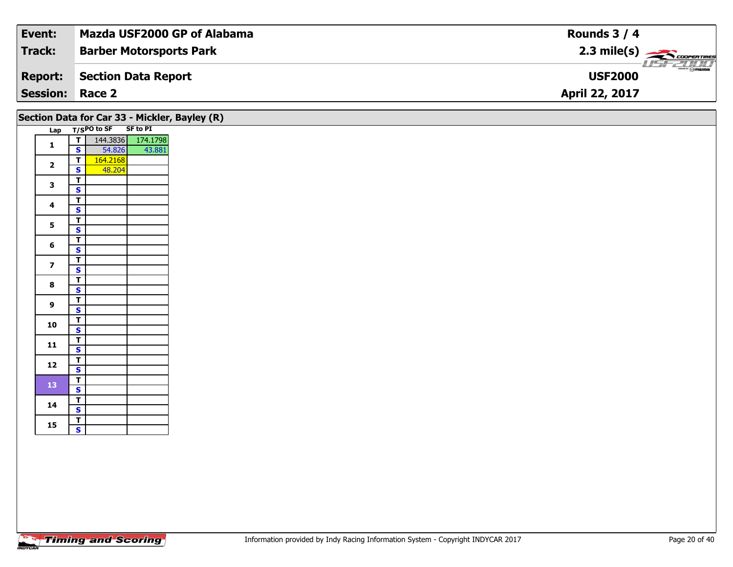| Event:                 | Mazda USF2000 GP of Alabama    | Rounds $3/4$                      |
|------------------------|--------------------------------|-----------------------------------|
| Track:                 | <b>Barber Motorsports Park</b> |                                   |
| <b>Report:</b>         | Section Data Report            | $ \Theta$ mazoa<br><b>USF2000</b> |
| <b>Session: Race 2</b> |                                | <b>April 22, 2017</b>             |

|                         |                         |               |                 | Section Data for Car 33 - Mickler, Bayley (R) |
|-------------------------|-------------------------|---------------|-----------------|-----------------------------------------------|
| Lap                     |                         | $T/SPO$ to SF | <b>SF to PI</b> |                                               |
| $\mathbf{1}$            | т                       | 144.3836      | 174.1798        |                                               |
|                         | S                       | 54.826        | 43.881          |                                               |
| $\overline{\mathbf{2}}$ | т                       | 164.2168      |                 |                                               |
|                         | S                       | 48.204        |                 |                                               |
| 3                       | T                       |               |                 |                                               |
|                         | S                       |               |                 |                                               |
| 4                       | т                       |               |                 |                                               |
|                         | S                       |               |                 |                                               |
| 5                       | т                       |               |                 |                                               |
|                         | S                       |               |                 |                                               |
| 6                       | т                       |               |                 |                                               |
|                         | S                       |               |                 |                                               |
| 7                       | т                       |               |                 |                                               |
|                         | S<br>T                  |               |                 |                                               |
| 8                       | S                       |               |                 |                                               |
|                         | T                       |               |                 |                                               |
| 9                       | S                       |               |                 |                                               |
|                         | т                       |               |                 |                                               |
| 10                      | S                       |               |                 |                                               |
|                         | т                       |               |                 |                                               |
| 11                      | S                       |               |                 |                                               |
|                         | т                       |               |                 |                                               |
| 12                      | S                       |               |                 |                                               |
| 13                      | т                       |               |                 |                                               |
|                         | S                       |               |                 |                                               |
| 14                      | т                       |               |                 |                                               |
|                         | S                       |               |                 |                                               |
| 15                      | Т                       |               |                 |                                               |
|                         | $\overline{\mathbf{s}}$ |               |                 |                                               |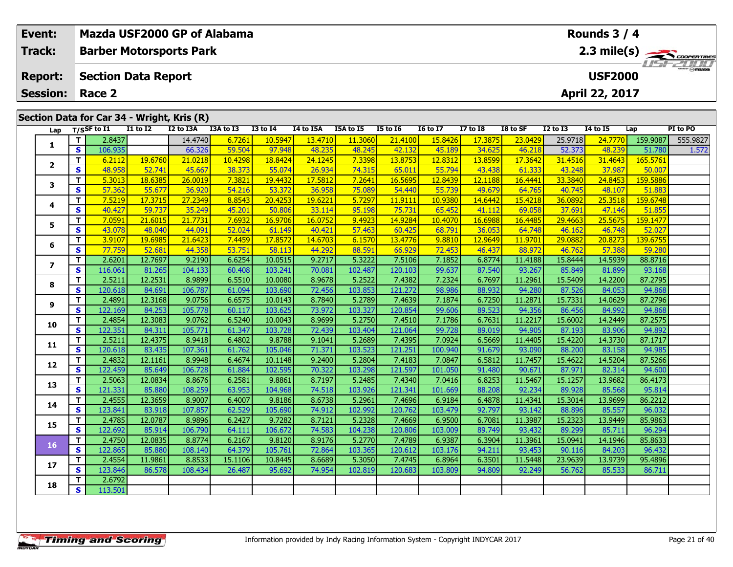| <b>Event:</b><br><b>Track:</b>                                 |                   | Mazda USF2000 GP of Alabama<br><b>Barber Motorsports Park</b> |                   |                   |                  |                   |                  |                   |                   |                   |                  |                                  |                   | Rounds 3 / 4<br>$2.3 \text{ mile(s)}$ |                   |          |  |  |
|----------------------------------------------------------------|-------------------|---------------------------------------------------------------|-------------------|-------------------|------------------|-------------------|------------------|-------------------|-------------------|-------------------|------------------|----------------------------------|-------------------|---------------------------------------|-------------------|----------|--|--|
| <b>Report:</b><br><b>Session:</b>                              |                   | <b>Section Data Report</b><br>Race 2                          |                   |                   |                  |                   |                  |                   |                   |                   |                  | <b>USF2000</b><br>April 22, 2017 |                   |                                       |                   |          |  |  |
| Section Data for Car 34 - Wright, Kris (R)<br>$T/S$ SF to $I1$ |                   |                                                               |                   |                   |                  |                   |                  |                   |                   |                   |                  |                                  |                   |                                       |                   |          |  |  |
| Lap                                                            |                   |                                                               | <b>I1 to I2</b>   | I2 to I3A         | I3A to I3        | <b>I3 to 14</b>   | I4 to I5A        | I5A to I5         | <b>I5 to 16</b>   | <b>I6 to I7</b>   | <b>I7 to I8</b>  | I8 to SF                         | <b>I2 to I3</b>   | <b>I4 to I5</b>                       | Lap               | PI to PO |  |  |
| 1                                                              | T                 | 2.8437                                                        |                   | 14.4740           | 6.7261           | 10.5947           | 13.4710          | 11.3060           | 21.4100           | 15.8426           | 17.3875          | 23.0429                          | 25.9718           | 24.7770                               | 159.9087          | 555.9827 |  |  |
|                                                                | $\mathbf{s}$      | 106.935                                                       |                   | 66.326            | 59.504           | 97.948            | 48.235           | 48.245            | 42.132            | 45.189            | 34.625           | 46.218                           | 52.373            | 48.239                                | 51.780            | 1.572    |  |  |
| $\mathbf{2}$                                                   | T                 | 6.2112                                                        | 19.6760           | 21.0218           | 10.4298          | 18.8424           | 24.1245          | 7.3398            | 13.8753           | 12.8312           | 13.8599          | 17.3642                          | 31.4516           | 31.4643                               | 165.5761          |          |  |  |
|                                                                | $\mathbf{s}$      | 48.958                                                        | 52.741            | 45.667            | 38.373           | 55.074            | 26.934           | 74.315            | 65.011            | 55.794            | 43.438           | 61.333                           | 43.248            | 37.987                                | 50.007            |          |  |  |
| 3                                                              | T                 | 5.3013                                                        | 18.6385           | 26.0019           | 7.3821           | 19.4432           | 17.5812          | 7.2641            | 16.5695           | 12.8439           | 12.1188          | 16.4441                          | 33.3840           | 24.8453                               | 159.5886          |          |  |  |
|                                                                | $\mathbf{s}$      | 57.362                                                        | 55.677            | 36.920            | 54.216           | 53.372            | 36.958           | 75.089            | 54.440            | 55.739            | 49.679           | 64.765                           | 40.745            | 48.107                                | 51.883            |          |  |  |
| 4                                                              | $\mathbf T$       | 7.5219                                                        | 17.3715           | 27.2349           | 8.8543           | 20.4253           | 19.6221          | 5.7297            | 11.9111           | 10.9380           | 14.6442          | 15.4218                          | 36.0892           | 25.3518                               | 159.6748          |          |  |  |
|                                                                | $\mathbf{s}$      | 40.427                                                        | 59.737            | 35.249            | 45.201           | 50.806            | 33.114           | 95.198            | 75.731            | 65.452            | 41.112           | 69.058                           | 37.691            | 47.146                                | 51.85             |          |  |  |
| 5                                                              | T                 | 7.0591                                                        | 21.6015           | 21.7731           | 7.6932           | 16.9706           | 16.0752          | 9.4923            | 14.9284           | 10.4070           | 16.6988          | 16.4485                          | 29,4663           | 25.5675                               | 159.147           |          |  |  |
|                                                                | $\mathbf{s}$      | 43.078                                                        | 48.040            | 44.091            | 52.024           | 61.149            | 40.421           | 57.463            | 60.425            | 68.791            | 36.053           | 64.748                           | 46.162            | 46.748                                | 52.027            |          |  |  |
| 6                                                              | T.                | 3.9107                                                        | 19.6985           | 21.6423           | 7.4459           | 17,857            | 14.6703          | 6.1570            | 13.4776           | 9.8810            | 12.9649          | 11.9701                          | 29.0882           | 20.8273                               | 139.6755          |          |  |  |
|                                                                | $\mathbf{s}$      | 77.759                                                        | 52.681            | 44.358            | 53.751           | 58.113            | 44.292           | 88.591            | 66.929            | 72.453            | 46.437           | 88.972                           | 46.762            | 57.388                                | 59.280            |          |  |  |
| $\overline{\phantom{a}}$                                       | T.                | 2.6201                                                        | 12.7697           | 9.2190            | 6.6254           | 10.0515           | 9.2717           | 5.3222            | 7.5106            | 7.1852            | 6.8774           | 11.4188                          | 15.8444           | 14.5939                               | 88.8716           |          |  |  |
|                                                                | $\mathbf{s}$      | 116.061                                                       | 81.265            | 104.133           | 60.408           | 103.241           | 70.081           | 102.487           | 120.103           | 99.637            | 87.540           | 93.267                           | 85.849            | 81.899                                | 93.168            |          |  |  |
| 8                                                              | $\mathbf{T}$      | 2.5211                                                        | 12.2531           | 8.9899            | 6.5510           | 10.0080           | 8.9678           | 5.2522            | 7.4382            | 7.2324            | 6.7697           | 11.2961                          | 15.5409           | 14.2200                               | 87.2795           |          |  |  |
|                                                                | $\mathbf{s}$      | 120.618                                                       | 84.691            | 106.787           | 61.094           | 103.690           | 72.456           | 103.853           | 121.272           | 98.986            | 88.932           | 94.280                           | 87.526            | 84.053                                | 94.868            |          |  |  |
| 9                                                              | T                 | 2.4891                                                        | 12.3168           | 9.0756            | 6.6575           | 10.0143           | 8.7840           | 5.2789            | 7.4639            | 7.1874            | 6.7250           | 11.2871                          | 15.7331           | 14.0629                               | 87.2796           |          |  |  |
|                                                                | $\mathbf{s}$      | 122.169                                                       | 84.253            | 105.778           | 60.117           | 103.625           | 73.972           | 103.327           | 120.854           | 99.606            | 89.523           | 94.356                           | 86.456            | 84.992                                | 94.868            |          |  |  |
| 10                                                             | T                 | 2.4854                                                        | 12.3083           | 9.0762            | 6.5240           | 10.0043           | 8.9699           | 5.2750            | 7.4510            | 7.1786            | 6.7631           | 11.2217                          | 15.6002           | 14.2449                               | 87.2575           |          |  |  |
|                                                                | $\mathbf{s}$      | 122.351                                                       | 84.311            | 105.771           | 61.347           | 103.728           | 72.439           | 103.404           | 121.064           | 99.728            | 89.019           | 94.905                           | 87.193            | 83.906                                | 94.892            |          |  |  |
| 11                                                             | T<br>$\mathbf{s}$ | 2.5211<br>120.618                                             | 12.4375<br>83.435 | 8.9418<br>107.361 | 6.4802<br>61.762 | 9.8788<br>105.046 | 9.1041<br>71.371 | 5.2689            | 7.4395<br>121.251 | 7.0924<br>100.940 | 6.5669<br>91.679 | 11.4405<br>93.090                | 15.4220<br>88.200 | 14.3730<br>83.158                     | 87.1717<br>94.985 |          |  |  |
|                                                                | T                 | 2.4832                                                        | 12.1161           | 8.9948            | 6.4674           | 10.1148           | 9.2400           | 103.523<br>5.2804 | 7.4183            | 7.0847            | 6.5812           | 11.7457                          | 15.4622           | 14.5204                               | 87.5266           |          |  |  |
| 12                                                             | $\mathbf{s}$      | 122.459                                                       | 85.649            | 106.728           | 61.884           | 102.595           | 70.322           | 103.298           | 121.597           | 101.050           | 91.480           | 90.671                           | 87.971            | 82.314                                | 94.600            |          |  |  |
|                                                                | T.                | 2.5063                                                        | 12.0834           | 8.8676            | 6.2581           | 9.8861            | 8.7197           | 5.2485            | 7.4340            | 7.0416            | 6.8253           | 11.5467                          | 15.1257           | 13.9682                               | 86.4173           |          |  |  |
| 13                                                             | $\mathbf{s}$      | 121.331                                                       | 85.880            | 108.259           | 63.953           | 104.968           | 74.518           | 103.926           | 121.341           | 101.669           | 88.208           | 92.234                           | 89.928            | 85.568                                | 95.814            |          |  |  |
|                                                                | T.                | 2.4555                                                        | 12.3659           | 8.9007            | 6.4007           | 9.8186            | 8.6738           | 5.2961            | 7.4696            | 6.9184            | 6.4878           | 11.4341                          | 15.3014           | 13.9699                               | 86.2212           |          |  |  |
| 14                                                             | $\mathbf{s}$      | 123.841                                                       | 83.918            | 107.857           | 62.529           | 105.690           | 74.912           | 102.992           | 120.762           | 103.479           | 92.797           | 93.142                           | 88.896            | 85.557                                | 96.032            |          |  |  |
|                                                                | Т                 | 2.4785                                                        | 12.0787           | 8.9896            | 6.2427           | 9.7282            | 8.7121           | 5.2328            | 7.4669            | 6.9500            | 6.7081           | 11.3987                          | 15.2323           | 13.9449                               | 85.9863           |          |  |  |
| 15                                                             | $\mathbf{s}$      | 122.692                                                       | 85.914            | 106.790           | 64.111           | 106.672           | 74.583           | 104.238           | 120.806           | 103.009           | 89.749           | 93.432                           | 89.299            | 85.711                                | 96.294            |          |  |  |
|                                                                | $\mathbf T$       | 2.4750                                                        | 12.0835           | 8.8774            | 6.2167           | 9.8120            | 8.9176           | 5.2770            | 7.4789            | 6.9387            | 6.3904           | 11.3961                          | 15.0941           | 14.1946                               | 85.8633           |          |  |  |
| <b>16</b>                                                      | S                 | 122.865                                                       | 85.880            | 108.140           | 64.379           | 105.761           | 72.864           | 103.365           | 120.612           | 103.176           | 94.211           | 93.453                           | 90.116            | 84.203                                | 96.432            |          |  |  |
|                                                                | T.                | 2.4554                                                        | 11.9861           | 8.8533            | 15.1106          | 10.8445           | 8.6689           | 5.3050            | 7.4745            | 6.8964            | 6.3501           | 11.5448                          | 23.9639           | 13.9739                               | 95.4896           |          |  |  |
| 17                                                             | s.                | 123.846                                                       | 86.578            | 108,434           | 26,487           | 95.692            | 74.954           | 102.819           | 120.683           | 103.809           | 94.809           | 92.249                           | 56.762            | 85.533                                | 86.711            |          |  |  |

**<sup>T</sup>** 2.6792 **<sup>S</sup>** 113.501

**18**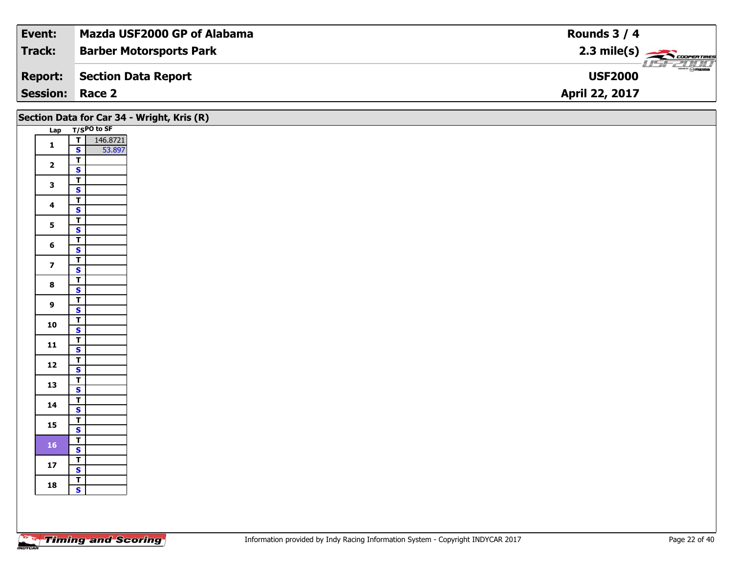| Event:          | Mazda USF2000 GP of Alabama    | Rounds $3/4$                            |
|-----------------|--------------------------------|-----------------------------------------|
| Track:          | <b>Barber Motorsports Park</b> | $2.3 \text{ mile(s)}$                   |
| <b>Report:</b>  | Section Data Report            | <b><i>COMPANY</i></b><br><b>USF2000</b> |
| <b>Session:</b> | Race 2                         | <b>April 22, 2017</b>                   |

|                         |                                                    | Section Data for Car 34 - Wright, Kris (R) |
|-------------------------|----------------------------------------------------|--------------------------------------------|
|                         | Lap T/SPO to SF                                    |                                            |
| $\mathbf{1}$            | T 146.8721<br>S 53.897                             |                                            |
|                         | 53.897                                             |                                            |
| $\overline{\mathbf{2}}$ | $\overline{\mathsf{r}}$                            |                                            |
|                         | $\overline{\mathbf{s}}$                            |                                            |
| $\mathbf{3}$            | $\overline{r}$<br>$\overline{\mathbf{s}}$          |                                            |
|                         | $\overline{\mathsf{T}}$                            |                                            |
| $\overline{\mathbf{4}}$ | $\mathbf{s}$                                       |                                            |
|                         | $\overline{\mathsf{T}}$                            |                                            |
| 5 <sub>5</sub>          | $\overline{\mathbf{s}}$                            |                                            |
| $6\phantom{1}$          | $\overline{\mathbf{r}}$                            |                                            |
|                         | $\mathsf{s}$                                       |                                            |
| $\overline{\mathbf{z}}$ | $\overline{t}$                                     |                                            |
|                         | $\mathsf{s}$                                       |                                            |
| $\bf{8}$                | $\overline{\mathsf{r}}$<br>$\overline{\mathbf{s}}$ |                                            |
|                         | $\overline{t}$                                     |                                            |
| $\overline{9}$          | $\mathbf{s}$                                       |                                            |
|                         | $(\overline{T})$                                   |                                            |
| 10                      | $\overline{\mathbf{s}}$                            |                                            |
| $11$                    | $\frac{1}{s}$                                      |                                            |
|                         |                                                    |                                            |
| $12$                    | $\top$<br>$\mathsf{s}$                             |                                            |
|                         | $\overline{\mathbf{r}}$                            |                                            |
| 13                      | $\overline{\mathbf{s}}$                            |                                            |
|                         | $\overline{1}$                                     |                                            |
| 14                      | $\mathbf{s}$                                       |                                            |
| 15                      | $\overline{\mathbf{T}}$                            |                                            |
|                         | $\overline{\mathbf{s}}$                            |                                            |
| $\bf 16$                | $\blacksquare$<br>$\mathbf{s}$                     |                                            |
|                         | $\mathbf{T}$                                       |                                            |
| $17$                    | $\overline{\mathbf{s}}$                            |                                            |
|                         |                                                    |                                            |
| 18                      | $\frac{1}{s}$                                      |                                            |
|                         |                                                    |                                            |
|                         |                                                    |                                            |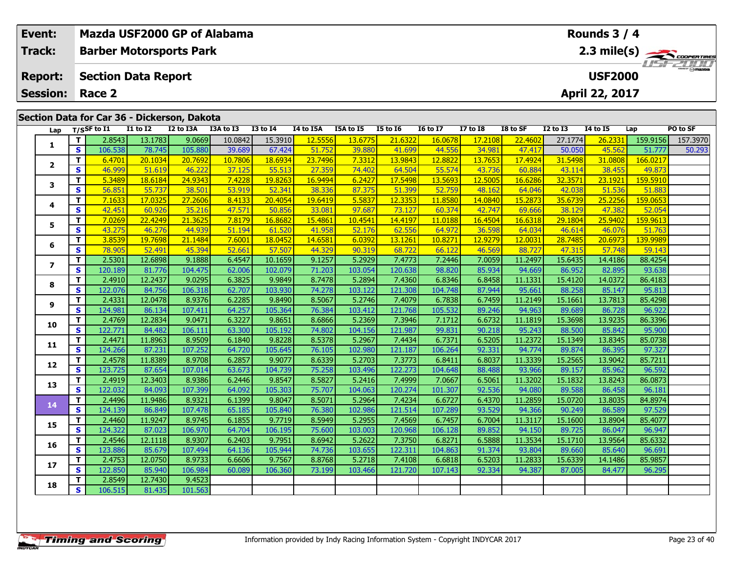| Event:                  |              |                  |                                             |           | Mazda USF2000 GP of Alabama |                 |           | Rounds 3 / 4 |                 |                 |                 |          |                 |                 |          |                       |
|-------------------------|--------------|------------------|---------------------------------------------|-----------|-----------------------------|-----------------|-----------|--------------|-----------------|-----------------|-----------------|----------|-----------------|-----------------|----------|-----------------------|
| Track:                  |              |                  | <b>Barber Motorsports Park</b>              |           |                             |                 |           |              |                 |                 |                 |          |                 |                 |          | $2.3 \text{ mile(s)}$ |
| <b>Report:</b>          |              |                  | <b>Section Data Report</b>                  |           |                             |                 |           |              |                 |                 |                 |          |                 | <b>USF2000</b>  |          |                       |
| <b>Session:</b>         |              | Race 2           |                                             |           |                             |                 |           |              |                 |                 |                 |          |                 | April 22, 2017  |          |                       |
|                         |              |                  |                                             |           |                             |                 |           |              |                 |                 |                 |          |                 |                 |          |                       |
|                         |              |                  | Section Data for Car 36 - Dickerson, Dakota |           |                             |                 |           |              |                 |                 |                 |          |                 |                 |          |                       |
| Lap                     |              | $T/S$ SF to $I1$ | <b>I1 to I2</b>                             | I2 to I3A | I3A to I3                   | <b>I3 to 14</b> | I4 to I5A | I5A to I5    | <b>I5 to 16</b> | <b>I6 to I7</b> | <b>I7 to I8</b> | I8 to SF | <b>I2 to I3</b> | <b>14 to 15</b> | Lap      | PO to SF              |
| 1                       | T.           | 2.8543           | 13.1783                                     | 9.0669    | 10.0842                     | 15.3910         | 12.5556   | 13.6775      | 21,6322         | 16.0678         | 17.210          | 22.4602  | 27.1774         | 26.2331         | 159.9156 | 157.3970              |
|                         | $\mathbf{s}$ | 106.538          | 78.745                                      | 105.880   | 39.689                      | 67.424          | 51.752    | 39.880       | 41.699          | 44.556          | 34.981          | 47.417   | 50.050          | 45.562          | 51.777   | 50.293                |
| $\overline{2}$          | T.           | 6.4701           | 20.1034                                     | 20.7692   | 10.7806                     | 18.6934         | 23.7496   | 7.3312       | 13.9843         | 12.8822         | 13.7653         | 17.4924  | 31.5498         | 31.0808         | 166.0217 |                       |
|                         | S            | 46.999           | 51.619                                      | 46.222    | 37.125                      | 55.513          | 27.359    | 74.402       | 64.504          | 55.574          | 43.736          | 60.884   | 43.114          | 38.455          | 49.873   |                       |
| 3                       | T.           | 5.3489           | 18.6184                                     | 24.9343   | 7.4228                      | 19.8263         | 16.9494   | 6.2427       | 17.5498         | 13.5693         | 12.5005         | 16.6286  | 32.3571         | 23.1921         | 159.5910 |                       |
|                         | <b>S</b>     | 56.851           | 55.737                                      | 38.501    | 53.919                      | 52.341          | 38.336    | 87.375       | 51.399          | 52.759          | 48.162          | 64.046   | 42.038          | 51.536          | 51.883   |                       |
| 4                       | T            | 7.1633           | 17.0325                                     | 27,2606   | 8.4133                      | 20,4054         | 19.6419   | 5.5837       | 12.3353         | 11.8580         | 14.0840         | 15.2873  | 35.6739         | 25,2256         | 159.0653 |                       |
|                         | $\mathbf{s}$ | 42.451           | 60.926                                      | 35.216    | 47.571                      | 50.856          | 33.081    | 97.687       | 73.127          | 60.374          | 42.747          | 69.666   | 38.129          | 47.382          | 52.054   |                       |
| 5                       | T.           | 7.0269           | 22.4249                                     | 21.3625   | 7.8179                      | 16.8682         | 15.4861   | 10.4541      | 14.4197         | 11.0188         | 16.4504         | 16.6318  | 29.1804         | 25.9402         | 159.9613 |                       |
|                         | S            | 43.275           | 46.276                                      | 44.939    | 51.194                      | 61.520          | 41.958    | 52.176       | 62.556          | 64.972          | 36.598          | 64.034   | 46.614          | 46.076          | 51.763   |                       |
| 6                       | T.           | 3.8539           | 19.7698                                     | 21.1484   | 7.6001                      | 18.0452         | 14.6581   | 6.0392       | 13.1261         | 10.8271         | 12.927          | 12.0031  | 28.7485         | 20.6973         | 139.9989 |                       |
|                         | <b>S</b>     | 78.905           | 52.491                                      | 45.394    | 52.661                      | 57.507          | 44.329    | 90.319       | 68.722          | 66.122          | 46.569          | 88.727   | 47.315          | 57.748          | 59.143   |                       |
| $\overline{\mathbf{z}}$ | $\mathbf{T}$ | 2.5301           | 12.6898                                     | 9.1888    | 6.4547                      | 10.1659         | 9.1257    | 5.2929       | 7.4773          | 7.2446          | 7.0059          | 11.2497  | 15.6435         | 14.4186         | 88.4254  |                       |
|                         | <b>S</b>     | 120.189          | 81.776                                      | 104.475   | 62.006                      | 102.079         | 71.203    | 103.054      | 120.638         | 98.820          | 85.934          | 94.669   | 86.952          | 82.895          | 93.638   |                       |
| 8                       | T.           | 2.4910           | 12.2437                                     | 9.0295    | 6.3825                      | 9.9849          | 8.7478    | 5.2894       | 7.4360          | 6.8346          | 6.8458          | 11.1331  | 15.4120         | 14.0372         | 86.4183  |                       |
|                         | <b>S</b>     | 122.076          | 84.756                                      | 106.318   | 62.707                      | 103.930         | 74.278    | 103.122      | 121.308         | 104.748         | 87.944          | 95.661   | 88.258          | 85.147          | 95.813   |                       |
| 9                       | T.           | 2.4331           | 12.0478                                     | 8.9376    | 6.2285                      | 9.8490          | 8.5067    | 5.2746       | 7.4079          | 6.7838          | 6.7459          | 11.2149  | 15.1661         | 13.7813         | 85.4298  |                       |
|                         | <b>S</b>     | 124.981          | 86.134                                      | 107.411   | 64.257                      | 105.364         | 76.384    | 103.412      | 121.768         | 105.532         | 89.246          | 94.963   | 89.689          | 86.728          | 96.922   |                       |
| 10                      | $\mathbf{T}$ | 2.4769           | 12.2834                                     | 9.0471    | 6.3227                      | 9.8651          | 8.6866    | 5.2369       | 7.3946          | 7.1712          | 6.6732          | 11.1819  | 15.3698         | 13.9235         | 86.3396  |                       |
|                         | S.           | 122.771          | 84.482                                      | 106.111   | 63.300                      | 105.192         | 74.802    | 104.156      | 121.987         | 99.831          | 90.218          | 95.243   | 88.500          | 85.842          | 95.900   |                       |
| 11                      | T.           | 2.4471           | 11.8963                                     | 8.9509    | 6.1840                      | 9.8228          | 8.5378    | 5.2967       | 7.4434          | 6.7371          | 6.5205          | 11.2372  | 15.1349         | 13.8345         | 85.0738  |                       |
|                         | S.           | 124.266          | 87.231                                      | 107.252   | 64.720                      | 105.645         | 76.105    | 102.980      | 121.187         | 106.264         | 92.331          | 94.774   | 89.874          | 86.395          | 97.327   |                       |
| 12                      |              | 2.4578           | 11.8389                                     | 8.9708    | 6.2857                      | 9.9077          | 8.6339    | 5.2703       | 7.3773          | 6.8411          | 6.8037          | 11.3339  | 15.2565         | 13.9042         | 85.7211  |                       |
|                         | .s I         | 123.725          | 87.654                                      | 107.014   | 63.673                      | 104.739         | 75.258    | 103.496      | 122.273         | 104.648         | 88.488          | 93.966   | 89.157          | 85.962          | 96.592   |                       |

**<sup>T</sup>** 2.4919 12.3403 8.9386 6.2446 9.8547 8.5827 5.2416 7.4999 7.0667 6.5061 11.3202 15.1832 13.8243 86.0873 **<sup>S</sup>** 122.032 84.093 107.399 64.092 105.303 75.707 104.063 120.274 101.307 92.536 94.080 89.588 86.458 96.181

| 14 |          | 2.44961  | 11.9486 | 8.93211  | 6.13991 | 9.80471 | 8.50711 | 5.29641 | 7.42341 | 6.67271 | 6.43701 | 11.28591 | 15.07201 | 13.80351 | 84.8974 |
|----|----------|----------|---------|----------|---------|---------|---------|---------|---------|---------|---------|----------|----------|----------|---------|
|    | <b>S</b> | 124.139  | 86.849  | 107.4781 | 65.185  | 105.840 | 76.380  | 102.986 | 121.514 | 107.289 | 93.529  | 94.366   | 90.249   | 86.589   | 97.529  |
| 15 |          | 2.4460   | 11.9247 | 8.9745   | 6.1855  | 9.7719  | 8.5949  | 5.2955  | 7.4569  | 6.7457  | 6.7004  | 11.3117  | 15.1600  | 13.8904  | 85,4077 |
|    | <b>S</b> | 124.322  | 87.023  | 106.970  | 64.704  | 106.195 | 75.600  | 103.003 | 120.968 | 106.128 | 89.852  | 94.150   | 89.725   | 86.047   | 96.947  |
| 16 |          | 2.4546 l | 12.1118 | 8.9307   | 6.2403  | 9.7951  | 8.6942  | 5.2622  | 7.3750  | 6.8271  | 6.5888  | 11.3534  | 15.1710  | 13.9564  | 85.6332 |
|    | <b>S</b> | 123.886  | 85.679  | 107.494  | 64.136  | 105.944 | 74.736  | 103.655 | 122.311 | 104.863 | 91.374  | 93.804   | 89.660   | 85.640   | 96.691  |
| 17 |          | 2.4753   | 12.0750 | 8.9733   | 6.6606  | 9.7567  | 8.8768  | 5.2718  | 7.4108  | 6.6818  | 6.5203  | 11.2833  | 15.6339  | 14.1486  | 85.9857 |
|    | S.       | 122.850  | 85.940  | 106.984  | 60.089  | 106.360 | 73.199  | 103.466 | 121.720 | 107.143 | 92.334  | 94.387   | 87.005   | 84.477   | 96.295  |
| 18 |          | 2.8549   | 12.7430 | 9.4523   |         |         |         |         |         |         |         |          |          |          |         |
|    | <b>S</b> | 106.515  | 81.435  | 101.563  |         |         |         |         |         |         |         |          |          |          |         |
|    |          |          |         |          |         |         |         |         |         |         |         |          |          |          |         |
|    |          |          |         |          |         |         |         |         |         |         |         |          |          |          |         |
|    |          |          |         |          |         |         |         |         |         |         |         |          |          |          |         |

**13**

96.592<br>86.0873

96.181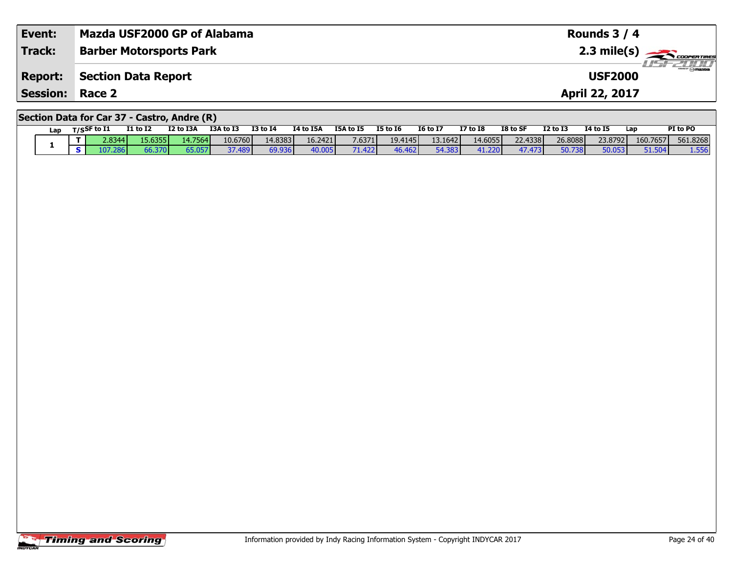| Event:                 | Mazda USF2000 GP of Alabama                 | Rounds $3/4$                      |
|------------------------|---------------------------------------------|-----------------------------------|
| Track:                 | <b>Barber Motorsports Park</b>              |                                   |
| <b>Report:</b>         | Section Data Report                         | <b>USF 2000</b><br><b>USF2000</b> |
| <b>Session: Race 2</b> |                                             | <b>April 22, 2017</b>             |
|                        | Section Data for Car 37 - Castro, Andre (R) |                                   |

|  | Lap |  | $T/S$ SF to I1 | <b>I1 to I2</b> | I2 to I3A        | I3A to I3 | <b>I3 to I4</b> | I4 to I5A | I5A to I5 | <b>I5 to 16</b>  | <b>16 to 17</b> | <b>I7 to I8</b> | I8 to SF | <b>I2 to I3</b> | <b>14 to 15</b> | Lap      | PI to PO |
|--|-----|--|----------------|-----------------|------------------|-----------|-----------------|-----------|-----------|------------------|-----------------|-----------------|----------|-----------------|-----------------|----------|----------|
|  |     |  | 2.8344         | 15.6355         | 14.7564 <b>I</b> | 10.6760   | 14.8383         | 16.2421   | 7.6371    | 19.4145 <b>1</b> | 13.1642         | 14.6055         | 22.4338  | 26,8088         | 23.8792         | 160.7657 | 561.8268 |
|  |     |  | $-107.2$ ou.   | 66.370          | 65.057           | 37.489    | 69.936          | 40.005    | 71.422    | 46.462           | 54.383          | 41.220          | 47.473   | 50.738          | 50.053          | 51.504   | 1.556    |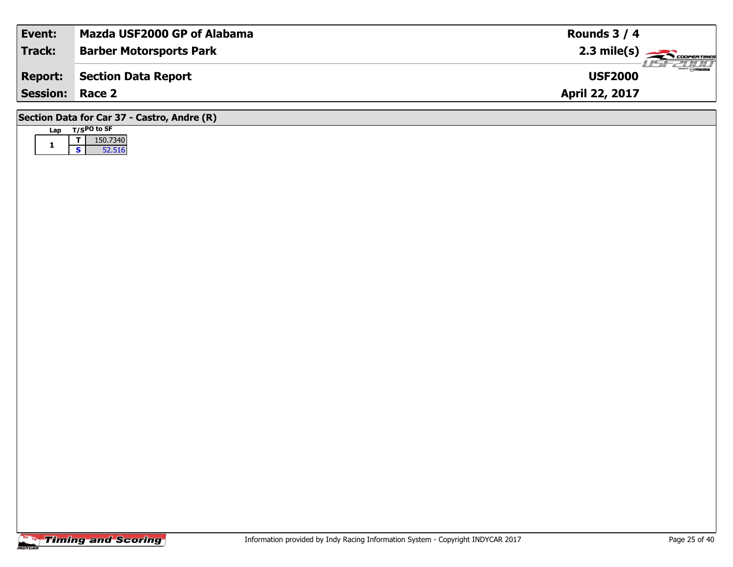| Event:          | Mazda USF2000 GP of Alabama    | Rounds $3/4$                               |
|-----------------|--------------------------------|--------------------------------------------|
| <b>Track:</b>   | <b>Barber Motorsports Park</b> | $2.3$ mile(s) $\rightarrow$ COOPER TIRES   |
| <b>Report:</b>  | Section Data Report            | $\overline{\odot}$ mazoa<br><b>USF2000</b> |
| <b>Session:</b> | Race 2                         | <b>April 22, 2017</b>                      |
|                 |                                |                                            |

| an |   | $T/SPO$ to SF |
|----|---|---------------|
|    |   | 150.7340      |
|    | s | 52.516        |

**Section Data for Car 37 - Castro, Andre (R)**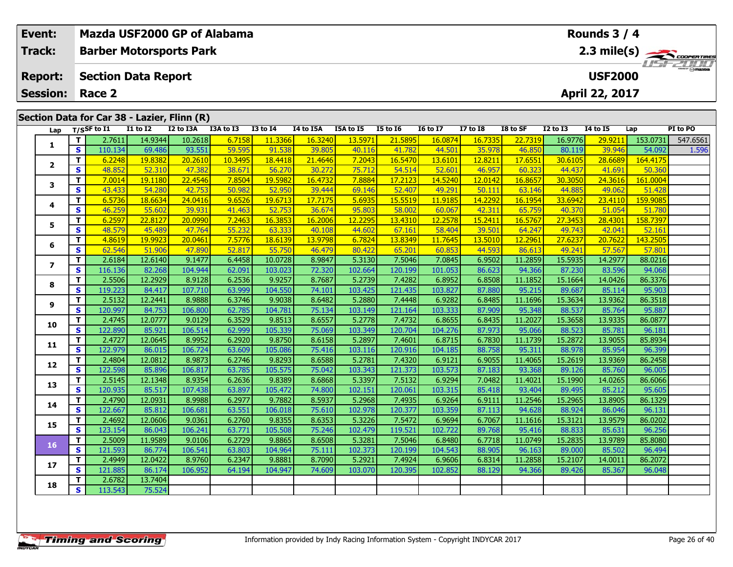| Event:          | Mazda USF2000 GP of Alabama   |                                             |                                    |                   |                   |                   |                   |                   |                   |                   |                   |                   |                   | Rounds $3/4$      |                   |                                  |
|-----------------|-------------------------------|---------------------------------------------|------------------------------------|-------------------|-------------------|-------------------|-------------------|-------------------|-------------------|-------------------|-------------------|-------------------|-------------------|-------------------|-------------------|----------------------------------|
| Track:          |                               | <b>Barber Motorsports Park</b>              |                                    |                   |                   |                   |                   |                   |                   |                   |                   |                   |                   |                   |                   | $2.3 \text{ mile(s)}$<br>ustzung |
| <b>Report:</b>  |                               | <b>Section Data Report</b>                  |                                    |                   |                   |                   |                   |                   |                   |                   |                   |                   |                   | <b>USF2000</b>    |                   |                                  |
| <b>Session:</b> |                               | Race 2                                      |                                    |                   |                   |                   |                   |                   |                   |                   |                   |                   |                   | April 22, 2017    |                   |                                  |
|                 |                               |                                             |                                    |                   |                   |                   |                   |                   |                   |                   |                   |                   |                   |                   |                   |                                  |
|                 |                               | Section Data for Car 38 - Lazier, Flinn (R) |                                    |                   |                   |                   |                   |                   |                   |                   |                   |                   |                   |                   |                   |                                  |
| Lap             |                               | T/SSF to 11                                 | $\overline{11}$ to $\overline{12}$ | I2 to I3A         | I3A to I3         | <b>I3 to I4</b>   | I4 to I5A         | I5A to I5         | <b>I5 to 16</b>   | <b>I6 to I7</b>   | $17$ to $18$      | I8 to SF          | $I2$ to $I3$      | <b>I4 to I5</b>   | Lap               | PI to PO                         |
| 1               | T                             | 2.7611<br>110.134                           | 14.9344                            | 10.2618           | 6.7158            | 11.3366           | 16.3240           | 13.5971           | 21.5895<br>41.782 | 16.0874<br>44.501 | 16.7335           | 22.7319           | 16.9776           | 29.9211<br>39.946 | 153.0731          | 547.6561                         |
|                 | $\mathbf{s}$<br>T             | 6.2248                                      | 69.486<br>19.8382                  | 93.551<br>20.2610 | 59.595<br>10.3495 | 91.538<br>18.4418 | 39.805<br>21.4646 | 40.116<br>7.2043  | 16.5470           | 13.6101           | 35.978<br>12.8211 | 46.850<br>17.6551 | 80.119<br>30.6105 | 28.6689           | 54.09<br>164.4175 | 1.596                            |
| $\mathbf{2}$    | S                             | 48.852                                      | 52.310                             | 47.382            | 38.671            | 56.270            | 30.272            | 75.712            | 54.514            | 52.601            | 46.957            | 60.323            | 44.437            | 41.691            | 50.360            |                                  |
|                 | T.                            | 7.0014                                      | 19.1180                            | 22.4546           | 7.8504            | 19.5982           | 16.4732           | 7.8884            | 17.2123           | 14.5240           | 12.0142           | 16.8657           | 30.3050           | 24.3616           | 161,0004          |                                  |
| 3               | $\mathbf{s}$                  | 43.433                                      | 54.280                             | 42.753            | 50.982            | 52.950            | 39.444            | 69.146            | 52.407            | 49.291            | 50.111            | 63.146            | 44.885            | 49.062            | 51.428            |                                  |
|                 | T.                            | 6.5736                                      | 18.6634                            | 24.0416           | 9.6526            | 19.6713           | 17.7175           | 5.6935            | 15.5519           | 11.9185           | 14.2292           | 16.1954           | 33.6942           | 23.4110           | 159.9085          |                                  |
| 4               | S                             | 46.259                                      | 55.602                             | 39.931            | 41.463            | 52.753            | 36.674            | 95.803            | 58.002            | 60.067            | 42.311            | 65.759            | 40.370            | 51.054            | 51.780            |                                  |
|                 | T                             | 6.2597                                      | 22.8127                            | 20.0990           | 7.2463            | 16.3853           | 16.2006           | 12.2295           | 13.4310           | 12.2578           | 15.2411           | 16.5767           | 27.3453           | 28.4301           | 158.7397          |                                  |
| 5               | <b>S</b>                      | 48.579                                      | 45.489                             | 47.764            | 55.232            | 63.333            | 40.108            | 44.602            | 67.161            | 58.404            | 39.501            | 64.247            | 49.743            | 42.041            | 52.161            |                                  |
|                 | $\mathbf{T}$                  | 4.8619                                      | 19.9923                            | 20.0461           | 7.5776            | 18.6139           | 13.9798           | 6.7824            | 13.8349           | 11.7645           | 13.5010           | 12.2961           | 27.6237           | 20.7622           | 143.2505          |                                  |
| 6               | $\mathbf{s}$                  | 62.546                                      | 51.906                             | 47.890            | 52.817            | 55.750            | 46.479            | 80.422            | 65.201            | 60.853            | 44.593            | 86.613            | 49.241            | 57.567            | 57.801            |                                  |
| $\overline{ }$  | T.                            | 2.6184                                      | 12.6140                            | 9.1477            | 6.4458            | 10.0728           | 8.9847            | 5.3130            | 7.5046            | 7.0845            | 6.9502            | 11.2859           | 15.5935           | 14.2977           | 88.0216           |                                  |
|                 | $\mathbf{s}$                  | 116.136                                     | 82.268                             | 104.944           | 62.091            | 103.023           | 72.320            | 102.664           | 120.199           | 101.053           | 86.623            | 94.366            | 87.230            | 83.596            | 94.068            |                                  |
| 8               | T                             | 2.5506                                      | 12.2929                            | 8.9128            | 6.2536            | 9.9257            | 8.7687            | 5.2739            | 7.4282            | 6.8952            | 6.8508            | 11.1852           | 15.1664           | 14.0426           | 86.3376           |                                  |
|                 | $\mathbf{s}$                  | 119.223                                     | 84.417                             | 107.710           | 63.999            | 104.550           | 74.101            | 103.425           | 121.435           | 103.827           | 87.880            | 95.215            | 89.687            | 85.114            | 95.903            |                                  |
| 9               | T.                            | 2.5132                                      | 12.2441                            | 8.9888            | 6.3746            | 9.9038            | 8.6482            | 5.2880            | 7.4448            | 6.9282            | 6.8485            | 11.1696           | 15.3634           | 13.9362           | 86.3518           |                                  |
|                 | <b>S</b>                      | 120.997                                     | 84.753                             | 106.800           | 62.785            | 104.781           | 75.134            | 103.149           | 121.164           | 103.333           | 87.909            | 95.348            | 88.537            | 85.764            | 95.887            |                                  |
| 10              | T.                            | 2.4745                                      | 12.0777                            | 9.0129            | 6.3529            | 9.8513            | 8.6557            | 5.2778            | 7.4732            | 6.8655            | 6.8435            | 11.2027           | 15.3658           | 13.9335           | 86.0877           |                                  |
|                 | $\mathbf{s}$                  | 122.890                                     | 85.921                             | 106.514           | 62.999            | 105.339           | 75.069            | 103.349           | 120.704           | 104.276           | 87.973            | 95.066            | 88.523            | 85.781            | 96.181            |                                  |
| 11              | T.<br>$\overline{\mathbf{s}}$ | 2.4727<br>122.979                           | 12.0645<br>86.015                  | 8.9952<br>106.724 | 6.2920<br>63.609  | 9.8750<br>105.086 | 8.6158<br>75.416  | 5.2897<br>103.116 | 7.4601<br>120.916 | 6.8715<br>104.185 | 6.7830<br>88.758  | 11.1739<br>95.311 | 15.2872<br>88.978 | 13.9055<br>85.954 | 85.8934<br>96.399 |                                  |
|                 | T.                            | 2.4804                                      | 12.0812                            | 8.9873            | 6.2746            | 9.8293            | 8.6588            | 5.2781            | 7.4320            | 6.9121            | 6.9055            | 11.4065           | 15.2619           | 13.9369           | 86.2458           |                                  |
| 12              | S                             | 122.598                                     | 85.896                             | 106.817           | 63.785            | 105.575           | 75.042            | 103.343           | 121.373           | 103.573           | 87.183            | 93.368            | 89.126            | 85.760            | 96.005            |                                  |
|                 | T.                            | 2.5145                                      | 12.1348                            | 8.9354            | 6.2636            | 9.8389            | 8.6868            | 5.3397            | 7.5132            | 6.9294            | 7.0482            | 11.4021           | 15.1990           | 14.0265           | 86.6066           |                                  |
| 13              | $\mathbf{s}$                  | 120.935                                     | 85.517                             | 107.438           | 63.897            | 105.472           | 74.800            | 102.151           | 120.061           | 103.315           | 85.418            | 93.404            | 89.495            | 85.212            | 95.605            |                                  |
|                 | T.                            | 2.4790                                      | 12.0931                            | 8.9988            | 6.2977            | 9.7882            | 8.5937            | 5.2968            | 7.4935            | 6.9264            | 6.9111            | 11.2546           | 15.2965           | 13.8905           | 86.1329           |                                  |
| 14              | S                             | 122.667                                     | 85.812                             | 106.681           | 63.551            | 106.018           | 75.610            | 102.978           | 120.377           | 103.359           | 87.113            | 94.628            | 88.924            | 86.046            | 96.131            |                                  |
|                 | T.                            | 2.4692                                      | 12.0606                            | 9.0361            | 6.2760            | 9.8355            | 8.6353            | 5.3226            | 7.5472            | 6.9694            | 6.7067            | 11.1616           | 15.3121           | 13.9579           | 86.0202           |                                  |
| 15              | $\overline{\mathbf{s}}$       | 123.154                                     | 86.043                             | 106.241           | 63.771            | 105.508           | 75.246            | 102.479           | 119.521           | 102.722           | 89.768            | 95.416            | 88.833            | 85.631            | 96.256            |                                  |
|                 | T                             | 2.5009                                      | 11.9589                            | 9.0106            | 6.2729            | 9.8865            | 8.6508            | 5.3281            | 7.5046            | 6.8480            | 6.7718            | 11.0749           | 15.2835           | 13.9789           | 85.8080           |                                  |
| 16              | $\mathbf{s}$                  | 121.593                                     | 86.774                             | 106.541           | 63.803            | 104.964           | 75.111            | 102.373           | 120.199           | 104.543           | 88.905            | 96.163            | 89.000            | 85.502            | 96.494            |                                  |
| 17              | T.                            | 2.4949                                      | 12.0422                            | 8.9760            | 6.2347            | 9.8881            | 8.7090            | 5.2921            | 7.4924            | 6.9606            | 6.8314            | 11.2858           | 15.2107           | 14.0011           | 86.2072           |                                  |
|                 | S.                            | 121.885                                     | 86.174                             | 106.952           | 64.194            | 104.947           | 74.609            | 103.070           | 120.395           | 102.852           | 88.129            | 94.366            | 89.426            | 85.367            | 96.048            |                                  |

**<sup>T</sup>** 2.6782 13.7404 **<sup>S</sup>** 113.543 75.524

75.524

**18**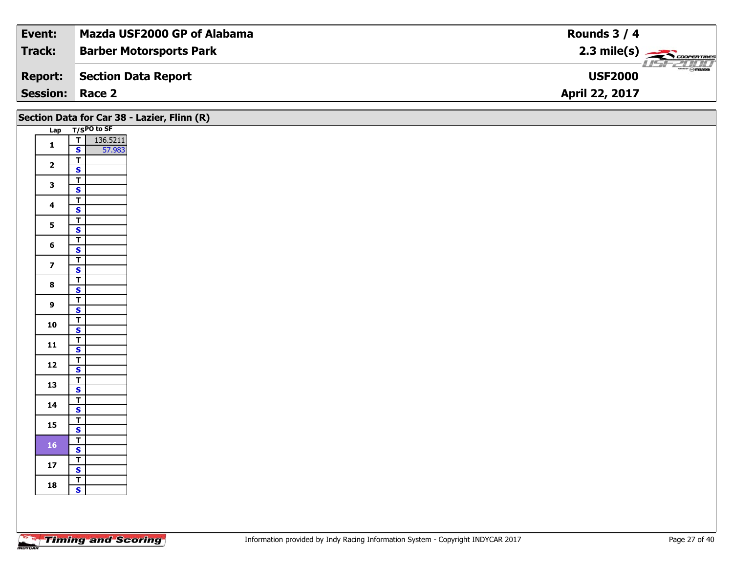| Event:          | Mazda USF2000 GP of Alabama    | Rounds $3/4$                              |
|-----------------|--------------------------------|-------------------------------------------|
| Track:          | <b>Barber Motorsports Park</b> |                                           |
| <b>Report:</b>  | Section Data Report            | $\frac{1}{\odot}$ mazoa<br><b>USF2000</b> |
| <b>Session:</b> | Race 2                         | <b>April 22, 2017</b>                     |

|                         |                                           | Section Data for Car 38 - Lazier, Flinn (R) |
|-------------------------|-------------------------------------------|---------------------------------------------|
|                         | Lap T/SPO to SF                           |                                             |
| $\mathbf{1}$            | $T$ 136.5211                              |                                             |
|                         | $\mathsf{s}$<br>57.983                    |                                             |
| $\overline{\mathbf{2}}$ | $\overline{\mathbf{r}}$                   |                                             |
|                         | $\overline{\mathbf{s}}$                   |                                             |
| $\mathbf{3}$            | $\vert$ T                                 |                                             |
|                         | $\overline{\mathbf{s}}$                   |                                             |
| $\overline{\mathbf{4}}$ | $\overline{\mathsf{r}}$                   |                                             |
|                         | $\mathsf{s}$                              |                                             |
| 5 <sup>1</sup>          | $\overline{r}$<br>$\overline{\mathbf{s}}$ |                                             |
|                         | $\overline{\mathbf{r}}$                   |                                             |
| $6\phantom{1}$          | $\mathbf{s}$                              |                                             |
|                         | $\overline{1}$                            |                                             |
| $\overline{\mathbf{z}}$ | $\overline{\mathbf{s}}$                   |                                             |
| $\bf{8}$                | $\overline{\mathsf{T}}$                   |                                             |
|                         | $\overline{\mathbf{s}}$                   |                                             |
| $\overline{9}$          | $\overline{1}$                            |                                             |
|                         | $\mathsf{s}$                              |                                             |
| 10                      | T<br>$\overline{\mathbf{s}}$              |                                             |
|                         |                                           |                                             |
| 11                      | $rac{1}{s}$                               |                                             |
|                         | $\overline{r}$                            |                                             |
| 12                      | $\overline{\mathbf{s}}$                   |                                             |
| 13                      | $\overline{\mathsf{r}}$                   |                                             |
|                         | $\mathbf{s}$                              |                                             |
| 14                      | $\top$                                    |                                             |
|                         | $\mathbf{s}$                              |                                             |
| 15                      | $\overline{1}$<br>$\overline{\mathbf{s}}$ |                                             |
|                         | $\sqrt{1}$                                |                                             |
| 16                      | $\mathbf{s}$                              |                                             |
|                         |                                           |                                             |
| 17                      | $rac{1}{s}$                               |                                             |
| 18                      | $rac{1}{s}$                               |                                             |
|                         |                                           |                                             |
|                         |                                           |                                             |
|                         |                                           |                                             |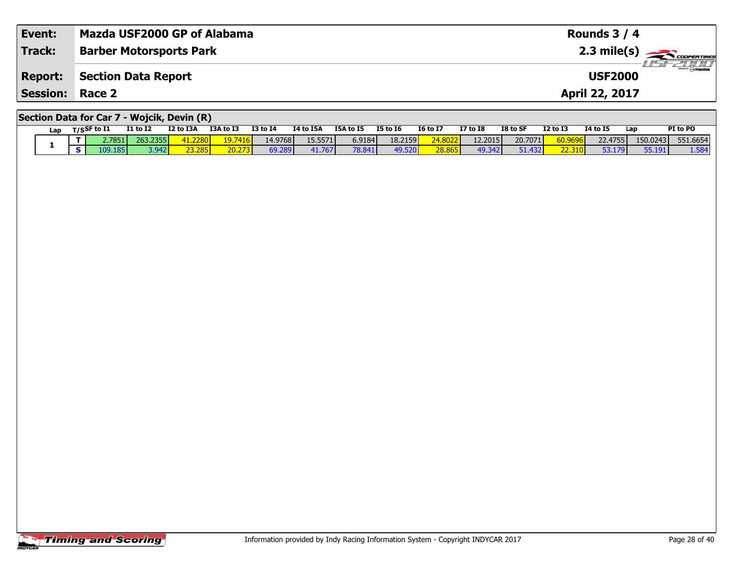| Event:                 | Mazda USF2000 GP of Alabama                | Rounds $3/4$                              |
|------------------------|--------------------------------------------|-------------------------------------------|
| <b>Track:</b>          | <b>Barber Motorsports Park</b>             | $2.3 \text{ mile(s)}$                     |
| <b>Report:</b>         | Section Data Report                        | <i><b>LISF 2000</b></i><br><b>USF2000</b> |
| <b>Session: Race 2</b> |                                            | April 22, 2017                            |
|                        | Section Data for Car 7 - Wojcik, Devin (R) |                                           |

| Lap |     | $T/S$ SF to I1 | <b>I1 to I2</b>   | I2 to I3A | I3A to I3         | <b>I3 to I4</b> | 14 to 15A | I5A to I5 | <b>I5 to 16</b> | <b>16 to 17</b> | <b>I7 to I8</b> | I8 to SF | <b>I2 to I3</b> | <b>I4 to I5</b> | Lap      | PI to PO |
|-----|-----|----------------|-------------------|-----------|-------------------|-----------------|-----------|-----------|-----------------|-----------------|-----------------|----------|-----------------|-----------------|----------|----------|
|     | . . | 2.7851         | 263.2355 <b>l</b> | 41.2280   | 19.7416           | 14.9768         | 15.5571   | 6.9184    | 18.2159         | <b>24.8022</b>  | 12.2015         | 20.7071  | 60.9696         | 22.4755         | 150.0243 | 551.6654 |
|     |     | 109.1851       | 3.942             | 23.285    | וכדר חנ<br>20.Z7J | 69.289          | 41.767'   | 78.841    | 49.520          | 28.865          | 49.342          | 51.432   |                 | 53.179          | 55.191   | 1.584    |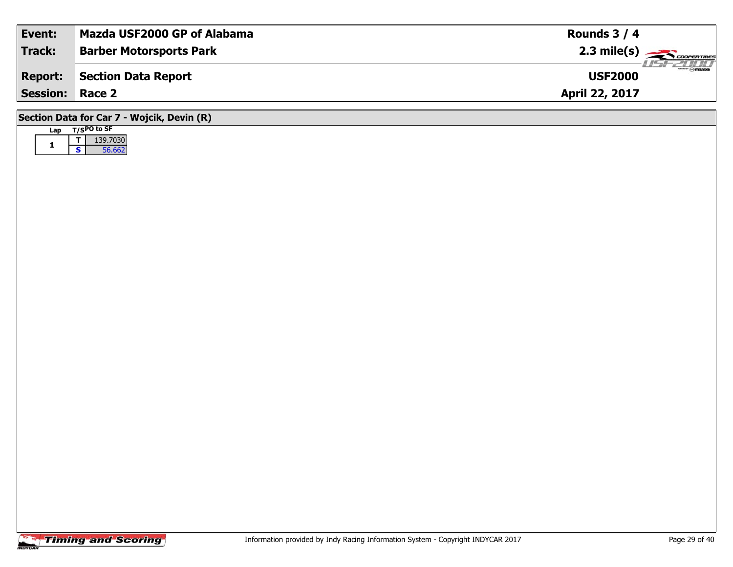| Event:                                     | Mazda USF2000 GP of Alabama    | Rounds $3/4$                         |  |  |  |  |  |  |  |  |  |
|--------------------------------------------|--------------------------------|--------------------------------------|--|--|--|--|--|--|--|--|--|
| <b>Track:</b>                              | <b>Barber Motorsports Park</b> | $\overline{\phantom{a}}$ 2.3 mile(s) |  |  |  |  |  |  |  |  |  |
| <b>Report:</b>                             | Section Data Report            | <b>USF2000</b>                       |  |  |  |  |  |  |  |  |  |
| <b>Session:</b>                            | Race 2                         | April 22, 2017                       |  |  |  |  |  |  |  |  |  |
| Section Data for Car 7 - Wojcik, Devin (R) |                                |                                      |  |  |  |  |  |  |  |  |  |

| Lan |   | $T/SPO$ to SF |
|-----|---|---------------|
|     |   | 139,7030      |
|     | s | 56.662        |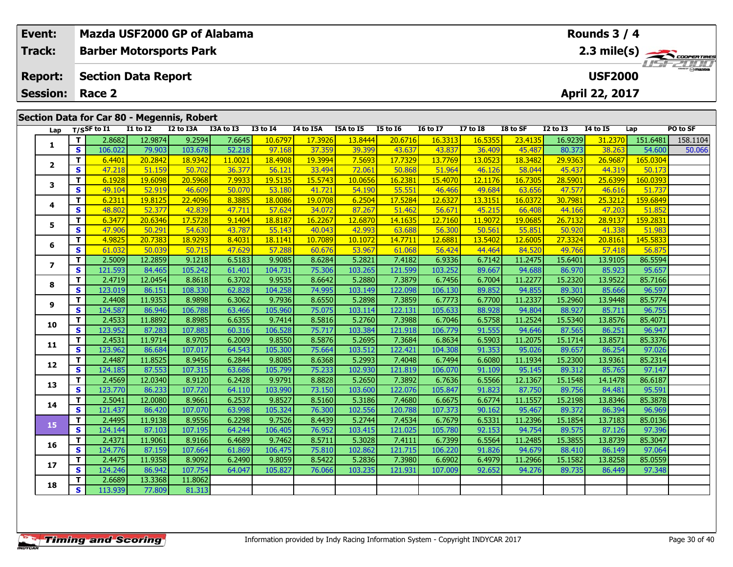|                                            | Event:         |                                                                                                                                                                                                                         | Mazda USF2000 GP of Alabama    |                   |                   |                   |                   | Rounds 3 / 4      |                   |                   |                   |                   |                   |                   |                   |                    |          |  |  |
|--------------------------------------------|----------------|-------------------------------------------------------------------------------------------------------------------------------------------------------------------------------------------------------------------------|--------------------------------|-------------------|-------------------|-------------------|-------------------|-------------------|-------------------|-------------------|-------------------|-------------------|-------------------|-------------------|-------------------|--------------------|----------|--|--|
|                                            | <b>Track:</b>  |                                                                                                                                                                                                                         | <b>Barber Motorsports Park</b> |                   |                   |                   |                   |                   |                   |                   |                   |                   |                   |                   |                   |                    |          |  |  |
|                                            |                |                                                                                                                                                                                                                         |                                |                   |                   |                   |                   |                   |                   |                   |                   |                   | 2.3 mile(s)       |                   |                   |                    |          |  |  |
|                                            | <b>Report:</b> |                                                                                                                                                                                                                         | <b>Section Data Report</b>     |                   |                   |                   |                   |                   |                   |                   |                   |                   |                   | <b>USF2000</b>    |                   |                    |          |  |  |
| <b>Session:</b><br>Race 2                  |                |                                                                                                                                                                                                                         |                                |                   |                   |                   |                   |                   |                   |                   |                   |                   |                   | April 22, 2017    |                   |                    |          |  |  |
| Section Data for Car 80 - Megennis, Robert |                |                                                                                                                                                                                                                         |                                |                   |                   |                   |                   |                   |                   |                   |                   |                   |                   |                   |                   |                    |          |  |  |
|                                            |                |                                                                                                                                                                                                                         |                                |                   |                   |                   |                   |                   |                   |                   |                   |                   |                   |                   |                   |                    |          |  |  |
|                                            | Lap            | $I1$ to $I2$<br>I3A to I3<br>$T/S$ SF to I1<br>I2 to I3A<br><b>I3 to I4</b><br>I4 to I5A<br>I5A to I5<br><b>I5 to 16</b><br><b>16 to 17</b><br><b>I7 to I8</b><br>I8 to SF<br><b>I2 to I3</b><br><b>I4 to I5</b><br>Lap |                                |                   |                   |                   |                   |                   |                   |                   |                   |                   |                   |                   |                   |                    | PO to SF |  |  |
|                                            | 1              | T.                                                                                                                                                                                                                      | 2.8682                         | 12.9874           | 9.2594            | 7.6645            | 10.6797           | 17.3926           | 13.8444           | 20.6716           | 16.3313           | 16.5355           | 23.4135           | 16.9239           | 31.2370           | 151.6481           | 158.1104 |  |  |
|                                            |                | S                                                                                                                                                                                                                       | 106.022                        | 79.903            | 103.678           | 52.218            | 97.168            | 37.359            | 39.399            | 43.637            | 43.837            | 36.409            | 45.487            | 80.373            | 38.263            | 54.600             | 50.066   |  |  |
|                                            | 2              | T<br>$\mathbf{s}$                                                                                                                                                                                                       | 6.4401<br>47.218               | 20.2842<br>51.159 | 18.9342<br>50.702 | 11.0021<br>36.377 | 18.4908<br>56.121 | 19.3994<br>33.494 | 7.5693<br>72.061  | 17.7329<br>50.868 | 13.7769<br>51.964 | 13.0523<br>46.126 | 18.3482<br>58.044 | 29.9363<br>45.437 | 26.9687<br>44.319 | 165.0304<br>50.173 |          |  |  |
|                                            |                | T.                                                                                                                                                                                                                      | 6.1928                         | 19.6098           | 20.5968           | 7.9933            | 19.5135           | 15.5743           | 10.0656           | 16,2381           | 15,4070           | 12.1176           | 16.7305           | 28.5901           | 25.6399           | 160.0393           |          |  |  |
|                                            | 3              | S                                                                                                                                                                                                                       | 49.104                         | 52.919            | 46.609            | 50.070            | 53.180            | 41.721            | 54.190            | 55.551            | 46.466            | 49.684            | 63.656            | 47.577            | 46.616            | 51.737             |          |  |  |
|                                            |                | T.                                                                                                                                                                                                                      | 6.2311                         | 19.8125           | 22.4096           | 8.3885            | 18.0086           | 19.0708           | 6.2504            | 17.5284           | 12.6327           | 13.3151           | 16.0372           | 30.7981           | 25.3212           | 159.6849           |          |  |  |
|                                            | 4              | S                                                                                                                                                                                                                       | 48.802                         | 52.377            | 42.839            | 47.711            | 57.624            | 34.072            | 87.267            | 51.462            | 56.671            | 45.215            | 66.408            | 44.166            | 47.203            | 51.852             |          |  |  |
|                                            |                | T.                                                                                                                                                                                                                      | 6.3477                         | 20.6346           | 17.5728           | 9.1404            | 18.8187           | 16.2267           | 12.6870           | 14.1635           | 12.7160           | 11.9072           | 19.0685           | 26.7132           | 28.9137           | 159.2831           |          |  |  |
|                                            | 5              | S                                                                                                                                                                                                                       | 47.906                         | 50.291            | 54.630            | 43.787            | 55.143            | 40.043            | 42.993            | 63.688            | 56.300            | 50.561            | 55.851            | 50.920            | 41.338            | 51.983             |          |  |  |
|                                            |                | $\mathbf T$                                                                                                                                                                                                             | 4.9825                         | 20.7383           | 18.9293           | 8.4031            | 18.1141           | 10.7089           | 10.1072           | 14.7711           | 12.688            | 13.5402           | 12.6005           | 27.3324           | 20.8161           | 145.5833           |          |  |  |
|                                            | 6              | S                                                                                                                                                                                                                       | 61.032                         | 50.039            | 50.715            | 47.629            | 57.288            | 60.676            | 53.967            | 61.068            | 56.424            | 44.464            | 84.520            | 49.766            | 57.418            | 56.875             |          |  |  |
|                                            | $\overline{ }$ | T.                                                                                                                                                                                                                      | 2.5009                         | 12.2859           | 9.1218            | 6.5183            | 9.9085            | 8.6284            | 5.2821            | 7.4182            | 6.9336            | 6.7142            | 11.2475           | 15.6401           | 13.9105           | 86.5594            |          |  |  |
|                                            |                | S.                                                                                                                                                                                                                      | 121.593                        | 84.465            | 105.242           | 61.401            | 104.731           | 75.306            | 103.265           | 121.599           | 103.252           | 89.667            | 94.688            | 86.970            | 85.923            | 95.657             |          |  |  |
|                                            | 8              | T.                                                                                                                                                                                                                      | 2.4719                         | 12.0454           | 8.8618            | 6.3702            | 9.9535            | 8.6642            | 5.2880            | 7.3879            | 6.7456            | 6.7004            | 11.2277           | 15.2320           | 13.9522           | 85.7166            |          |  |  |
|                                            |                | <b>S</b>                                                                                                                                                                                                                | 123.019                        | 86.151            | 108.330           | 62.828            | 104.258           | 74.995            | 103.149           | 122.098           | 106.130           | 89.852            | 94.855            | 89.301            | 85.666            | 96.597             |          |  |  |
|                                            | 9              | T.                                                                                                                                                                                                                      | 2.4408                         | 11.9353           | 8.9898            | 6.3062            | 9.7936            | 8.6550            | 5.2898            | 7.3859            | 6.7773            | 6.7700            | 11.2337           | 15.2960           | 13.9448           | 85.5774            |          |  |  |
|                                            |                | $\mathbf{s}$                                                                                                                                                                                                            | 124.587                        | 86.946            | 106.788           | 63.466            | 105.960           | 75.075            | 103.114           | 122.131           | 105.633           | 88.928            | 94.804            | 88.927            | 85.711            | 96.755             |          |  |  |
|                                            | 10             | T.                                                                                                                                                                                                                      | 2.4533                         | 11.8892           | 8.8985            | 6.6355            | 9.7414            | 8.5816            | 5.2760            | 7.3988            | 6.7046            | 6.5758            | 11.2524           | 15.5340           | 13.8576           | 85.4071            |          |  |  |
|                                            |                | S                                                                                                                                                                                                                       | 123.952                        | 87.283<br>11.9714 | 107.883<br>8.9705 | 60.316<br>6.2009  | 106.528<br>9.8550 | 75.717            | 103.384           | 121.918<br>7.3684 | 106.779           | 91.555            | 94.646<br>11.2075 | 87.565<br>15.1714 | 86.251<br>13.8571 | 96.947             |          |  |  |
|                                            | 11             | T.<br>S                                                                                                                                                                                                                 | 2.4531<br>123.962              | 86.684            | 107.017           | 64.543            | 105.300           | 8.5876<br>75.664  | 5.2695<br>103.512 | 122.421           | 6.8634<br>104.308 | 6.5903<br>91.353  | 95.026            | 89.657            | 86.254            | 85.3376<br>97.026  |          |  |  |
|                                            |                | T.                                                                                                                                                                                                                      | 2.4487                         | 11.8525           | 8.9456            | 6.2844            | 9.8085            | 8.6368            | 5.2993            | 7.4048            | 6.7494            | 6.6080            | 11.1934           | 15.2300           | 13.9361           | 85.2314            |          |  |  |
|                                            | 12             | $\mathbf{s}$                                                                                                                                                                                                            | 124.185                        | 87.553            | 107.315           | 63.686            | 105.799           | 75.233            | 102.930           | 121.819           | 106.070           | 91.109            | 95.145            | 89.312            | 85.765            | 97.147             |          |  |  |
|                                            |                | T.                                                                                                                                                                                                                      | 2.4569                         | 12.0340           | 8.9120            | 6.2428            | 9.9791            | 8.8828            | 5.2650            | 7.3892            | 6.7636            | 6.5566            | 12.1367           | 15.1548           | 14.1478           | 86.6187            |          |  |  |
|                                            | 13             | S                                                                                                                                                                                                                       | 123.770                        | 86.233            | 107.720           | 64.110            | 103.990           | 73.150            | 103.600           | 122.076           | 105.847           | 91.823            | 87.750            | 89.756            | 84.481            | 95.591             |          |  |  |
|                                            |                | T.                                                                                                                                                                                                                      | 2.5041                         | 12.0080           | 8.9661            | 6.2537            | 9.8527            | 8.5160            | 5.3186            | 7.4680            | 6.6675            | 6.6774            | 11.1557           | 15.2198           | 13.8346           | 85.3878            |          |  |  |
|                                            | 14             | S.                                                                                                                                                                                                                      | 121.437                        | 86.420            | 107.070           | 63.998            | 105.324           | 76.300            | 102.556           | 120.788           | 107.373           | 90.162            | 95.467            | 89.372            | 86.394            | 96.969             |          |  |  |

**<sup>T</sup>** 2.6689 13.3368 11.8062 **<sup>S</sup>** 113.939 77.809 81.313

81.313

**15**

**16**

**17**

**18**

**<sup>T</sup>** 2.4495 11.9138 8.9556 6.2298 9.7526 8.4439 5.2744 7.4534 6.7679 6.5331 11.2396 15.1854 13.7183 85.0136 **<sup>S</sup>** 124.144 87.103 107.195 64.244 106.405 76.952 103.415 121.025 105.780 92.153 94.754 89.575 87.126 97.396

**<sup>T</sup>** 2.4371 11.9061 8.9166 6.4689 9.7462 8.5711 5.3028 7.4111 6.7399 6.5564 11.2485 15.3855 13.8739 85.3047 **<sup>S</sup>** 124.776 87.159 107.664 61.869 106.475 75.810 102.862 121.715 106.220 91.826 94.679 88.410 86.149 97.064

**<sup>T</sup>** 2.4475 11.9358 8.9092 6.2490 9.8059 8.5422 5.2836 7.3980 6.6902 6.4979 11.2966 15.1582 13.8258 85.0559 **<sup>S</sup>** 124.246 86.942 107.754 64.047 105.827 76.066 103.235 121.931 107.009 92.652 94.276 89.735 86.449 97.348

96.969

97.064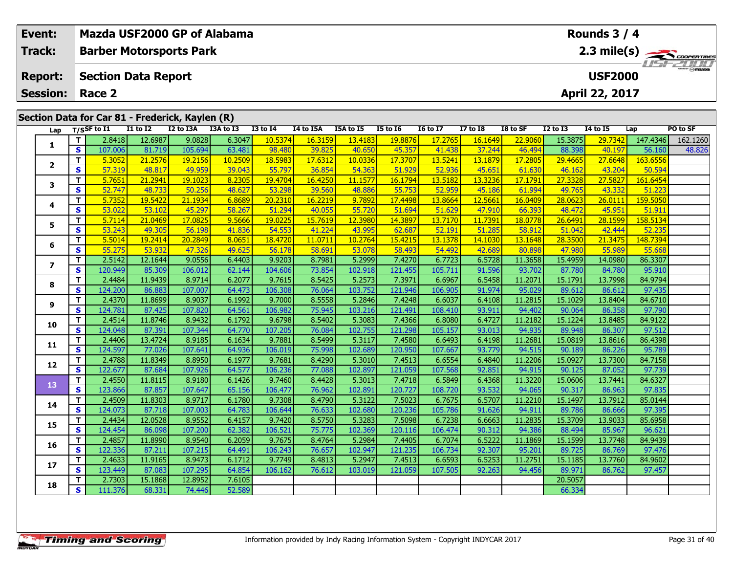|  | <b>Event:</b>   |                         |                                                                   |                   |                   | Mazda USF2000 GP of Alabama |                   |                  |                   |                   |                   |                  |                   |                   | <b>Rounds 3 / 4</b> |                   |          |  |  |  |  |
|--|-----------------|-------------------------|-------------------------------------------------------------------|-------------------|-------------------|-----------------------------|-------------------|------------------|-------------------|-------------------|-------------------|------------------|-------------------|-------------------|---------------------|-------------------|----------|--|--|--|--|
|  | <b>Track:</b>   |                         | <b>Barber Motorsports Park</b>                                    |                   |                   |                             |                   |                  |                   |                   |                   |                  |                   |                   | $2.3$ mile(s)       |                   |          |  |  |  |  |
|  | <b>Report:</b>  |                         | <b>Section Data Report</b>                                        |                   |                   |                             |                   |                  |                   |                   |                   |                  |                   | <b>USF2000</b>    |                     |                   |          |  |  |  |  |
|  | <b>Session:</b> |                         | Race 2                                                            |                   |                   |                             |                   |                  |                   |                   |                   |                  | April 22, 2017    |                   |                     |                   |          |  |  |  |  |
|  |                 |                         |                                                                   |                   |                   |                             |                   |                  |                   |                   |                   |                  |                   |                   |                     |                   |          |  |  |  |  |
|  | Lap             |                         | Section Data for Car 81 - Frederick, Kaylen (R)<br>$T/S$ SF to I1 | $I1$ to $I2$      | I2 to I3A         | I3A to I3                   | $13$ to $14$      | I4 to I5A        | I5A to I5         | <b>I5 to 16</b>   | <b>I6 to I7</b>   | <b>I7 to 18</b>  | I8 to SF          | <b>I2 to I3</b>   | <b>I4 to I5</b>     | Lap               | PO to SF |  |  |  |  |
|  |                 | т                       | 2.8418                                                            | 12.6987           | 9.0828            | 6.3047                      | 10.5374           | 16.3159          | 13.4183           | 19.8876           | 17.2765           | 16.1649          | 22.9060           | 15.3875           | 29.7342             | 147.4346          | 162.1260 |  |  |  |  |
|  | 1               | $\overline{\mathbf{s}}$ | 107.006                                                           | 81.719            | 105.694           | 63.481                      | 98.480            | 39.825           | 40.650            | 45.357            | 41.438            | 37.244           | 46.494            | 88.398            | 40.197              | 56.160            | 48.826   |  |  |  |  |
|  |                 | т                       | 5.3052                                                            | 21.2576           | 19.2156           | 10.2509                     | 18.5983           | 17.6312          | 10.0336           | 17.3707           | 13.5241           | 13.1879          | 17.2805           | 29.4665           | 27.6648             | 163.6556          |          |  |  |  |  |
|  | $\mathbf{2}$    | $\mathbf{s}$            | 57.319                                                            | 48.817            | 49.959            | 39.043                      | 55.797            | 36.854           | 54.363            | 51.929            | 52.936            | 45.651           | 61.630            | 46.162            | 43.204              | 50.594            |          |  |  |  |  |
|  | 3               | T.                      | 5.7651                                                            | 21.2941           | 19.1023           | 8.2305                      | 19,4704           | 16.4250          | 11.1577           | 16.1794           | 13.5182           | 13.3236          | 17.1791           | 27.3328           | 27.5827             | 161.6454          |          |  |  |  |  |
|  |                 | $\mathbf{s}$            | 52.747                                                            | 48.733            | 50.256            | 48.627                      | 53.298            | 39.560           | 48.886            | 55.753            | 52.959            | 45.186           | 61.994            | 49.765            | 43.332              | 51.223            |          |  |  |  |  |
|  | 4               | T.                      | 5.7352                                                            | 19.5422           | 21.1934           | 6.8689                      | 20.2310           | 16.2219          | 9.7892            | 17.4498           | 13.8664           | 12.5661          | 16.0409           | 28.0623           | 26.0111             | 159.5050          |          |  |  |  |  |
|  |                 | $\mathbf s$             | 53.022                                                            | 53.102            | 45.297            | 58.267                      | 51.294            | 40.055           | 55.720            | 51.694            | 51.629            | 47.910           | 66.393            | 48.472            | 45.951              | 51.911            |          |  |  |  |  |
|  | 5               | T.                      | 5.7114                                                            | 21.0469           | 17.0825           | 9.5666                      | 19.0225           | 15.7619          | 12.3980           | 14.3897           | 13.7170           | 11.7391          | 18.0778           | 26.6491           | 28.1599             | 158.5134          |          |  |  |  |  |
|  |                 | S                       | 53.243                                                            | 49.305            | 56.198            | 41.836                      | 54.553            | 41.224           | 43.995            | 62.687            | 52.191            | 51.285           | 58.912            | 51.042            | 42.444              | 52.235            |          |  |  |  |  |
|  | 6               | T.                      | 5.5014                                                            | 19.2414           | 20.2849           | 8.0651                      | 18.4720           | 11.0711          | 10.2764           | 15.4215           | 13.1378           | 14.1030          | 13.1648           | 28.3500           | 21.3475             | 148.7394          |          |  |  |  |  |
|  |                 | $\mathbf{s}$            | 55.275                                                            | 53.932            | 47.326            | 49.625                      | 56.178            | 58.691           | 53.078            | 58.493            | 54.492            | 42.689           | 80.898            | 47.980            | 55.989              | 55.668            |          |  |  |  |  |
|  | $\overline{ }$  | T                       | 2.5142                                                            | 12.1644           | 9.0556            | 6.4403                      | 9.9203            | 8.7981           | 5.2999            | 7.4270            | 6.7723            | 6.5728           | 11.3658           | 15.4959           | 14.0980             | 86.3307           |          |  |  |  |  |
|  |                 | $\mathbf s$             | 120.949                                                           | 85.309            | 106.012           | 62.144                      | 104.606           | 73.854           | 102.918           | 121.455           | 105.711           | 91.596           | 93.702            | 87.780            | 84.780              | 95.910            |          |  |  |  |  |
|  | 8               | T.                      | 2.4484                                                            | 11.9439           | 8.9714            | 6.2077                      | 9.7615            | 8.5425           | 5.2573            | 7.3971            | 6.6967            | 6.5458           | 11.2071           | 15.1791           | 13.7998             | 84.9794           |          |  |  |  |  |
|  |                 | $\mathbf{s}$<br>т       | 124.200<br>2.4370                                                 | 86.883<br>11.8699 | 107.007<br>8.9037 | 64.473<br>6.1992            | 106.308<br>9.7000 | 76.064<br>8.5558 | 103.752<br>5.2846 | 121.946<br>7.4248 | 106.905<br>6.6037 | 91.974<br>6.4108 | 95.029<br>11.2815 | 89.612<br>15.1029 | 86.612<br>13.8404   | 97.435<br>84.6710 |          |  |  |  |  |
|  | 9               | $\overline{\mathbf{s}}$ | 124.781                                                           | 87.425            | 107.820           | 64.561                      | 106.982           | 75.945           | 103.216           | 121.491           | 108.410           | 93.911           | 94.402            | 90.064            | 86.358              | 97.790            |          |  |  |  |  |
|  |                 | т                       | 2.4514                                                            | 11.8746           | 8.9432            | 6.1792                      | 9.6798            | 8.5402           | 5.3083            | 7.4366            | 6.8080            | 6.4727           | 11.2182           | 15.1224           | 13.8485             | 84.9122           |          |  |  |  |  |
|  | 10              | $\mathbf{s}$            | 124.048                                                           | 87.391            | 107.344           | 64.770                      | 107.205           | 76.084           | 102.755           | 121.298           | 105.157           | 93.013           | 94.935            | 89.948            | 86.307              | 97.512            |          |  |  |  |  |
|  |                 | T.                      | 2.4406                                                            | 13.4724           | 8.9185            | 6.1634                      | 9.7881            | 8.5499           | 5.3117            | 7.4580            | 6.6493            | 6.4198           | 11.2681           | 15.0819           | 13.8616             | 86.4398           |          |  |  |  |  |
|  | 11              | $\mathbf s$             | 124.597                                                           | 77.026            | 107.641           | 64.936                      | 106.019           | 75.998           | 102.689           | 120.950           | 107.667           | 93.779           | 94.515            | 90.189            | 86.226              | 95.789            |          |  |  |  |  |
|  |                 | т                       | 2.4788                                                            | 11.8349           | 8.8950            | 6.1977                      | 9.7681            | 8.4290           | 5.3010            | 7.4513            | 6.6554            | 6.4840           | 11.2206           | 15.0927           | 13.7300             | 84.7158           |          |  |  |  |  |
|  | 12              | $\mathbf{s}$            | 122.677                                                           | 87.684            | 107.926           | 64.577                      | 106.236           | 77.088           | 102.897           | 121.059           | 107.568           | 92.851           | 94.915            | 90.125            | 87.052              | 97.739            |          |  |  |  |  |
|  |                 | T.                      | 2.4550                                                            | 11.8115           | 8.9180            | 6.1426                      | 9.7460            | 8.4428           | 5.3013            | 7.4718            | 6.5849            | 6.4368           | 11.3220           | 15.0606           | 13.7441             | 84.6327           |          |  |  |  |  |
|  | 13              | $\overline{\mathbf{s}}$ | 123.866                                                           | 87.857            | 107.647           | 65.156                      | 106.477           | 76.962           | 102.891           | 120.727           | 108.720           | 93.532           | 94.065            | 90.317            | 86.963              | 97.835            |          |  |  |  |  |
|  |                 | т                       | 2.4509                                                            | 11.8303           | 8.9717            | 6.1780                      | 9.7308            | 8.4790           | 5.3122            | 7.5023            | 6.7675            | 6.5707           | 11.2210           | 15.1497           | 13.7912             | 85.0144           |          |  |  |  |  |
|  | 14              | $\overline{\mathbf{s}}$ | 124.073                                                           | 87.718            | 107.003           | 64.783                      | 106.644           | 76.633           | 102.680           | 120.236           | 105.786           | 91.626           | 94.911            | 89.786            | 86.666              | 97.395            |          |  |  |  |  |
|  | 15              | т                       | 2.4434                                                            | 12.0528           | 8.9552            | 6.4157                      | 9.7420            | 8.5750           | 5.3283            | 7.5098            | 6.7238            | 6.6663           | 11.2835           | 15.3709           | 13.9033             | 85.6958           |          |  |  |  |  |
|  |                 | $\mathbf{s}$            | 124.454                                                           | 86.098            | 107.200           | 62.382                      | 106.521           | 75.775           | 102.369           | 120.116           | 106.474           | 90.312           | 94.386            | 88.494            | 85.967              | 96.621            |          |  |  |  |  |
|  | 16              | T.                      | 2.4857                                                            | 11.8990           | 8.9540            | 6.2059                      | 9.7675            | 8.4764           | 5.2984            | 7.4405            | 6.7074            | 6.5222           | 11.1869           | 15.1599           | 13.7748             | 84.9439           |          |  |  |  |  |
|  |                 | $\overline{\mathbf{s}}$ | 122.336                                                           | 87.211            | 107.215           | 64.491                      | 106.243           | 76.657           | 102.947           | 121.235           | 106.734           | 92.307           | 95.201            | 89.725            | 86.769              | 97.476            |          |  |  |  |  |
|  | 17              | T.                      | 2.4633                                                            | 11.9165           | 8.9473            | 6.1712                      | 9.7749            | 8.4813           | 5.2947            | 7.4513            | 6.6593            | 6.5253           | 11.2751           | 15.1185           | 13.7760             | 84.9602           |          |  |  |  |  |
|  |                 | S                       | 123.449                                                           | 87.083            | 107.295           | 64.854                      | 106.162           | 76.612           | 103.019           | 121.059           | 107.505           | 92.263           | 94.456            | 89.971            | 86.762              | 97.457            |          |  |  |  |  |
|  | 18              | T.                      | 2.7303                                                            | 15.1868           | 12.8952           | 7.6105                      |                   |                  |                   |                   |                   |                  |                   | 20.5057           |                     |                   |          |  |  |  |  |
|  |                 | S.                      | 111.376                                                           | 68.331            | 74.446            | 52.589                      |                   |                  |                   |                   |                   |                  |                   | 66.334            |                     |                   |          |  |  |  |  |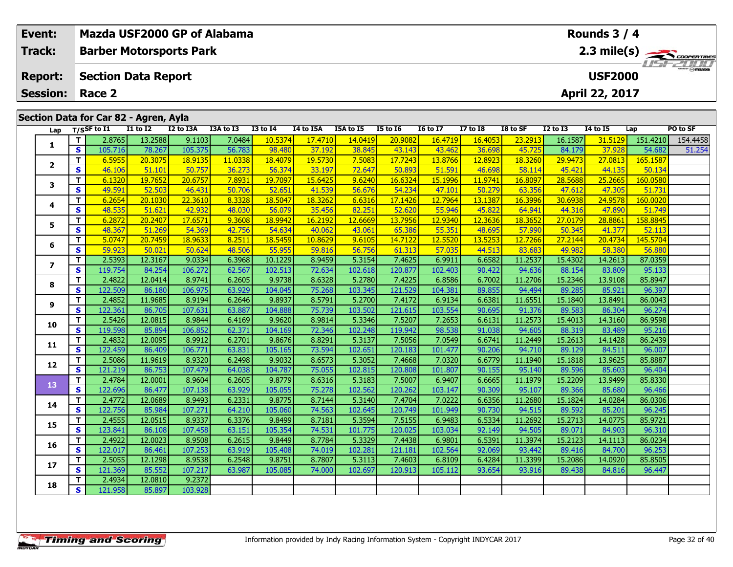| Event:<br><b>Track:</b>                                                                                                                                                                                                                                                                                            |                | Mazda USF2000 GP of Alabama<br><b>Barber Motorsports Park</b> |                   |                   |                  |                   |                   |                   |                   |                   |                   | Rounds $3/4$      | 2.3 mile(s)       |                                  |                    |                    |
|--------------------------------------------------------------------------------------------------------------------------------------------------------------------------------------------------------------------------------------------------------------------------------------------------------------------|----------------|---------------------------------------------------------------|-------------------|-------------------|------------------|-------------------|-------------------|-------------------|-------------------|-------------------|-------------------|-------------------|-------------------|----------------------------------|--------------------|--------------------|
| <b>Report:</b><br><b>Session:</b>                                                                                                                                                                                                                                                                                  |                | <b>Section Data Report</b><br>Race 2                          |                   |                   |                  |                   |                   |                   |                   |                   |                   |                   |                   | <b>USF2000</b><br>April 22, 2017 |                    |                    |
|                                                                                                                                                                                                                                                                                                                    |                | Section Data for Car 82 - Agren, Ayla                         |                   |                   |                  |                   |                   |                   |                   |                   |                   |                   |                   |                                  |                    |                    |
| $\overline{11}$ to $\overline{12}$<br>I2 to I3A<br>I3A to I3<br><b>I3 to I4</b><br>I4 to I5A<br>I5A to I5<br><b>I5 to 16</b><br><b>I7 to I8</b><br>I8 to SF<br><b>I2 to I3</b><br>$I4$ to $I5$<br>T/SSF to I1<br><b>16 to 17</b><br>Lap<br>13.2588<br>7.0484<br>16.4719<br>16.1587<br>31.5129<br>9.1103<br>10.5374 |                |                                                               |                   |                   |                  |                   |                   |                   |                   |                   |                   |                   |                   | Lap                              | PO to SF           |                    |
| 1                                                                                                                                                                                                                                                                                                                  | T.<br><b>S</b> | 2.8765                                                        |                   | 105.375           | 56.783           |                   | 17.4710           | 14.0419<br>38.845 | 20.9082           |                   | 16.4053<br>36.698 | 23.2913           |                   | 37.928                           | 151.4210           | 154.4458<br>51.254 |
|                                                                                                                                                                                                                                                                                                                    | T.             | 105.716<br>6.5955                                             | 78.267<br>20.3075 | 18.9135           | 11.0338          | 98.480<br>18.4079 | 37.192<br>19.5730 | 7.5083            | 43.143<br>17.7243 | 43.462<br>13.8766 | 12.8923           | 45.725<br>18.3260 | 84.179<br>29.9473 | 27.0813                          | 54.682<br>165.1587 |                    |
| $\overline{2}$                                                                                                                                                                                                                                                                                                     | S              | 46.106                                                        | 51.101            | 50.757            | 36.273           | 56.374            | 33.197            | 72.647            | 50.893            | 51.591            | 46.698            | 58.114            | 45.421            | 44.135                           | 50.134             |                    |
|                                                                                                                                                                                                                                                                                                                    | T.             | 6.1320                                                        | 19.7652           | 20.6757           | 7.8931           | 19.7097           | 15.6425           | 9.6240            | 16.6324           | 15.1996           | 11,9741           | 16,8097           | 28.5688           | 25.2665                          | 160.0580           |                    |
| 3                                                                                                                                                                                                                                                                                                                  | S              | 49.591                                                        | 52.503            | 46.431            | 50.706           | 52.651            | 41.539            | 56.676            | 54.234            | 47.101            | 50.279            | 63.356            | 47.612            | 47.305                           | 51.731             |                    |
|                                                                                                                                                                                                                                                                                                                    | T.             | 6.2654                                                        | 20.1030           | 22.3610           | 8.3328           | 18.5047           | 18.3262           | 6.6316            | 17.1426           | 12.7964           | 13.1387           | 16.3996           | 30.6938           | 24.9578                          | 160.0020           |                    |
| 4                                                                                                                                                                                                                                                                                                                  | S.             | 48.535                                                        | 51.621            | 42.932            | 48.030           | 56.079            | 35.456            | 82.251            | 52.620            | 55.946            | 45.822            | 64.941            | 44.316            | 47.890                           | 51.749             |                    |
| 5                                                                                                                                                                                                                                                                                                                  | T.             | 6.2872                                                        | 20.2407           | 17.6571           | 9.3608           | 18.9942           | 16.2192           | 12.6669           | 13.7956           | 12.9340           | 12.3636           | 18.3652           | 27,0179           | 28.8861                          | 158.8845           |                    |
|                                                                                                                                                                                                                                                                                                                    | S              | 48.367                                                        | 51.269            | 54.369            | 42.756           | 54.634            | 40.062            | 43.061            | 65.386            | 55.351            | 48.695            | 57.990            | 50.345            | 41.377                           | 52.113             |                    |
| 6                                                                                                                                                                                                                                                                                                                  | T.             | 5.0747                                                        | 20.7459           | 18.9633           | 8.2511           | 18.5459           | 10.8629           | 9.6105            | 14.7122           | 12.5520           | 13.5253           | 12.7266           | 27.2144           | 20.4734                          | 145.5704           |                    |
|                                                                                                                                                                                                                                                                                                                    | S              | 59.923                                                        | 50.021            | 50.624            | 48.506           | 55.955            | 59.816            | 56.756            | 61.313            | 57.035            | 44.513            | 83.683            | 49.982            | 58.380                           | 56.880             |                    |
| $\overline{ }$                                                                                                                                                                                                                                                                                                     | T.             | 2.5393                                                        | 12.3167           | 9.0334            | 6.3968           | 10.1229           | 8.9459            | 5.3154            | 7.4625            | 6.9911            | 6.6582            | 11.2537           | 15.4302           | 14.2613                          | 87.0359            |                    |
|                                                                                                                                                                                                                                                                                                                    | S              | 119.754                                                       | 84.254            | 106.272           | 62.567           | 102.513           | 72.634            | 102.618           | 120.877           | 102.403           | 90.422            | 94.636            | 88.154            | 83.809                           | 95.133             |                    |
| 8                                                                                                                                                                                                                                                                                                                  | T.             | 2.4822                                                        | 12.0414           | 8.9741            | 6.2605           | 9.9738            | 8.6328            | 5.2780            | 7.4225            | 6.8586            | 6.7002            | 11.2706           | 15.2346           | 13.9108                          | 85.8947            |                    |
|                                                                                                                                                                                                                                                                                                                    | <b>S</b>       | 122.509                                                       | 86.180            | 106.975           | 63.929           | 104.045           | 75.268            | 103.345           | 121.529           | 104.381           | 89.855            | 94.494            | 89.285            | 85.921                           | 96.397             |                    |
| 9                                                                                                                                                                                                                                                                                                                  | T.<br>S        | 2.4852<br>122.361                                             | 11.9685<br>86.705 | 8.9194<br>107.631 | 6.2646<br>63.887 | 9.8937<br>104.888 | 8.5791<br>75.739  | 5.2700<br>103.502 | 7.4172<br>121.615 | 6.9134<br>103.554 | 6.6381<br>90.695  | 11.6551<br>91.376 | 15.1840<br>89.583 | 13.8491<br>86.304                | 86.0043<br>96.274  |                    |
|                                                                                                                                                                                                                                                                                                                    | T.             | 2.5426                                                        | 12.0815           | 8.9844            | 6.4169           | 9.9620            | 8.9814            | 5.3346            | 7.5207            | 7.2653            | 6.6131            | 11.2573           | 15.4013           | 14.3160                          | 86.9598            |                    |
| 10                                                                                                                                                                                                                                                                                                                 | <b>S</b>       | 119.598                                                       | 85.894            | 106.852           | 62.371           | 104.169           | 72.346            | 102.248           | 119.942           | 98.538            | 91.038            | 94.605            | 88.319            | 83.489                           | 95.216             |                    |
|                                                                                                                                                                                                                                                                                                                    | T.             | 2.4832                                                        | 12.0095           | 8.9912            | 6.2701           | 9.8676            | 8.8291            | 5.3137            | 7.5056            | 7.0549            | 6.6741            | 11.2449           | 15.2613           | 14.1428                          | 86.2439            |                    |
| 11                                                                                                                                                                                                                                                                                                                 | S              | 122.459                                                       | 86.409            | 106.771           | 63.831           | 105.165           | 73.594            | 102.651           | 120.183           | 101.477           | 90.206            | 94.710            | 89.129            | 84.511                           | 96.007             |                    |
|                                                                                                                                                                                                                                                                                                                    | T.             | 2.5086                                                        | 11.9619           | 8.9320            | 6.2498           | 9.9032            | 8.6573            | 5.3052            | 7.4668            | 7.0320            | 6.6779            | 11.1940           | 15.1818           | 13.9625                          | 85.8887            |                    |
| 12                                                                                                                                                                                                                                                                                                                 | S.             | 121.219                                                       | 86.753            | 107.479           | 64.038           | 104.787           | 75.055            | 102.815           | 120.808           | 101.807           | 90.155            | 95.140            | 89.596            | 85.603                           | 96.404             |                    |
| 13                                                                                                                                                                                                                                                                                                                 | $\mathbf{T}$   | 2.4784                                                        | 12.0001           | 8.9604            | 6.2605           | 9.8779            | 8.6316            | 5.3183            | 7.5007            | 6.9407            | 6.6665            | 11.1979           | 15.2209           | 13.9499                          | 85.8330            |                    |
|                                                                                                                                                                                                                                                                                                                    | S.             | 122.696                                                       | 86.477            | 107.138           | 63.929           | 105.055           | 75.278            | 102.562           | 120.262           | 103.147           | 90.309            | 95.107            | 89.366            | 85.680                           | 96.466             |                    |
| 14                                                                                                                                                                                                                                                                                                                 | T.             | 2.4772                                                        | 12.0689           | 8.9493            | 6.2331           | 9.8775            | 8.7144            | 5.3140            | 7.4704            | 7.0222            | 6.6356            | 11.2680           | 15.1824           | 14.0284                          | 86.0306            |                    |
|                                                                                                                                                                                                                                                                                                                    | S              | 122.756                                                       | 85.984            | 107.271           | 64.210           | 105.060           | 74.563            | 102.645           | 120.749           | 101.949           | 90.730            | 94.515            | 89.592            | 85.201                           | 96.245             |                    |
|                                                                                                                                                                                                                                                                                                                    | τI             | 2.4555                                                        | 12.0515           | 8.9337            | 6.3376           | 9.8499            | 8.7181            | 5.3594            | 7.5155            | 6.9483            | 6.5334            | 11.2692           | 15.2713           | 14.0775                          | 85.9721            |                    |

**<sup>T</sup>** 2.4555 12.0515 8.9337 6.3376 9.8499 8.7181 5.3594 7.5155 6.9483 6.5334 11.2692 15.2713 14.0775 85.9721 **<sup>S</sup>** 123.841 86.108 107.458 63.151 105.354 74.531 101.775 120.025 103.034 92.149 94.505 89.071 84.903 96.310

**<sup>T</sup>** 2.4922 12.0023 8.9508 6.2615 9.8449 8.7784 5.3329 7.4438 6.9801 6.5391 11.3974 15.2123 14.1113 86.0234 **<sup>S</sup>** 122.017 86.461 107.253 63.919 105.408 74.019 102.281 121.181 102.564 92.069 93.442 89.416 84.700 96.253

**<sup>T</sup>** 2.5055 12.1298 8.9538 6.2548 9.8751 8.7807 5.3113 7.4603 6.8109 6.4284 11.3399 15.2086 14.0920 85.8505 **<sup>S</sup>** 121.369 85.552 107.217 63.987 105.085 74.000 102.697 120.913 105.112 93.654 93.916 89.438 84.816 96.447

**<sup>T</sup>** 2.4934 12.0810 9.2372 **<sup>S</sup>** 121.958 85.897 103.928

103.928

**15**

**16**

**17**

**18**

96.253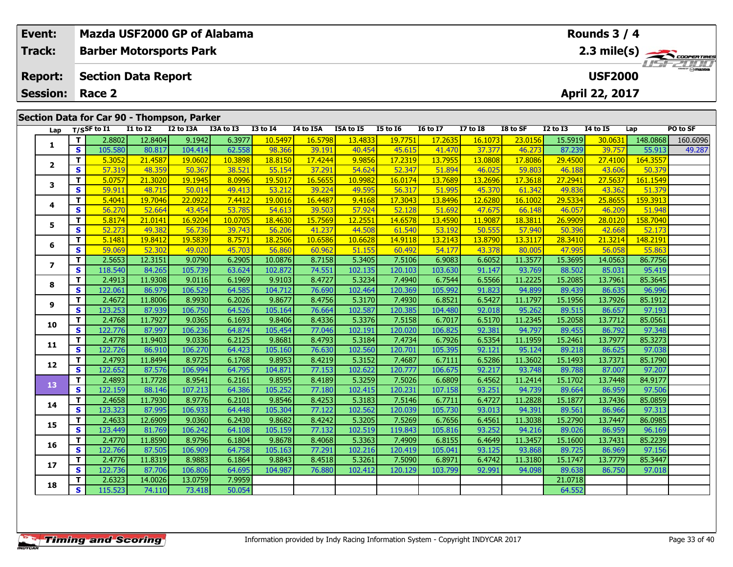| Event: |                 |              | Mazda USF2000 GP of Alabama                |                   |                   |                  |                   | Rounds $3/4$      |                   |                   |                   |                   |                   |                   |                   |                    |                       |
|--------|-----------------|--------------|--------------------------------------------|-------------------|-------------------|------------------|-------------------|-------------------|-------------------|-------------------|-------------------|-------------------|-------------------|-------------------|-------------------|--------------------|-----------------------|
|        | Track:          |              | <b>Barber Motorsports Park</b>             |                   |                   |                  |                   |                   |                   |                   |                   |                   |                   |                   |                   |                    | $2.3 \text{ mile(s)}$ |
|        |                 |              |                                            |                   |                   |                  |                   |                   |                   |                   |                   |                   |                   |                   |                   |                    |                       |
|        | <b>Report:</b>  |              | <b>Section Data Report</b>                 |                   |                   |                  |                   |                   |                   |                   |                   |                   |                   | <b>USF2000</b>    |                   |                    |                       |
|        | <b>Session:</b> |              | Race 2                                     |                   |                   |                  |                   |                   |                   |                   |                   |                   |                   |                   | April 22, 2017    |                    |                       |
|        |                 |              |                                            |                   |                   |                  |                   |                   |                   |                   |                   |                   |                   |                   |                   |                    |                       |
|        |                 |              | Section Data for Car 90 - Thompson, Parker |                   |                   |                  |                   |                   |                   |                   |                   |                   |                   |                   |                   |                    |                       |
|        | Lap             |              | $\frac{1}{1}$ T/SSF to I1                  | <b>I1 to I2</b>   | I2 to I3A         | I3A to I3        | $I3$ to $I4$      | I4 to I5A         | I5A to I5         | <b>I5 to 16</b>   | <b>I6 to I7</b>   | $I7$ to $I8$      | I8 to SF          | <b>I2 to I3</b>   | <b>14 to 15</b>   | Lap                | PO to SF              |
|        | 1               | T            | 2.8802                                     | 12.8404           | 9.1942            | 6.3977           | 10.5497           | 16.5798           | 13.4833           | 19.7751           | 17.2635           | 16.1073           | 23.0156           | 15.5919           | 30.0631           | 148.0868           | 160.6096              |
|        |                 | $\mathbf{s}$ | 105.580                                    | 80.817            | 104.414           | 62.558           | 98.366            | 39.191            | 40.454            | 45.615            | 41.470            | 37.377            | 46.273            | 87.239            | 39.757            | 55.913             | 49.287                |
|        | $\overline{2}$  | T.           | 5.3052                                     | 21.4587           | 19.0602           | 10.3898          | 18.8150           | 17.4244           | 9.9856            | 17.2319           | 13.7955           | 13.0808           | 17.8086           | 29.4500           | 27,4100           | 164.3557           |                       |
|        |                 | <b>S</b>     | 57.319                                     | 48.359            | 50.367            | 38.521           | 55.154            | 37.291            | 54.624            | 52.347            | 51.894            | 46.025            | 59.803            | 46.188            | 43.606            | 50.379             |                       |
|        | 3               | T.           | 5.0757                                     | 21.3020           | 19.1945           | 8.0996           | 19.5017           | 16.5655           | 10.9982           | 16.0174           | 13.7689           | 13.2696           | 17.3618           | 27.2941           | 27.5637           | 161.1549           |                       |
|        |                 | $\mathbf{s}$ | 59.911                                     | 48.715            | 50.014            | 49.413           | 53.212            | 39.224            | 49.595            | 56.317            | 51.995            | 45.370            | 61.342            | 49.836            | 43.362            | 51.379             |                       |
|        | 4               | T.<br>S.     | 5.4041<br>56.270                           | 19.7046<br>52.664 | 22.0922<br>43.454 | 7.4412<br>53.785 | 19,0016<br>54.613 | 16.4487<br>39.503 | 9.4168            | 17.3043<br>52.128 | 13.8496<br>51.692 | 12.6280<br>47.675 | 16.1002<br>66.148 | 29.5334           | 25.8655<br>46.209 | 159.3913<br>51.948 |                       |
|        |                 | T            | 5.8174                                     | 21.0141           | 16.9204           | 10.0705          | 18.4630           | 15.7569           | 57.924<br>12.2551 | 14.6578           | 13.4590           | 11.9087           | 18.3811           | 46.057<br>26.9909 | 28.0120           | 158.7040           |                       |
|        | 5               | S.           | 52.273                                     | 49.382            | 56.736            | 39.743           | 56.206            | 41.237            | 44.508            | 61.540            | 53.192            | 50.555            | 57.940            | 50.396            | 42.668            | 52.173             |                       |
|        |                 | T.           | 5.1481                                     | 19.8412           | 19.5839           | 8.7571           | 18.2506           | 10.6586           | 10.6628           | 14.9118           | 13.2143           | 13.8790           | 13.3117           | 28.3410           | 21.3214           | 148.2191           |                       |
|        | 6               | S.           | 59.069                                     | 52.302            | 49.020            | 45.703           | 56.860            | 60.962            | 51.155            | 60.492            | 54.177            | 43.378            | 80.005            | 47.995            | 56.058            | 55.863             |                       |
|        |                 | T.           | 2.5653                                     | 12.3151           | 9.0790            | 6.2905           | 10.0876           | 8.7158            | 5.3405            | 7.5106            | 6.9083            | 6.6052            | 11.3577           | 15.3695           | 14.0563           | 86.7756            |                       |
|        | $\overline{ }$  | $\mathbf{s}$ | 118.540                                    | 84.265            | 105.739           | 63.624           | 102.872           | 74.551            | 102.135           | 120.103           | 103.630           | 91.147            | 93.769            | 88.502            | 85.031            | 95.419             |                       |
|        |                 | T.           | 2.4913                                     | 11.9308           | 9.0116            | 6.1969           | 9.9103            | 8.4727            | 5.3234            | 7.4940            | 6.7544            | 6.5566            | 11.2225           | 15.2085           | 13.7961           | 85.3645            |                       |
|        | 8               | S            | 122.061                                    | 86.979            | 106.529           | 64.585           | 104.712           | 76.690            | 102.464           | 120.369           | 105.992           | 91.823            | 94.899            | 89.439            | 86.635            | 96.996             |                       |
|        |                 | T.           | 2.4672                                     | 11.8006           | 8.9930            | 6.2026           | 9.8677            | 8.4756            | 5.3170            | 7.4930            | 6.8521            | 6.5427            | 11.1797           | 15.1956           | 13.7926           | 85.1912            |                       |
|        | 9               | $\mathbf{s}$ | 123.253                                    | 87.939            | 106.750           | 64.526           | 105.164           | 76.664            | 102.587           | 120.385           | 104.480           | 92.018            | 95.262            | 89.515            | 86.657            | 97.193             |                       |
|        | 10              | T.           | 2.4768                                     | 11.7927           | 9.0365            | 6.1693           | 9.8406            | 8.4336            | 5.3376            | 7.5158            | 6.7017            | 6.5170            | 11.2345           | 15.2058           | 13.7712           | 85.0561            |                       |
|        |                 | <b>S</b>     | 122.776                                    | 87.997            | 106.236           | 64.874           | 105.454           | 77.046            | 102.191           | 120.020           | 106.825           | 92.381            | 94.797            | 89.455            | 86.792            | 97.348             |                       |
|        | 11              | T.           | 2.4778                                     | 11.9403           | 9.0336            | 6.2125           | 9.8681            | 8.4793            | 5.3184            | 7.4734            | 6.7926            | 6.5354            | 11.1959           | 15.2461           | 13.7977           | 85.3273            |                       |
|        |                 | $\mathbf{s}$ | 122.726                                    | 86.910            | 106.270           | 64.423           | 105.160           | 76.630            | 102.560           | 120.701           | 105.395           | 92.121            | 95.124            | 89.218            | 86.625            | 97.038             |                       |
|        | 12              | T.           | 2.4793                                     | 11.8494           | 8.9725            | 6.1768           | 9.8953            | 8.4219            | 5.3152            | 7.4687            | 6.7111            | 6.5286            | 11.3602           | 15.1493           | 13.7371           | 85.1790            |                       |
|        |                 | S            | 122.652                                    | 87.576            | 106.994           | 64.795           | 104.871           | 77.153            | 102.622           | 120.777           | 106.675           | 92.217            | 93.748            | 89.788            | 87.007            | 97.207             |                       |
|        | 13              | $\mathbf{T}$ | 2.4893                                     | 11.7728           | 8.9541            | 6.2161           | 9.8595            | 8.4189            | 5.3259            | 7.5026            | 6.6809            | 6.4562            | 11.2414           | 15.1702           | 13.7448           | 84.9177            |                       |
|        |                 | S.           | 122.159                                    | 88.146            | 107.213           | 64.386           | 105.252           | 77.180            | 102.415           | 120.231           | 107.158           | 93.251            | 94.739            | 89.664            | 86.959            | 97.506             |                       |
|        | 14              | T.           | 2.4658                                     | 11.7930           | 8.9776            | 6.2101           | 9.8546            | 8.4253            | 5.3183            | 7.5146            | 6.7711            | 6.4727            | 11.2828           | 15.1877           | 13.7436           | 85.0859            |                       |
|        |                 | S            | 123.323                                    | 87.995            | 106.933           | 64.448           | 105.304           | 77.122            | 102.562           | 120.039           | 105.730           | 93.013            | 94.391            | 89.561            | 86.966            | 97.313             |                       |
|        |                 | тI           | 2.4633                                     | 12.6909           | 9.0360            | 6.2430           | 9.8682            | 8.4242            | 5.3205            | 7.5269            | 6.7656            | 6.4561            | 11.3038           | 15.2790           | 13.7447           | 86.0985            |                       |

**<sup>T</sup>** 2.4633 12.6909 9.0360 6.2430 9.8682 8.4242 5.3205 7.5269 6.7656 6.4561 11.3038 15.2790 13.7447 86.0985 **<sup>S</sup>** 123.449 81.769 106.242 64.108 105.159 77.132 102.519 119.843 105.816 93.252 94.216 89.026 86.959 96.169

**<sup>T</sup>** 2.4770 11.8590 8.9796 6.1804 9.8678 8.4068 5.3363 7.4909 6.8155 6.4649 11.3457 15.1600 13.7431 85.2239 **<sup>S</sup>** 122.766 87.505 106.909 64.758 105.163 77.291 102.216 120.419 105.041 93.125 93.868 89.725 86.969 97.156

**<sup>T</sup>** 2.4776 11.8319 8.9883 6.1864 9.8843 8.4518 5.3261 7.5090 6.8971 6.4742 11.3180 15.1747 13.7779 85.3447 **<sup>S</sup>** 122.736 87.706 106.806 64.695 104.987 76.880 102.412 120.129 103.799 92.991 94.098 89.638 86.750 97.018

**<sup>T</sup>** 2.6323 14.0026 13.0759 7.9959 21.0718 **<sup>S</sup>** 115.523 74.110 73.418 50.054 64.552

**15**

**16**

**17**

**18**

85.2239

97.156

97.018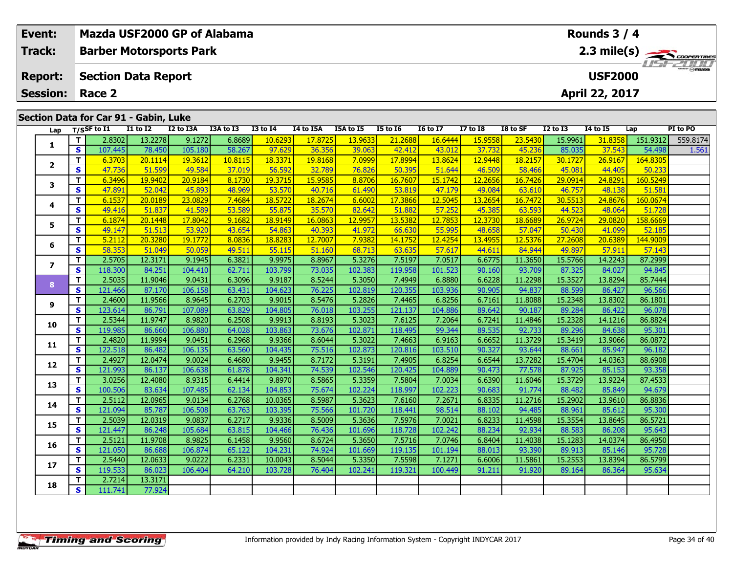| Event: |                                       |                         | Mazda USF2000 GP of Alabama    |                   |                   |                  | Rounds $3/4$      |                  |                  |                   |                   |                   |                   |                       |                   |                    |          |  |  |
|--------|---------------------------------------|-------------------------|--------------------------------|-------------------|-------------------|------------------|-------------------|------------------|------------------|-------------------|-------------------|-------------------|-------------------|-----------------------|-------------------|--------------------|----------|--|--|
|        | Track:                                |                         | <b>Barber Motorsports Park</b> |                   |                   |                  |                   |                  |                  |                   |                   |                   |                   | $2.3 \text{ mile(s)}$ |                   |                    |          |  |  |
|        | <b>Report:</b>                        |                         | <b>Section Data Report</b>     |                   |                   |                  | <b>USF2000</b>    |                  |                  |                   |                   |                   |                   |                       |                   |                    |          |  |  |
|        | <b>Session:</b>                       |                         | Race 2                         |                   |                   |                  |                   |                  |                  |                   |                   |                   |                   |                       | April 22, 2017    |                    |          |  |  |
|        | Section Data for Car 91 - Gabin, Luke |                         |                                |                   |                   |                  |                   |                  |                  |                   |                   |                   |                   |                       |                   |                    |          |  |  |
|        | Lap                                   |                         | $T/S$ SF to I1                 | <b>I1 to I2</b>   | I2 to I3A         | I3A to I3        | <b>I3 to 14</b>   | I4 to I5A        | I5A to I5        | <b>I5 to 16</b>   | <b>16 to 17</b>   | <b>I7 to I8</b>   | I8 to SF          | <b>I2 to I3</b>       | <b>14 to 15</b>   | Lap                | PI to PO |  |  |
|        | 1                                     | T.                      | 2.8302                         | 13.2278           | 9.1272            | 6.8689           | 10.6293           | 17.8725          | 13.9633          | 21.2688           | 16.6444           | 15.9558           | 23.5430           | 15.9961               | 31,8358           | 151.9312           | 559.8174 |  |  |
|        |                                       | S.                      | 107.445                        | 78.450            | 105.180           | 58.267           | 97.629            | 36.356           | 39.063           | 42.412            | 43.012            | 37.732            | 45.236            | 85.035                | 37.543            | 54.498             | 1.561    |  |  |
|        | $\mathbf{2}$                          | T.                      | 6.3703                         | 20.1114           | 19.3612           | 10.8115          | 18.3371           | 19.8168          | 7.0999           | 17.8994           | 13.8624           | 12.9448           | 18.2157           | 30.1727               | 26.9167           | 164.8305           |          |  |  |
|        |                                       | S.                      | 47.736                         | 51.599            | 49.584            | 37.019           | 56.592            | 32.789           | 76.826           | 50.395            | 51.644            | 46.509            | 58.466            | 45.081                | 44.405            | 50.233             |          |  |  |
|        | 3                                     | T.                      | 6.3496                         | 19.9402           | 20.9184           | 8.1730           | 19.3715           | 15.9585          | 8.8706           | 16.7607           | 15.1742           | 12.2656           | 16.7426           | 29.0914               | 24.8291           | 160.5249           |          |  |  |
|        |                                       | S                       | 47.891                         | 52.042            | 45.893            | 48.969           | 53.570            | 40.716           | 61.490           | 53.819            | 47.179            | 49.084            | 63.610            | 46.757                | 48.138            | 51.581             |          |  |  |
|        | 4                                     | T.                      | 6.1537                         | 20,0189           | 23,0829           | 7.4684           | 18.5722           | 18.2674          | 6.6002           | 17.3866           | 12.5045           | 13.2654           | 16,7472           | 30.5513               | 24.8676           | 160.0674           |          |  |  |
|        |                                       | S.                      | 49.416                         | 51.837            | 41.589            | 53.589           | 55.875            | 35.570           | 82.642           | 51.882            | 57.252            | 45.385            | 63.593            | 44.523                | 48.064            | 51.728             |          |  |  |
|        | 5                                     | T.                      | 6.1874                         | 20.1448           | 17.8042           | 9.1682           | 18.9149           | 16.0863          | 12.9957          | 13.5382           | 12.7853           | 12.3730           | 18.6689           | 26.9724               | 29.0820           | 158.6669           |          |  |  |
|        |                                       | $\overline{\mathbf{s}}$ | 49.147                         | 51.513            | 53.920            | 43.654           | 54.863            | 40.393           | 41.972           | 66.630            | 55.995            | 48.658            | 57.047            | 50.430                | 41.099            | 52.185             |          |  |  |
|        | 6                                     | T.<br>S                 | 5.2112<br>58.353               | 20.3280<br>51.049 | 19.1772<br>50.059 | 8.0836<br>49.511 | 18.8283<br>55.115 | 12.7007          | 7.9382<br>68.713 | 14.1752<br>63.635 | 12.4254<br>57.617 | 13.4955<br>44.611 | 12.5376<br>84.944 | 27.2608<br>49.897     | 20.6389<br>57.911 | 144.9009<br>57.143 |          |  |  |
|        |                                       | Τ.                      | 2.5705                         | 12.3171           | 9.1945            | 6.3821           | 9.9975            | 51.160<br>8.8967 | 5.3276           | 7.5197            | 7.0517            | 6.6775            | 11.3650           | 15.5766               | 14.2243           | 87.2999            |          |  |  |
|        | $\overline{ }$                        | S.                      | 118.300                        | 84.251            | 104.410           | 62.711           | 103.799           | 73.035           | 102.383          | 119.958           | 101.523           | 90.160            | 93.709            | 87.325                | 84.027            | 94.845             |          |  |  |
|        |                                       | T.                      | 2.5035                         | 11.9046           | 9.0431            | 6.3096           | 9.9187            | 8.5244           | 5.3050           | 7.4949            | 6.8880            | 6.6228            | 11.2298           | 15.3527               | 13.8294           | 85.7444            |          |  |  |
|        | 8                                     | S.                      | 121.466                        | 87.170            | 106.158           | 63.431           | 104.623           | 76.225           | 102.819          | 120.355           | 103.936           | 90.905            | 94.837            | 88.599                | 86.427            | 96.566             |          |  |  |
|        |                                       | T.                      | 2.4600                         | 11.9566           | 8.9645            | 6.2703           | 9.9015            | 8.5476           | 5.2826           | 7.4465            | 6.8256            | 6.7161            | 11.8088           | 15.2348               | 13.8302           | 86.1801            |          |  |  |
|        | 9                                     | S                       | 123.614                        | 86.791            | 107.089           | 63.829           | 104.805           | 76.018           | 103.255          | 121.137           | 104.886           | 89.642            | 90.187            | 89.284                | 86.422            | 96.078             |          |  |  |
|        |                                       | Τ.                      | 2.5344                         | 11.9747           | 8.9820            | 6.2508           | 9.9913            | 8.8193           | 5.3023           | 7.6125            | 7.2064            | 6.7241            | 11.4846           | 15.2328               | 14.1216           | 86.8824            |          |  |  |
|        | 10                                    | S.                      | 119.985                        | 86.660            | 106.880           | 64.028           | 103.863           | 73.676           | 102.871          | 118.495           | 99.344            | 89.535            | 92.733            | 89.296                | 84.638            | 95.301             |          |  |  |
|        |                                       | T.                      | 2.4820                         | 11.9994           | 9.0451            | 6.2968           | 9.9366            | 8.6044           | 5.3022           | 7.4663            | 6.9163            | 6.6652            | 11.3729           | 15.3419               | 13.9066           | 86.0872            |          |  |  |
|        | 11                                    | S.                      | 122.518                        | 86.482            | 106.135           | 63.560           | 104.435           | 75.516           | 102.873          | 120.816           | 103.510           | 90.327            | 93.644            | 88.661                | 85.947            | 96.182             |          |  |  |
|        |                                       | т                       | 2.4927                         | 12.0474           | 9.0024            | 6.4680           | 9.9455            | 8.7172           | 5.3191           | 7.4905            | 6.8254            | 6.6544            | 13.7282           | 15.4704               | 14.0363           | 88.6908            |          |  |  |
|        | 12                                    | S.                      | 121.993                        | 86.137            | 106.638           | 61.878           | 104.341           | 74.539           | 102.546          | 120.425           | 104.889           | 90.473            | 77.578            | 87.925                | 85.153            | 93.358             |          |  |  |

**<sup>T</sup>** 3.0256 12.4080 8.9315 6.4414 9.8970 8.5865 5.3359 7.5804 7.0034 6.6390 11.6046 15.3729 13.9224 87.4533 **<sup>S</sup>** 100.506 83.634 107.485 62.134 104.853 75.674 102.224 118.997 102.223 90.683 91.774 88.482 85.849 94.679

**<sup>T</sup>** 2.5112 12.0965 9.0134 6.2768 10.0365 8.5987 5.3623 7.6160 7.2671 6.8335 11.2716 15.2902 13.9610 86.8836 **<sup>S</sup>** 121.094 85.787 106.508 63.763 103.395 75.566 101.720 118.441 98.514 88.102 94.485 88.961 85.612 95.300

**<sup>T</sup>** 2.5039 12.0319 9.0837 6.2717 9.9336 8.5009 5.3636 7.5976 7.0021 6.8233 11.4598 15.3554 13.8645 86.5721 **<sup>S</sup>** 121.447 86.248 105.684 63.815 104.466 76.436 101.696 118.728 102.242 88.234 92.934 88.583 86.208 95.643

**<sup>T</sup>** 2.5121 11.9708 8.9825 6.1458 9.9560 8.6724 5.3650 7.5716 7.0746 6.8404 11.4038 15.1283 14.0374 86.4950 **<sup>S</sup>** 121.050 86.688 106.874 65.122 104.231 74.924 101.669 119.135 101.194 88.013 93.390 89.913 85.146 95.728

7 | T | 2.5440| 12.0633| 9.0222| 6.2331| 10.0043| 8.5044| 5.3350| 7.5598| 7.1271| 6.6006| 11.5861| 15.2553| 13.8394| 86.5799<br>- S | 119.533| 86.023| 106.404| 64.210| 103.728| 76.404| 102.241| 119.321| 100.449| 91.211| 91.92

**<sup>T</sup>** 2.7214 13.3171 **<sup>S</sup>** 111.741 77.924

77.924

**13**

**14**

**15**

**16**

**17**

**18**

94.679

95.300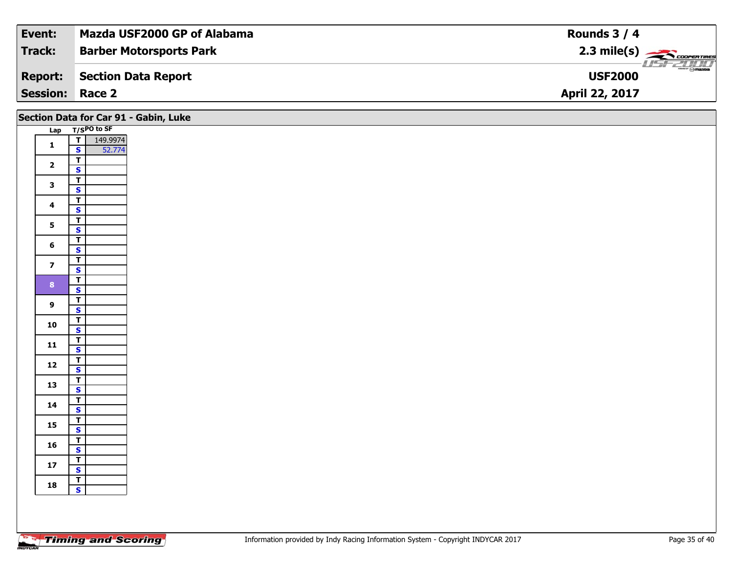| Event:                 | Mazda USF2000 GP of Alabama    | Rounds $3/4$                          |
|------------------------|--------------------------------|---------------------------------------|
| Track:                 | <b>Barber Motorsports Park</b> |                                       |
| Report:                | Section Data Report            | $\rightarrow$ mazpa<br><b>USF2000</b> |
| <b>Session: Race 2</b> |                                | <b>April 22, 2017</b>                 |

|                         |                                                    | Section Data for Car 91 - Gabin, Luke |
|-------------------------|----------------------------------------------------|---------------------------------------|
|                         | Lap T/SPO to SF                                    |                                       |
| $\mathbf{1}$            | 149.9974<br>T<br>$\mathbf{s}$<br>52.774            |                                       |
| $\overline{\mathbf{2}}$ | $\overline{\mathsf{T}}$<br>$\mathbf{s}$            |                                       |
| $\mathbf{3}$            | $\overline{\mathbf{r}}$                            |                                       |
| $\overline{\mathbf{4}}$ | $\overline{\mathbf{s}}$<br>$\mathbf{T}$            |                                       |
|                         | $\mathbf{s}$<br>$\overline{\mathbf{r}}$            |                                       |
| 5 <sub>5</sub>          | $\overline{\mathbf{s}}$<br>$\overline{\mathsf{T}}$ |                                       |
| $6\phantom{a}$          | $\mathbf{s}$                                       |                                       |
| $\overline{7}$          | $\overline{1}$<br>$\mathbf{s}$                     |                                       |
| 8 <sup>1</sup>          | $\overline{\mathsf{r}}$<br>$\overline{\mathbf{s}}$ |                                       |
| $\mathbf{9}$            | $\overline{\mathbf{r}}$<br>$\mathbf{s}$            |                                       |
| 10                      | $\overline{\mathbf{r}}$<br>$\overline{\mathbf{s}}$ |                                       |
| $11$                    | $\frac{1}{s}$                                      |                                       |
| $12$                    | $\overline{\mathbf{T}}$                            |                                       |
|                         | $\mathbf{s}$<br>$\overline{\mathbf{r}}$            |                                       |
| 13                      | $\mathbf{s}$<br>$\overline{\mathsf{T}}$            |                                       |
| 14                      | $\mathbf{s}$                                       |                                       |
| 15                      | $\overline{1}$<br>$\overline{\mathbf{s}}$          |                                       |
| 16                      | $\overline{\mathbf{r}}$<br>$\mathbf{s}$            |                                       |
| $17$                    | $\overline{\mathbf{r}}$<br>$\mathbf{s}$            |                                       |
| 18                      | $rac{1}{s}$                                        |                                       |
|                         |                                                    |                                       |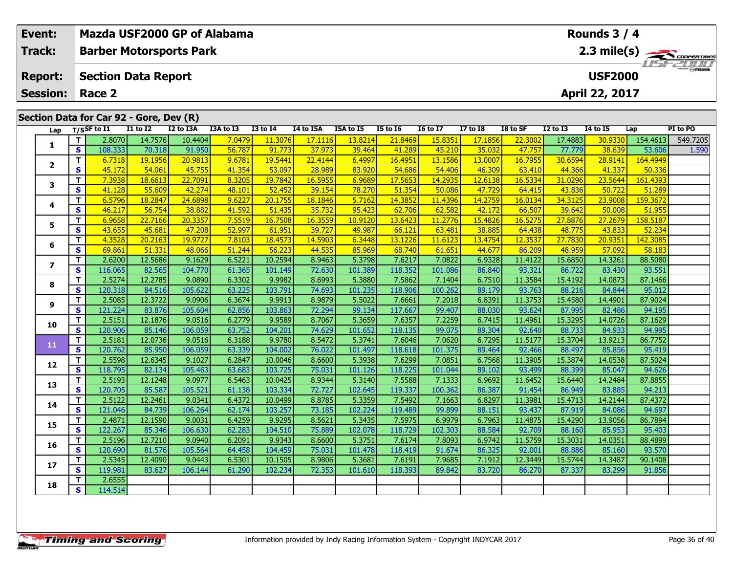| Event: |                                   |                         | Mazda USF2000 GP of Alabama             |                   |                   |                  |                                                                                                                                                                                                                                                                                                                                                                                                                                                         |                   |                   |                   |                   |                   |                   |                   | Rounds 3 / 4      |                    |          |  |  |  |
|--------|-----------------------------------|-------------------------|-----------------------------------------|-------------------|-------------------|------------------|---------------------------------------------------------------------------------------------------------------------------------------------------------------------------------------------------------------------------------------------------------------------------------------------------------------------------------------------------------------------------------------------------------------------------------------------------------|-------------------|-------------------|-------------------|-------------------|-------------------|-------------------|-------------------|-------------------|--------------------|----------|--|--|--|
|        | <b>Track:</b>                     |                         | <b>Barber Motorsports Park</b>          |                   |                   |                  |                                                                                                                                                                                                                                                                                                                                                                                                                                                         |                   |                   |                   |                   |                   |                   |                   |                   |                    |          |  |  |  |
|        | <b>Report:</b><br><b>Session:</b> |                         | <b>Section Data Report</b><br>Race 2    |                   |                   |                  | 2.3 mile(s) $\frac{1}{\sqrt{1-\frac{1}{2}}}\frac{1}{\sqrt{1-\frac{1}{2}}}\frac{1}{\sqrt{1-\frac{1}{2}}}\frac{1}{\sqrt{1-\frac{1}{2}}}\frac{1}{\sqrt{1-\frac{1}{2}}}\frac{1}{\sqrt{1-\frac{1}{2}}}\frac{1}{\sqrt{1-\frac{1}{2}}}\frac{1}{\sqrt{1-\frac{1}{2}}}\frac{1}{\sqrt{1-\frac{1}{2}}}\frac{1}{\sqrt{1-\frac{1}{2}}}\frac{1}{\sqrt{1-\frac{1}{2}}}\frac{1}{\sqrt{1-\frac{1}{2}}}\frac{1}{\sqrt{1-\frac{1}{2}}$<br><b>USF2000</b><br>April 22, 2017 |                   |                   |                   |                   |                   |                   |                   |                   |                    |          |  |  |  |
|        |                                   |                         |                                         |                   |                   |                  |                                                                                                                                                                                                                                                                                                                                                                                                                                                         |                   |                   |                   |                   |                   |                   |                   |                   |                    |          |  |  |  |
|        |                                   |                         | Section Data for Car 92 - Gore, Dev (R) |                   |                   |                  |                                                                                                                                                                                                                                                                                                                                                                                                                                                         |                   |                   |                   |                   |                   |                   |                   |                   |                    |          |  |  |  |
|        | Lap                               |                         | $T/S$ SF to I1                          | <b>I1 to I2</b>   | I2 to I3A         | I3A to I3        | <b>I3 to 14</b>                                                                                                                                                                                                                                                                                                                                                                                                                                         | I4 to I5A         | I5A to I5         | <b>I5 to 16</b>   | <b>16 to 17</b>   | <b>I7 to I8</b>   | I8 to SF          | <b>I2 to I3</b>   | <b>14 to 15</b>   | Lap                | PI to PO |  |  |  |
|        | 1                                 | T                       | 2.8070                                  | 14.7576           | 10.4404           | 7.0479           | 11.3076                                                                                                                                                                                                                                                                                                                                                                                                                                                 | 17.1116           | 13.8214           | 21.8469           | 15.8351           | 17.1856           | 22.3002           | 17.4883           | 30.9330           | 154.4613           | 549.7205 |  |  |  |
|        |                                   | $\mathbf{s}$            | 108.333                                 | 70.318            | 91.950            | 56.787           | 91.773                                                                                                                                                                                                                                                                                                                                                                                                                                                  | 37.973            | 39.464            | 41.289            | 45.210            | 35.032            | 47.757            | 77.779            | 38.639            | 53.606             | 1.590    |  |  |  |
|        | $\mathbf{2}$                      | T.                      | 6.7318                                  | 19.1956           | 20.9813           | 9.6781           | 19.5441                                                                                                                                                                                                                                                                                                                                                                                                                                                 | 22.4144           | 6.4997            | 16.4951           | 13.1586           | 13.0007           | 16.7955           | 30.6594           | 28.9141           | 164.4949           |          |  |  |  |
|        |                                   | $\mathbf{s}$            | 45.172                                  | 54.061            | 45.755            | 41.354           | 53.097                                                                                                                                                                                                                                                                                                                                                                                                                                                  | 28.989            | 83.920            | 54.686            | 54.406            | 46.309            | 63.410            | 44.366            | 41.337            | 50.336             |          |  |  |  |
|        | 3                                 | $\overline{\mathsf{T}}$ | 7.3938                                  | 18.6613           | 22.7091           | 8.3205           | 19.7842                                                                                                                                                                                                                                                                                                                                                                                                                                                 | 16.5955           | 6.9689            | 17.5653           | 14.2935           | 12.6138           | 16.5334           | 31.0296           | 23.5644           | 161.4393           |          |  |  |  |
|        |                                   | $\mathbf{s}$<br>T.      | 41.128<br>6.5796                        | 55.609<br>18.2847 | 42.274<br>24.6898 | 48.101<br>9.6227 | 52.452<br>20.175                                                                                                                                                                                                                                                                                                                                                                                                                                        | 39.154<br>18.1846 | 78.270<br>5.7162  | 51.354<br>14.3852 | 50.086<br>11.4396 | 47.729<br>14.2759 | 64.415<br>16.0134 | 43.836<br>34.3125 | 50.722<br>23.9008 | 51.289<br>159.3672 |          |  |  |  |
|        | 4                                 | $\mathbf{s}$            | 46.217                                  | 56.754            | 38.882            | 41.592           | 51.43                                                                                                                                                                                                                                                                                                                                                                                                                                                   | 35.732            | 95.423            | 62.706            | 62.582            | 42.172            | 66.507            | 39.642            | 50.008            | 51.955             |          |  |  |  |
|        |                                   | $\mathbf T$             | 6.9658                                  | 22.7166           | 20.3357           | 7.5519           | 16.7508                                                                                                                                                                                                                                                                                                                                                                                                                                                 | 16.3559           | 10.9120           | 13.6423           | 11.2776           | 15.4826           | 16.5275           | 27.8876           | 27.2679           | 158.5187           |          |  |  |  |
|        | 5                                 | <b>S</b>                | 43.655                                  | 45.681            | 47.208            | 52.997           | 61.951                                                                                                                                                                                                                                                                                                                                                                                                                                                  | 39.727            | 49.987            | 66.121            | 63.481            | 38.885            | 64.438            | 48.775            | 43.833            | 52.234             |          |  |  |  |
|        |                                   | T.                      | 4.3528                                  | 20.2163           | 19.9727           | 7.8103           | 18.4573                                                                                                                                                                                                                                                                                                                                                                                                                                                 | 14.5903           | 6.3448            | 13.1226           | 11.6123           | 13.4754           | 12.3537           | 27.7830           | 20.9351           | 142.3085           |          |  |  |  |
|        | 6                                 | <b>S</b>                | 69.861                                  | 51.331            | 48.066            | 51.244           | 56.223                                                                                                                                                                                                                                                                                                                                                                                                                                                  | 44.535            | 85.969            | 68.740            | 61.651            | 44.677            | 86.209            | 48.959            | 57.092            | 58.183             |          |  |  |  |
|        |                                   | T.                      | 2.6200                                  | 12.5686           | 9.1629            | 6.5221           | 10.2594                                                                                                                                                                                                                                                                                                                                                                                                                                                 | 8.9463            | 5.3798            | 7.6217            | 7.0822            | 6.9328            | 11.4122           | 15.6850           | 14.3261           | 88.5080            |          |  |  |  |
|        | $\overline{ }$                    | $\mathbf{s}$            | 116.065                                 | 82.565            | 104.770           | 61.365           | 101.149                                                                                                                                                                                                                                                                                                                                                                                                                                                 | 72.630            | 101.389           | 118.352           | 101.086           | 86.840            | 93.321            | 86.722            | 83.430            | 93.551             |          |  |  |  |
|        |                                   | T.                      | 2.5274                                  | 12.2785           | 9.0890            | 6.3302           | 9.9982                                                                                                                                                                                                                                                                                                                                                                                                                                                  | 8.6993            | 5.3880            | 7.5862            | 7.1404            | 6.7510            | 11.3584           | 15.4192           | 14.0873           | 87.1466            |          |  |  |  |
|        | 8                                 | <b>S</b>                | 120.318                                 | 84.516            | 105.622           | 63.225           | 103.791                                                                                                                                                                                                                                                                                                                                                                                                                                                 | 74.693            | 101.235           | 118.906           | 100.262           | 89.179            | 93.763            | 88.216            | 84.844            | 95.012             |          |  |  |  |
|        |                                   | $\overline{\mathbf{T}}$ | 2.5085                                  | 12.3722           | 9.0906            | 6.3674           | 9.9913                                                                                                                                                                                                                                                                                                                                                                                                                                                  | 8.9879            | 5.5022            | 7.6661            | 7.2018            | 6.8391            | 11.3753           | 15.4580           | 14.4901           | 87.9024            |          |  |  |  |
|        | 9                                 | $\mathbf{s}$            | 121.224                                 | 83.876            | 105.604           | 62.856           | 103.863                                                                                                                                                                                                                                                                                                                                                                                                                                                 | 72.294            | 99.134            | 117.667           | 99.407            | 88.030            | 93.624            | 87.995            | 82.486            | 94.195             |          |  |  |  |
|        | 10                                | T                       | 2.5151                                  | 12.1876           | 9.0516            | 6.2779           | 9.9589                                                                                                                                                                                                                                                                                                                                                                                                                                                  | 8.7067            | 5.3659            | 7.6357            | 7.2259            | 6.7415            | 11.4961           | 15.3295           | 14.0726           | 87.1629            |          |  |  |  |
|        |                                   | $\overline{\mathbf{s}}$ | 120.906                                 | 85.146            | 106.059           | 63.752           | 104.201                                                                                                                                                                                                                                                                                                                                                                                                                                                 | 74.629            | 101.652           | 118.135           | 99.075            | 89.304            | 92.640            | 88.733            | 84.933            | 94.995             |          |  |  |  |
|        | 11                                | T                       | 2.5181                                  | 12.0736           | 9.0516            | 6.3188           | 9.9780                                                                                                                                                                                                                                                                                                                                                                                                                                                  | 8.5472            | 5.3741            | 7.6046            | 7.0620            | 6.7295            | 11.5177           | 15.3704           | 13.9213           | 86.7752            |          |  |  |  |
|        |                                   | $\mathbf{s}$            | 120.762                                 | 85.950            | 106.059           | 63.339           | 104.002                                                                                                                                                                                                                                                                                                                                                                                                                                                 | 76.022            | 101.497           | 118.618           | 101.375           | 89.464            | 92.466            | 88.497            | 85.856            | 95.419             |          |  |  |  |
|        | 12                                | T                       | 2.5598                                  | 12.6345           | 9.1027            | 6.2847           | 10.0046                                                                                                                                                                                                                                                                                                                                                                                                                                                 | 8.6600            | 5.3938            | 7.6299            | 7.0851            | 6.7568            | 11.3905           | 15.3874           | 14.0538           | 87.5024            |          |  |  |  |
|        |                                   | <b>S</b>                | 118.795                                 | 82.134            | 105.463           | 63.683           | 103.725                                                                                                                                                                                                                                                                                                                                                                                                                                                 | 75.031            | 101.126           | 118.225           | 101.044           | 89.102            | 93.499            | 88.399            | 85.047            | 94.626             |          |  |  |  |
|        | 13                                | T.                      | 2.5193                                  | 12.1248           | 9.0977            | 6.5463           | 10.0425                                                                                                                                                                                                                                                                                                                                                                                                                                                 | 8.9344            | 5.3140            | 7.5588            | 7.1333            | 6.9692            | 11.6452           | 15.6440           | 14.2484           | 87.8855            |          |  |  |  |
|        |                                   | $\mathbf{s}$            | 120.705                                 | 85.587            | 105.521           | 61.138           | 103.334                                                                                                                                                                                                                                                                                                                                                                                                                                                 | 72.727            | 102.645           | 119.337           | 100.362           | 86.387            | 91.454            | 86.949            | 83.885            | 94.213             |          |  |  |  |
|        | 14                                | T.                      | 2.5122                                  | 12.2461           | 9.0341            | 6.4372           | 10.0499                                                                                                                                                                                                                                                                                                                                                                                                                                                 | 8.8785            | 5.3359            | 7.5492            | 7.1663            | 6.8297            | 11.3981           | 15.4713           | 14.2144           | 87.4372            |          |  |  |  |
|        |                                   | S                       | 121.046<br>2.4871                       | 84.739<br>12.1590 | 106.264<br>9.0031 | 62.174<br>6.4259 | 103.257<br>9.9295                                                                                                                                                                                                                                                                                                                                                                                                                                       | 73.185<br>8.5621  | 102.224<br>5.3435 | 119.489<br>7.5975 | 99.899<br>6.9979  | 88.151<br>6.7963  | 93.437<br>11.4875 | 87.919<br>15.4290 | 84.086            | 94.697<br>86.7894  |          |  |  |  |
|        | 15                                | Т<br><b>S</b>           | 122.267                                 | 85.346            | 106.630           | 62.283           | 104.510                                                                                                                                                                                                                                                                                                                                                                                                                                                 | 75.889            | 102.078           | 118.729           | 102.303           | 88.584            | 92.709            | 88.160            | 13.9056<br>85.953 | 95.403             |          |  |  |  |
|        |                                   | $\mathbf{T}$            | 2.5196                                  | 12.7210           | 9.0940            | 6.2091           | 9.9343                                                                                                                                                                                                                                                                                                                                                                                                                                                  | 8.6600            | 5.3751            | 7.6174            | 7.8093            | 6.9742            | 11.5759           | 15.3031           | 14.0351           | 88.4899            |          |  |  |  |
|        | 16                                | $\mathbf{s}$            | 120.690                                 | 81.576            | 105.564           | 64.458           | 104.459                                                                                                                                                                                                                                                                                                                                                                                                                                                 | 75.031            | 101.478           | 118.419           | 91.674            | 86.325            | 92.001            | 88.886            | 85.160            | 93.570             |          |  |  |  |
|        |                                   | T.                      | 2.5345                                  | 12.4090           | 9.0443            | 6.5301           | 10.1505                                                                                                                                                                                                                                                                                                                                                                                                                                                 | 8.9806            | 5.3681            | 7.6191            | 7.9685            | 7.1912            | 12.3449           | 15.5744           | 14.3487           | 90.1408            |          |  |  |  |
|        | 17                                | s.                      | 119,981                                 | 83.627            | 106.144           | 61.290           | 102.234                                                                                                                                                                                                                                                                                                                                                                                                                                                 | 72.353            | 101.610           | 118.393           | 89.842            | 83.720            | 86,270            | 87.337            | 83,299            | 91.856             |          |  |  |  |

**<sup>T</sup>** 2.6555 **<sup>S</sup>** 114.514

**18**

**Event:**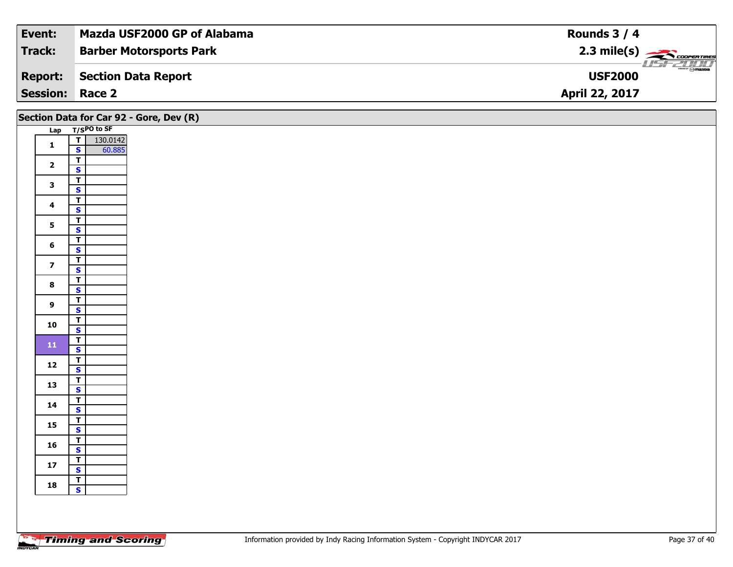| Event:                 | Mazda USF2000 GP of Alabama    | Rounds $3/4$                                  |
|------------------------|--------------------------------|-----------------------------------------------|
| Track:                 | <b>Barber Motorsports Park</b> | $2.3 \text{ mile(s)}$                         |
| <b>Report:</b>         | Section Data Report            | $\frac{2}{\sqrt{2}}$ omazoa<br><b>USF2000</b> |
| <b>Session: Race 2</b> |                                | <b>April 22, 2017</b>                         |
|                        |                                |                                               |

| Section Data for Car 92 - Gore, Dev (R) |                                           |  |  |  |  |  |  |  |  |  |
|-----------------------------------------|-------------------------------------------|--|--|--|--|--|--|--|--|--|
|                                         | Lap T/SPO to SF                           |  |  |  |  |  |  |  |  |  |
| $\mathbf{1}$                            | $T$ 130.0142                              |  |  |  |  |  |  |  |  |  |
|                                         | $\mathbf{s}$<br>60.885                    |  |  |  |  |  |  |  |  |  |
| $\overline{2}$                          | $\overline{\mathsf{T}}$                   |  |  |  |  |  |  |  |  |  |
|                                         | $\mathbf{s}$                              |  |  |  |  |  |  |  |  |  |
| $\mathbf{3}$                            | $\overline{r}$<br>$\mathbf{s}$            |  |  |  |  |  |  |  |  |  |
|                                         | $\overline{t}$                            |  |  |  |  |  |  |  |  |  |
| $\overline{\mathbf{4}}$                 | $\mathbf{s}$                              |  |  |  |  |  |  |  |  |  |
|                                         | $\overline{t}$                            |  |  |  |  |  |  |  |  |  |
| $5\phantom{a}$                          | $\overline{\mathbf{s}}$                   |  |  |  |  |  |  |  |  |  |
| $6\phantom{1}$                          | $\overline{T}$                            |  |  |  |  |  |  |  |  |  |
|                                         | $\mathbf{s}$                              |  |  |  |  |  |  |  |  |  |
| $\overline{\mathbf{z}}$                 | $\overline{t}$<br>$\overline{\mathbf{s}}$ |  |  |  |  |  |  |  |  |  |
|                                         | F                                         |  |  |  |  |  |  |  |  |  |
| $\bf{8}$                                | $\overline{\mathbf{s}}$                   |  |  |  |  |  |  |  |  |  |
|                                         | $\overline{I}$                            |  |  |  |  |  |  |  |  |  |
| $\overline{9}$                          | $\mathbf{s}$                              |  |  |  |  |  |  |  |  |  |
| 10                                      | $\mathbf{T}$                              |  |  |  |  |  |  |  |  |  |
|                                         | $\overline{\mathbf{s}}$                   |  |  |  |  |  |  |  |  |  |
| ${\bf 11}$                              | $\overline{I}$<br>$\mathbf{s}$            |  |  |  |  |  |  |  |  |  |
|                                         |                                           |  |  |  |  |  |  |  |  |  |
| $12$                                    | $\frac{1}{s}$                             |  |  |  |  |  |  |  |  |  |
|                                         | $\overline{\mathsf{r}}$                   |  |  |  |  |  |  |  |  |  |
| 13                                      | $\mathbf{s}$                              |  |  |  |  |  |  |  |  |  |
| 14                                      | $\overline{1}$                            |  |  |  |  |  |  |  |  |  |
|                                         | $\mathbf{s}$                              |  |  |  |  |  |  |  |  |  |
| 15                                      | $\mathbf{T}$<br>$\overline{\mathbf{s}}$   |  |  |  |  |  |  |  |  |  |
|                                         | $\overline{r}$                            |  |  |  |  |  |  |  |  |  |
| 16                                      | $\mathbf{s}$                              |  |  |  |  |  |  |  |  |  |
| 17                                      | $\overline{\mathbf{r}}$                   |  |  |  |  |  |  |  |  |  |
|                                         | $\overline{\mathbf{s}}$                   |  |  |  |  |  |  |  |  |  |
| 18                                      | $\overline{r}$                            |  |  |  |  |  |  |  |  |  |
|                                         | $\mathbf{s}$                              |  |  |  |  |  |  |  |  |  |
|                                         |                                           |  |  |  |  |  |  |  |  |  |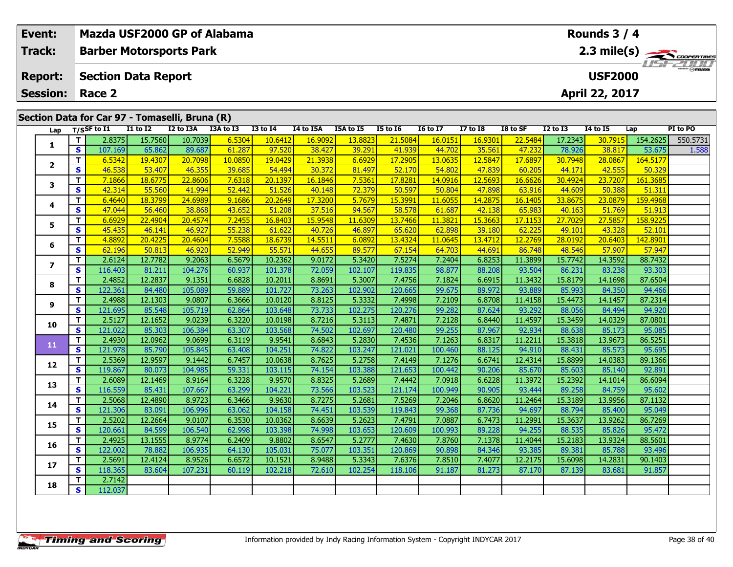|                                                | Event:                  |                         | Mazda USF2000 GP of Alabama    |                   |                   |                  |                    |                   |                   |                   |                   |                   |                   |                   | Rounds 3 / 4      |                    |                                                                          |  |  |  |  |  |  |
|------------------------------------------------|-------------------------|-------------------------|--------------------------------|-------------------|-------------------|------------------|--------------------|-------------------|-------------------|-------------------|-------------------|-------------------|-------------------|-------------------|-------------------|--------------------|--------------------------------------------------------------------------|--|--|--|--|--|--|
|                                                | <b>Track:</b>           |                         | <b>Barber Motorsports Park</b> |                   |                   |                  |                    |                   |                   |                   |                   |                   |                   |                   |                   |                    | $2.3$ mile(s) $\frac{1}{\sqrt{2}}$ COOPER TIRES<br><i><b>ISFZONI</b></i> |  |  |  |  |  |  |
|                                                | <b>Report:</b>          |                         | <b>Section Data Report</b>     |                   |                   |                  |                    |                   | <b>USF2000</b>    |                   |                   |                   |                   |                   |                   |                    |                                                                          |  |  |  |  |  |  |
|                                                | <b>Session:</b>         |                         | Race 2                         |                   |                   |                  |                    |                   |                   |                   |                   |                   |                   |                   | April 22, 2017    |                    |                                                                          |  |  |  |  |  |  |
| Section Data for Car 97 - Tomaselli, Bruna (R) |                         |                         |                                |                   |                   |                  |                    |                   |                   |                   |                   |                   |                   |                   |                   |                    |                                                                          |  |  |  |  |  |  |
|                                                | Lap                     |                         | $T/S$ SF to $I1$               | <b>I1 to I2</b>   | I2 to I3A         | I3A to I3        | <b>I3 to I4</b>    | <b>I4 to I5A</b>  | I5A to I5         | <b>I5 to 16</b>   | <b>I6 to I7</b>   | <b>I7 to 18</b>   | I8 to SF          | <b>I2 to I3</b>   | I4 to I5          | Lap                | PI to PO                                                                 |  |  |  |  |  |  |
|                                                |                         | Т                       | 2.8375                         | 15.7560           | 10.7039           | 6.5304           | 10.6412            | 16.9092           | 13.8823           | 21.5084           | 16.0151           | 16.9301           | 22.5484           | 17.2343           | 30.7915           | 154.2625           | 550.5731                                                                 |  |  |  |  |  |  |
|                                                | 1                       | S                       | 107.169                        | 65.862            | 89.687            | 61.287           | 97.520             | 38.427            | 39.291            | 41.939            | 44.702            | 35.561            | 47.232            | 78.926            | 38.817            | 53.675             | 1.588                                                                    |  |  |  |  |  |  |
|                                                | $\overline{2}$          | T.                      | 6.5342                         | 19.4307           | 20.7098           | 10.0850          | 19.0429            | 21.3938           | 6.6929            | 17.2905           | 13.0635           | 12.5847           | 17.6897           | 30.7948           | 28.0867           | 164.5177           |                                                                          |  |  |  |  |  |  |
|                                                |                         | S                       | 46.538                         | 53.407            | 46.355            | 39.685           | 54.494             | 30.372            | 81.497            | 52.170            | 54.802            | 47.839            | 60.205            | 44.171            | 42.555            | 50.329             |                                                                          |  |  |  |  |  |  |
|                                                | 3                       | T<br>S                  | 7.1866<br>42.314               | 18.6775<br>55.560 | 22.8606<br>41.994 | 7.6318<br>52,442 | 20.1397<br>51.526  | 16.1846<br>40.148 | 7.5361<br>72.379  | 17,8281<br>50.597 | 14.0916<br>50.804 | 12.5693<br>47.898 | 16.6626<br>63.916 | 30,4924<br>44.609 | 23.7207<br>50.388 | 161.3685<br>51.311 |                                                                          |  |  |  |  |  |  |
|                                                |                         | T.                      | 6.4640                         | 18.3799           | 24.6989           | 9.1686           | 20.2649            | 17.3200           | 5.7679            | 15.3991           | 11.6055           | 14.2875           | 16.1405           | 33.8675           | 23.0879           | 159.4968           |                                                                          |  |  |  |  |  |  |
|                                                | 4                       | S                       | 47.044                         | 56.460            | 38.868            | 43.652           | 51.208             | 37.516            | 94.567            | 58.578            | 61.687            | 42.138            | 65.983            | 40.163            | 51.769            | 51.913             |                                                                          |  |  |  |  |  |  |
|                                                |                         | T                       | 6.6929                         | 22.4904           | 20.4574           | 7.2455           | 16.8403            | 15.9548           | 11.6309           | 13.7466           | 11.382            | 15.3663           | 17.1153           | 27.7029           | 27.5857           | 158.9225           |                                                                          |  |  |  |  |  |  |
|                                                | 5                       | $\mathbf{s}$            | 45.435                         | 46.141            | 46.927            | 55.238           | 61.622             | 40.726            | 46.897            | 65.620            | 62.898            | 39.180            | 62.225            | 49.101            | 43.328            | 52.101             |                                                                          |  |  |  |  |  |  |
|                                                | 6                       | T.                      | 4.8892                         | 20.4225           | 20.4604           | 7.5588           | 18.6739            | 14.5511           | 6.0892            | 13.4324           | 11.0645           | 13.4712           | 12.2769           | 28.0192           | 20.6403           | 142.8901           |                                                                          |  |  |  |  |  |  |
|                                                |                         | $\mathbf{s}$            | 62.196                         | 50.813            | 46.920            | 52.949           | 55.571             | 44.655            | 89.577            | 67.154            | 64.703            | 44.691            | 86.748            | 48.546            | 57.907            | 57.947             |                                                                          |  |  |  |  |  |  |
|                                                | $\overline{\mathbf{z}}$ | $\mathbf T$             | 2.6124                         | 12.7782           | 9.2063            | 6.5679           | 10.2362            | 9.0172            | 5.3420            | 7.5274            | 7.2404            | 6.8253            | 11.3899           | 15.7742           | 14.3592           | 88.7432            |                                                                          |  |  |  |  |  |  |
|                                                |                         | S                       | 116.403                        | 81.211            | 104.276           | 60.937           | 101.378            | 72.059            | 102.107           | 119.835           | 98.877            | 88.208            | 93.504            | 86.231            | 83.238            | 93.303             |                                                                          |  |  |  |  |  |  |
|                                                | 8                       | T.                      | 2.4852                         | 12.2837           | 9.1351            | 6.6828           | 10.2011            | 8.8691            | 5.3007            | 7.4756            | 7.1824            | 6.6915            | 11.3432           | 15.8179           | 14.1698           | 87.6504            |                                                                          |  |  |  |  |  |  |
|                                                |                         | S<br>T.                 | 122.361<br>2.4988              | 84.480<br>12.1303 | 105.089<br>9.0807 | 59.889<br>6.3666 | 101.727<br>10.0120 | 73.263<br>8.8125  | 102.902<br>5.3332 | 120.665<br>7.4998 | 99.675<br>7.2109  | 89.972<br>6.8708  | 93.889<br>11.4158 | 85.993<br>15.4473 | 84.350<br>14.1457 | 94.466<br>87.2314  |                                                                          |  |  |  |  |  |  |
|                                                | 9                       | <b>S</b>                | 121.695                        | 85.548            | 105.719           | 62.864           | 103.648            | 73.733            | 102.275           | 120.276           | 99.282            | 87.624            | 93.292            | 88.056            | 84.494            | 94.920             |                                                                          |  |  |  |  |  |  |
|                                                |                         | T                       | 2.5127                         | 12.1652           | 9.0239            | 6.3220           | 10.0198            | 8.7216            | 5.3113            | 7.4871            | 7.2128            | 6.8440            | 11.4597           | 15.3459           | 14.0329           | 87.0801            |                                                                          |  |  |  |  |  |  |
|                                                | 10                      | $\mathbf{s}$            | 121.022                        | 85.303            | 106.384           | 63.307           | 103.568            | 74.502            | 102.697           | 120.480           | 99.255            | 87.967            | 92.934            | 88.638            | 85.173            | 95.085             |                                                                          |  |  |  |  |  |  |
|                                                |                         | T                       | 2.4930                         | 12.0962           | 9.0699            | 6.3119           | 9.9541             | 8.6843            | 5.2830            | 7.4536            | 7.1263            | 6.8317            | 11.2211           | 15.3818           | 13.9673           | 86.5251            |                                                                          |  |  |  |  |  |  |
|                                                | 11                      | $\mathbf{s}$            | 121.978                        | 85.790            | 105.845           | 63.408           | 104.251            | 74.822            | 103.247           | 121.021           | 100.460           | 88.125            | 94.910            | 88.431            | 85.573            | 95.695             |                                                                          |  |  |  |  |  |  |
|                                                | 12                      | T.                      | 2.5369                         | 12.9597           | 9.1442            | 6.7457           | 10.0638            | 8.7625            | 5.2758            | 7.4149            | 7.1276            | 6.6741            | 12.4314           | 15.8899           | 14.0383           | 89.1366            |                                                                          |  |  |  |  |  |  |
|                                                |                         | S                       | 119.867                        | 80.073            | 104.985           | 59.331           | 103.115            | 74.154            | 103.388           | 121.653           | 100.442           | 90.206            | 85.670            | 85.603            | 85.140            | 92.891             |                                                                          |  |  |  |  |  |  |
|                                                | 13                      | T.                      | 2.6089                         | 12.1469           | 8.9164            | 6.3228           | 9.9570             | 8.8325            | 5.2689            | 7.4442            | 7.0918            | 6.6228            | 11.3972           | 15.2392           | 14.1014           | 86.6094            |                                                                          |  |  |  |  |  |  |
|                                                |                         | $\mathbf{s}$            | 116.559                        | 85.431            | 107.667           | 63.299           | 104.221            | 73.566            | 103.523           | 121.174           | 100.949           | 90.905            | 93.444            | 89.258            | 84.759            | 95.602             |                                                                          |  |  |  |  |  |  |
|                                                | 14                      | T.                      | 2.5068<br>121.306              | 12.4890<br>83.091 | 8.9723<br>106.996 | 6.3466<br>63.062 | 9.9630             | 8.7275            | 5.2681            | 7.5269<br>119.843 | 7.2046            | 6.8620            | 11.2464<br>94.697 | 15.3189<br>88.794 | 13.9956           | 87.1132<br>95.049  |                                                                          |  |  |  |  |  |  |
|                                                |                         | S<br>T                  | 2.5202                         | 12.2664           | 9.0107            | 6.3530           | 104.158<br>10.0362 | 74.451<br>8.6639  | 103.539<br>5.2623 | 7.4791            | 99.368<br>7.0887  | 87.736<br>6.7473  | 11.2991           | 15.3637           | 85.400<br>13.9262 | 86.7269            |                                                                          |  |  |  |  |  |  |
|                                                | 15                      | $\mathbf{s}$            | 120.661                        | 84.599            | 106.540           | 62.998           | 103.398            | 74.998            | 103.653           | 120.609           | 100.993           | 89.228            | 94.255            | 88.535            | 85,826            | 95.472             |                                                                          |  |  |  |  |  |  |
|                                                |                         | T.                      | 2.4925                         | 13.1555           | 8.9774            | 6.2409           | 9.8802             | 8.6547            | 5.2777            | 7.4630            | 7.8760            | 7.1378            | 11.4044           | 15.2183           | 13.9324           | 88.5601            |                                                                          |  |  |  |  |  |  |
|                                                | 16                      | $\mathbf{s}$            | 122.002                        | 78.882            | 106.935           | 64.130           | 105.031            | 75.077            | 103.351           | 120.869           | 90.898            | 84.346            | 93.385            | 89.381            | 85.788            | 93.496             |                                                                          |  |  |  |  |  |  |
|                                                |                         | $\overline{\mathbf{T}}$ | 2.5691                         | 12.4124           | 8.9526            | 6.6572           | 10.1521            | 8.9488            | 5.3343            | 7.6376            | 7.8510            | 7.4077            | 12.2175           | 15.6098           | 14.2831           | 90.1403            |                                                                          |  |  |  |  |  |  |
|                                                | 17                      | S                       | 118.365                        | 83.604            | 107.231           | 60.119           | 102.218            | 72.610            | 102.254           | 118.106           | 91.187            | 81.273            | 87.170            | 87.139            | 83.681            | 91.857             |                                                                          |  |  |  |  |  |  |
|                                                |                         | T.                      | 2.7142                         |                   |                   |                  |                    |                   |                   |                   |                   |                   |                   |                   |                   |                    |                                                                          |  |  |  |  |  |  |
|                                                | 18                      | <b>S</b>                | 112.037                        |                   |                   |                  |                    |                   |                   |                   |                   |                   |                   |                   |                   |                    |                                                                          |  |  |  |  |  |  |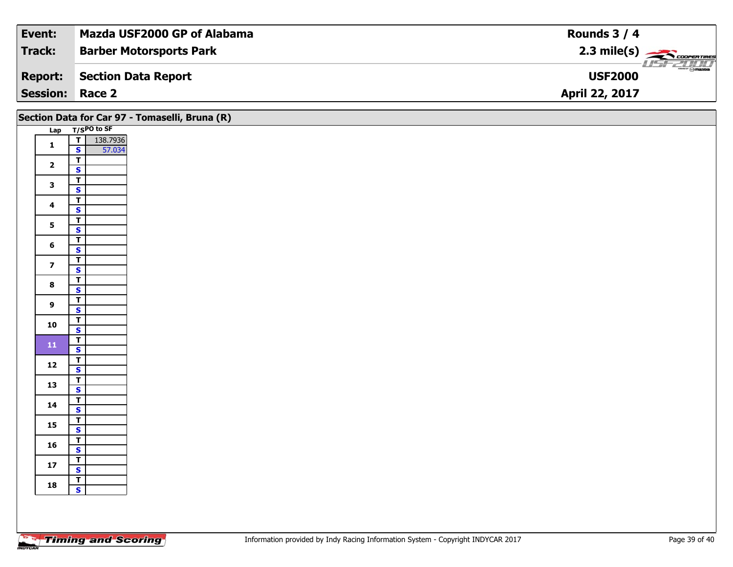| Event:                 | Mazda USF2000 GP of Alabama    | Rounds $3/4$                                               |
|------------------------|--------------------------------|------------------------------------------------------------|
| Track:                 | <b>Barber Motorsports Park</b> | $2.3 \text{ mile(s)}$                                      |
| <b>Report:</b>         | Section Data Report            | $\overline{\phantom{a}}$ $\otimes$ mazoa<br><b>USF2000</b> |
| <b>Session: Race 2</b> |                                | April 22, 2017                                             |

|                         |                                                    | Section Data for Car 97 - Tomaselli, Bruna (R) |
|-------------------------|----------------------------------------------------|------------------------------------------------|
|                         | Lap T/SPO to SF                                    |                                                |
| $\mathbf{1}$            | T<br>138.7936<br>57.034<br>$\mathbf{s}$            |                                                |
| $\overline{\mathbf{2}}$ | $\overline{r}$<br>$\overline{\mathbf{s}}$          |                                                |
| $\mathbf{3}$            | $\frac{1}{s}$                                      |                                                |
| $\overline{\mathbf{4}}$ | $\top$<br>$\mathbf{s}$                             |                                                |
| 5 <sub>5</sub>          | $\overline{1}$<br>$\overline{\mathbf{s}}$          |                                                |
| $6\phantom{1}$          | $\overline{t}$<br>$\mathbf{s}$                     |                                                |
| $\overline{\mathbf{z}}$ | $\overline{\mathsf{T}}$<br>$\mathbf{s}$            |                                                |
| $\bf{8}$                | $\overline{r}$<br>$\overline{\mathbf{s}}$          |                                                |
| $\mathbf{9}$            | $\overline{\mathsf{T}}$<br>$\mathsf{s}$            |                                                |
| 10                      | $\mathbf{T}$<br>$\overline{\mathbf{s}}$            |                                                |
| ${\bf 11}$              | $\frac{T}{S}$                                      |                                                |
| 12                      | $\mathbf{T}$<br>$\overline{\mathbf{s}}$            |                                                |
| 13                      | $\overline{\mathsf{T}}$<br>$\overline{\mathbf{s}}$ |                                                |
| 14                      | $\overline{\mathsf{r}}$<br>$\mathbf{s}$            |                                                |
| 15                      | $\overline{1}$<br>$\overline{\mathbf{s}}$          |                                                |
| 16                      | $\overline{r}$<br>$\mathsf{s}$                     |                                                |
| $17$                    | $\mathbf{I}$<br>$\mathbf{s}$                       |                                                |
| 18                      | $\frac{1}{s}$                                      |                                                |
|                         |                                                    |                                                |